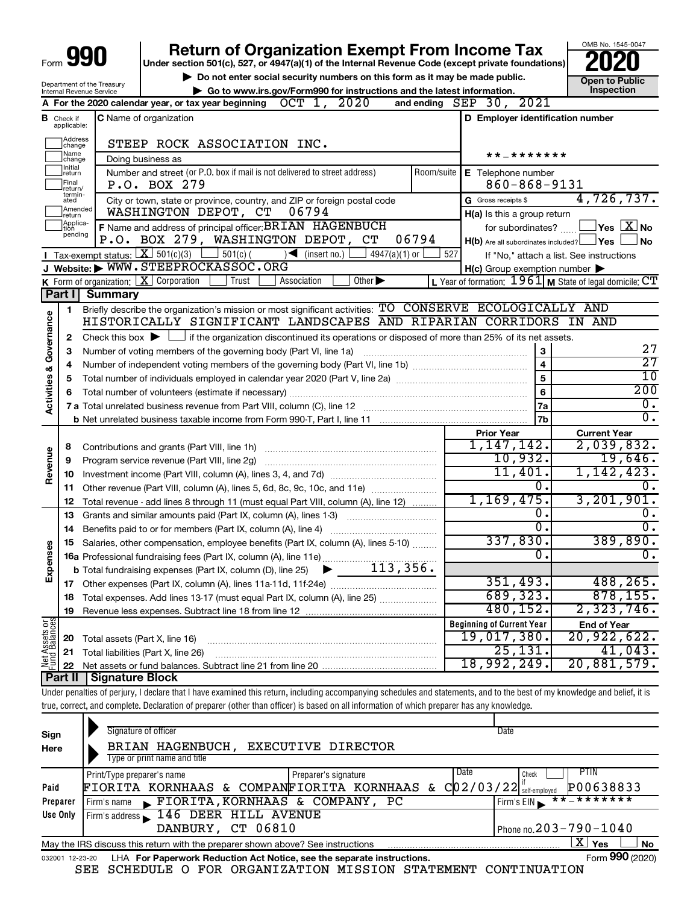|                                |                               |                                | <b>Return of Organization Exempt From Income Tax</b>                                                                                                                       |                                                         | OMB No. 1545-0047                                                                              |  |  |
|--------------------------------|-------------------------------|--------------------------------|----------------------------------------------------------------------------------------------------------------------------------------------------------------------------|---------------------------------------------------------|------------------------------------------------------------------------------------------------|--|--|
| Form <b>990</b>                |                               |                                | Under section 501(c), 527, or 4947(a)(1) of the Internal Revenue Code (except private foundations)                                                                         |                                                         |                                                                                                |  |  |
|                                |                               | Department of the Treasury     | Do not enter social security numbers on this form as it may be made public.                                                                                                | <b>Open to Public</b>                                   |                                                                                                |  |  |
|                                |                               | Internal Revenue Service       | Go to www.irs.gov/Form990 for instructions and the latest information.<br>OCT 1, 2020<br>A For the 2020 calendar year, or tax year beginning                               | 2021<br>and ending $SEP$ 30,                            | Inspection                                                                                     |  |  |
|                                |                               |                                |                                                                                                                                                                            |                                                         |                                                                                                |  |  |
|                                | <b>B</b> Check if applicable: |                                | <b>C</b> Name of organization                                                                                                                                              | D Employer identification number                        |                                                                                                |  |  |
|                                | Address<br>change             |                                | STEEP ROCK ASSOCIATION INC.                                                                                                                                                | * * _ * * * * * * *                                     |                                                                                                |  |  |
|                                | Name<br> change<br>Ilnitial   |                                | Doing business as                                                                                                                                                          |                                                         |                                                                                                |  |  |
|                                | return<br>Final               |                                | Number and street (or P.O. box if mail is not delivered to street address)<br>Room/suite<br>P.O. BOX 279                                                                   | E Telephone number<br>$860 - 868 - 9131$                |                                                                                                |  |  |
|                                | return/<br>termin-            |                                |                                                                                                                                                                            | G Gross receipts \$                                     | 4,726,737.                                                                                     |  |  |
|                                | ated<br>Amended               |                                | City or town, state or province, country, and ZIP or foreign postal code<br>06794<br>WASHINGTON DEPOT, CT                                                                  |                                                         |                                                                                                |  |  |
|                                | return<br>Applica-            |                                | F Name and address of principal officer: BRIAN HAGENBUCH                                                                                                                   | H(a) Is this a group return<br>for subordinates?        | $ {\mathsf Y}\mathsf{es} \downharpoonright \operatorname{\underline{X}} {\mathsf N}\mathsf{o}$ |  |  |
|                                | tion<br>pending               |                                | P.O. BOX 279, WASHINGTON DEPOT, CT<br>06794                                                                                                                                | $H(b)$ Are all subordinates included?                   | No                                                                                             |  |  |
|                                |                               |                                | <b>I</b> Tax-exempt status: $X \ 501(c)(3)$ $501(c)$<br>$\sqrt{\frac{1}{1}}$ (insert no.)<br>$4947(a)(1)$ or<br>527                                                        | If "No," attach a list. See instructions                |                                                                                                |  |  |
|                                |                               |                                | J Website: WWW.STEEPROCKASSOC.ORG                                                                                                                                          | $H(c)$ Group exemption number $\blacktriangleright$     |                                                                                                |  |  |
|                                |                               |                                | K Form of organization: $X$ Corporation<br>Trust<br>Association<br>Other $\blacktriangleright$                                                                             | L Year of formation: 1961 M State of legal domicile: CT |                                                                                                |  |  |
|                                | Part I                        | <b>Summary</b>                 |                                                                                                                                                                            |                                                         |                                                                                                |  |  |
|                                | 1                             |                                | Briefly describe the organization's mission or most significant activities: TO CONSERVE ECOLOGICALLY AND                                                                   |                                                         |                                                                                                |  |  |
|                                |                               |                                | HISTORICALLY SIGNIFICANT LANDSCAPES AND RIPARIAN CORRIDORS IN AND                                                                                                          |                                                         |                                                                                                |  |  |
| Governance                     | $\mathbf{2}$                  |                                | Check this box $\blacktriangleright$ $\Box$ if the organization discontinued its operations or disposed of more than 25% of its net assets.                                |                                                         |                                                                                                |  |  |
|                                | 3                             |                                | Number of voting members of the governing body (Part VI, line 1a)                                                                                                          | 3                                                       | 27                                                                                             |  |  |
|                                | 4                             | $\overline{\mathbf{4}}$        |                                                                                                                                                                            |                                                         |                                                                                                |  |  |
| <b>Activities &amp;</b>        | 5                             |                                |                                                                                                                                                                            | 5                                                       | 10                                                                                             |  |  |
|                                | 6                             |                                |                                                                                                                                                                            | 6                                                       | 200                                                                                            |  |  |
|                                |                               |                                |                                                                                                                                                                            | 7a                                                      | $\overline{0}$ .                                                                               |  |  |
|                                |                               |                                |                                                                                                                                                                            | 7b                                                      | $\overline{0}$ .                                                                               |  |  |
|                                |                               |                                |                                                                                                                                                                            | <b>Prior Year</b>                                       | <b>Current Year</b>                                                                            |  |  |
|                                | 8                             |                                |                                                                                                                                                                            | 1,147,142.                                              | 2,039,832.                                                                                     |  |  |
| Revenue                        | 9                             |                                | Program service revenue (Part VIII, line 2g)                                                                                                                               | 10,932.                                                 | 19,646.                                                                                        |  |  |
|                                | 10                            |                                |                                                                                                                                                                            | 11,401.                                                 | 1,142,423.                                                                                     |  |  |
|                                | 11                            |                                | Other revenue (Part VIII, column (A), lines 5, 6d, 8c, 9c, 10c, and 11e)                                                                                                   | 0.                                                      | 0.                                                                                             |  |  |
|                                | 12                            |                                | Total revenue - add lines 8 through 11 (must equal Part VIII, column (A), line 12)                                                                                         | 1,169,475.                                              | 3,201,901.                                                                                     |  |  |
|                                | 13                            |                                | Grants and similar amounts paid (Part IX, column (A), lines 1-3)                                                                                                           | $\overline{0}$ .                                        | 0.                                                                                             |  |  |
|                                |                               |                                |                                                                                                                                                                            | σ.                                                      | $\overline{0}$ .                                                                               |  |  |
|                                |                               |                                | Salaries, other compensation, employee benefits (Part IX, column (A), lines 5-10)                                                                                          | 337,830 <b>.</b>                                        | 389,890 <b>.</b>                                                                               |  |  |
| Expenses                       |                               |                                | 15 Salaries, other components, street, Salaries, March 2016.<br>16a Professional fundraising fees (Part IX, column (A), line 251 $\rightarrow$ 113, 356.                   | $\overline{0}$ .                                        | $\overline{0}$ .                                                                               |  |  |
|                                |                               |                                |                                                                                                                                                                            |                                                         |                                                                                                |  |  |
|                                |                               |                                |                                                                                                                                                                            | 351,493.                                                | 488, 265.                                                                                      |  |  |
|                                | 18                            |                                | Total expenses. Add lines 13-17 (must equal Part IX, column (A), line 25)                                                                                                  | 689, 323.                                               | 878, 155.                                                                                      |  |  |
|                                | 19                            |                                |                                                                                                                                                                            | 480,152.                                                | 2,323,746.                                                                                     |  |  |
|                                |                               |                                |                                                                                                                                                                            | <b>Beginning of Current Year</b>                        | <b>End of Year</b>                                                                             |  |  |
| Net Assets or<br>Fund Balances | 20                            | Total assets (Part X, line 16) |                                                                                                                                                                            | 19,017,380.                                             | 20,922,622.                                                                                    |  |  |
|                                | 21                            |                                | Total liabilities (Part X, line 26)                                                                                                                                        | 25, 131.                                                | 41,043.                                                                                        |  |  |
|                                | 22                            |                                |                                                                                                                                                                            | 18,992,249.                                             | 20,881,579.                                                                                    |  |  |
|                                | Part II                       | <b>Signature Block</b>         |                                                                                                                                                                            |                                                         |                                                                                                |  |  |
|                                |                               |                                | Under penalties of perjury, I declare that I have examined this return, including accompanying schedules and statements, and to the best of my knowledge and belief, it is |                                                         |                                                                                                |  |  |
|                                |                               |                                | true, correct, and complete. Declaration of preparer (other than officer) is based on all information of which preparer has any knowledge.                                 |                                                         |                                                                                                |  |  |

| Sign<br>Here                                      | Signature of officer<br><b>EXECUTIVE DIRECTOR</b><br>BRIAN HAGENBUCH,                                        | Date                                              |  |  |  |  |
|---------------------------------------------------|--------------------------------------------------------------------------------------------------------------|---------------------------------------------------|--|--|--|--|
|                                                   | Type or print name and title                                                                                 |                                                   |  |  |  |  |
|                                                   | Print/Type preparer's name<br>Preparer's signature                                                           | PTIN<br>Date<br>Check                             |  |  |  |  |
| Paid                                              | FIORITA KORNHAAS & COMPANFIORITA KORNHAAS<br>&                                                               | P00638833<br>$C[0 2  / 0 3  / 2 2]$ self-employed |  |  |  |  |
| Preparer                                          | FIORITA, KORNHAAS & COMPANY, PC<br>Firm's name                                                               | **_*******<br>Firm's EIN                          |  |  |  |  |
| Use Only                                          | Firm's address 146 DEER HILL AVENUE                                                                          |                                                   |  |  |  |  |
| Phone no. $203 - 790 - 1040$<br>DANBURY, CT 06810 |                                                                                                              |                                                   |  |  |  |  |
|                                                   | X.<br><b>No</b><br>Yes<br>May the IRS discuss this return with the preparer shown above? See instructions    |                                                   |  |  |  |  |
|                                                   | Form 990 (2020)<br>LHA For Paperwork Reduction Act Notice, see the separate instructions.<br>032001 12-23-20 |                                                   |  |  |  |  |

SEE SCHEDULE O FOR ORGANIZATION MISSION STATEMENT CONTINUATION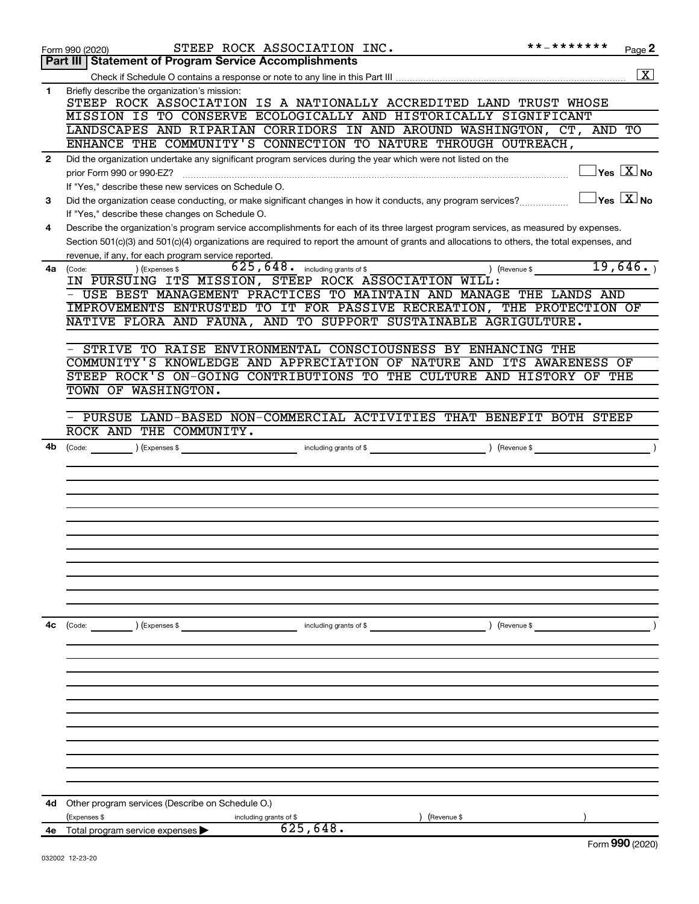|              | STEEP ROCK ASSOCIATION INC.<br>Form 990 (2020)                                                                                                 | **_*******<br>Page 2     |
|--------------|------------------------------------------------------------------------------------------------------------------------------------------------|--------------------------|
|              | Part III   Statement of Program Service Accomplishments                                                                                        |                          |
|              |                                                                                                                                                | $\overline{\mathbf{x}}$  |
| 1            | Briefly describe the organization's mission:                                                                                                   |                          |
|              | STEEP ROCK ASSOCIATION IS A NATIONALLY ACCREDITED LAND TRUST WHOSE                                                                             |                          |
|              | MISSION IS TO CONSERVE ECOLOGICALLY AND HISTORICALLY SIGNIFICANT                                                                               |                          |
|              | LANDSCAPES AND RIPARIAN CORRIDORS IN AND AROUND WASHINGTON, CT, AND TO                                                                         |                          |
|              | ENHANCE THE COMMUNITY'S CONNECTION TO NATURE THROUGH OUTREACH,                                                                                 |                          |
| $\mathbf{2}$ | Did the organization undertake any significant program services during the year which were not listed on the                                   |                          |
|              | prior Form 990 or 990-EZ?                                                                                                                      | $Yes \  \  \boxed{X} No$ |
|              | If "Yes," describe these new services on Schedule O.                                                                                           |                          |
| 3            | Did the organization cease conducting, or make significant changes in how it conducts, any program services?                                   | $Yes$ $X$ No             |
|              | If "Yes," describe these changes on Schedule O.                                                                                                |                          |
| 4            | Describe the organization's program service accomplishments for each of its three largest program services, as measured by expenses.           |                          |
|              | Section 501(c)(3) and 501(c)(4) organizations are required to report the amount of grants and allocations to others, the total expenses, and   |                          |
|              | revenue, if any, for each program service reported.                                                                                            |                          |
| 4a           | $\overline{625}$ , $648$ $\overline{\phantom{0}}$ including grants of \$<br>(Code:<br>(Expenses \$                                             | 19,646.<br>) (Revenue \$ |
|              | IN PURSUING ITS MISSION, STEEP ROCK ASSOCIATION WILL:                                                                                          |                          |
|              | - USE BEST MANAGEMENT PRACTICES TO MAINTAIN AND MANAGE THE LANDS AND<br>IMPROVEMENTS ENTRUSTED TO IT FOR PASSIVE RECREATION, THE PROTECTION OF |                          |
|              | NATIVE FLORA AND FAUNA, AND TO SUPPORT SUSTAINABLE AGRIGULTURE.                                                                                |                          |
|              |                                                                                                                                                |                          |
|              | STRIVE TO RAISE ENVIRONMENTAL CONSCIOUSNESS BY ENHANCING THE                                                                                   |                          |
|              | COMMUNITY'S KNOWLEDGE AND APPRECIATION OF NATURE AND ITS AWARENESS OF                                                                          |                          |
|              | STEEP ROCK'S ON-GOING CONTRIBUTIONS TO THE CULTURE AND HISTORY OF THE                                                                          |                          |
|              | TOWN OF WASHINGTON.                                                                                                                            |                          |
|              |                                                                                                                                                |                          |
|              | - PURSUE LAND-BASED NON-COMMERCIAL ACTIVITIES THAT BENEFIT BOTH STEEP                                                                          |                          |
|              | ROCK AND THE COMMUNITY.                                                                                                                        |                          |
| 4b           | including grants of \$<br>(Expenses \$<br>(Code:                                                                                               | ) (Revenue \$            |
|              |                                                                                                                                                |                          |
|              |                                                                                                                                                |                          |
|              |                                                                                                                                                |                          |
|              |                                                                                                                                                |                          |
|              |                                                                                                                                                |                          |
|              |                                                                                                                                                |                          |
|              |                                                                                                                                                |                          |
|              |                                                                                                                                                |                          |
|              |                                                                                                                                                |                          |
|              |                                                                                                                                                |                          |
|              |                                                                                                                                                |                          |
|              |                                                                                                                                                |                          |
| 4с           | (Code:<br>) (Expenses \$<br>including grants of \$                                                                                             | ) (Revenue \$            |
|              |                                                                                                                                                |                          |
|              |                                                                                                                                                |                          |
|              |                                                                                                                                                |                          |
|              |                                                                                                                                                |                          |
|              |                                                                                                                                                |                          |
|              |                                                                                                                                                |                          |
|              |                                                                                                                                                |                          |
|              |                                                                                                                                                |                          |
|              |                                                                                                                                                |                          |
|              |                                                                                                                                                |                          |
|              |                                                                                                                                                |                          |
| 4d           | Other program services (Describe on Schedule O.)                                                                                               |                          |
|              | (Expenses \$<br>including grants of \$<br>(Revenue \$                                                                                          |                          |
| 4е           | 625,648.<br>Total program service expenses >                                                                                                   |                          |
|              |                                                                                                                                                | $Form$ 990 (2020)        |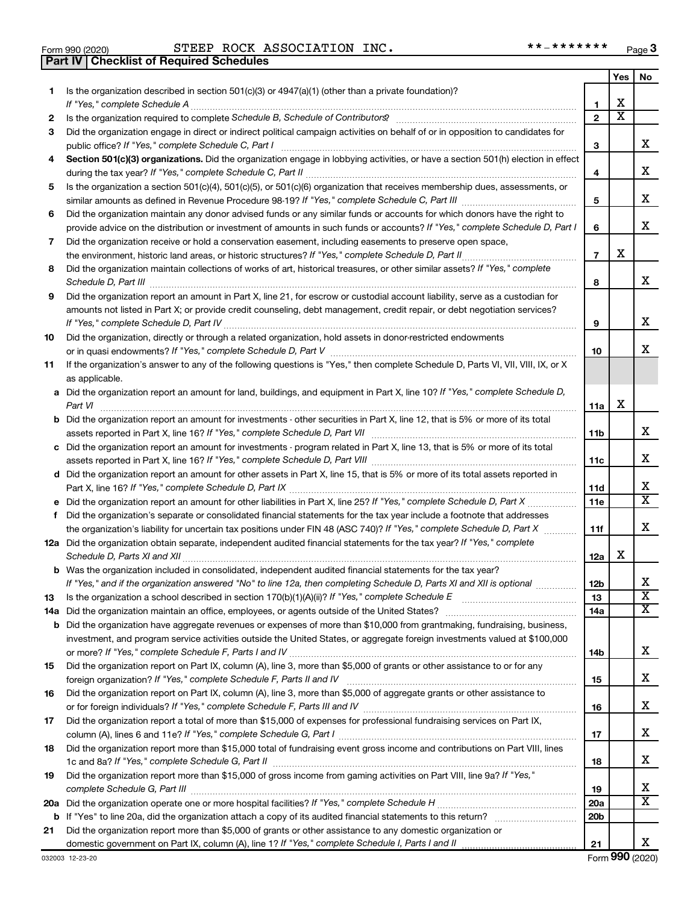|  | Form 990 (2020) |  |
|--|-----------------|--|

**Part IV Checklist of Required Schedules**

Form 990 (2020) Page STEEP ROCK ASSOCIATION INC. \*\*-\*\*\*\*\*\*\*

|     |                                                                                                                                                                       |                 | Yes                   | No                      |
|-----|-----------------------------------------------------------------------------------------------------------------------------------------------------------------------|-----------------|-----------------------|-------------------------|
| 1.  | Is the organization described in section $501(c)(3)$ or $4947(a)(1)$ (other than a private foundation)?                                                               |                 |                       |                         |
|     | If "Yes," complete Schedule A                                                                                                                                         | 1               | х                     |                         |
| 2   | Is the organization required to complete Schedule B, Schedule of Contributors? [111] [12] the organization required to complete Schedule B, Schedule of Contributors? | $\overline{2}$  | $\overline{\text{x}}$ |                         |
| 3   | Did the organization engage in direct or indirect political campaign activities on behalf of or in opposition to candidates for                                       |                 |                       |                         |
|     | public office? If "Yes," complete Schedule C, Part I                                                                                                                  | з               |                       | x                       |
| 4   | Section 501(c)(3) organizations. Did the organization engage in lobbying activities, or have a section 501(h) election in effect                                      |                 |                       | х                       |
|     |                                                                                                                                                                       | 4               |                       |                         |
| 5   | Is the organization a section 501(c)(4), 501(c)(5), or 501(c)(6) organization that receives membership dues, assessments, or                                          | 5               |                       | х                       |
| 6   | Did the organization maintain any donor advised funds or any similar funds or accounts for which donors have the right to                                             |                 |                       |                         |
|     | provide advice on the distribution or investment of amounts in such funds or accounts? If "Yes," complete Schedule D, Part I                                          | 6               |                       | X                       |
| 7   | Did the organization receive or hold a conservation easement, including easements to preserve open space,                                                             |                 |                       |                         |
|     |                                                                                                                                                                       | $\overline{7}$  | х                     |                         |
| 8   | Did the organization maintain collections of works of art, historical treasures, or other similar assets? If "Yes," complete                                          | 8               |                       | X                       |
| 9   | Did the organization report an amount in Part X, line 21, for escrow or custodial account liability, serve as a custodian for                                         |                 |                       |                         |
|     | amounts not listed in Part X; or provide credit counseling, debt management, credit repair, or debt negotiation services?                                             |                 |                       |                         |
|     | If "Yes," complete Schedule D, Part IV.                                                                                                                               | 9               |                       | х                       |
| 10  | Did the organization, directly or through a related organization, hold assets in donor-restricted endowments                                                          |                 |                       |                         |
|     |                                                                                                                                                                       | 10              |                       | x                       |
| 11  | If the organization's answer to any of the following questions is "Yes," then complete Schedule D, Parts VI, VII, VIII, IX, or X                                      |                 |                       |                         |
|     | as applicable.                                                                                                                                                        |                 |                       |                         |
|     | a Did the organization report an amount for land, buildings, and equipment in Part X, line 10? If "Yes," complete Schedule D,                                         |                 | х                     |                         |
|     | Part VI                                                                                                                                                               | 11a             |                       |                         |
|     | <b>b</b> Did the organization report an amount for investments - other securities in Part X, line 12, that is 5% or more of its total                                 | 11b             |                       | x                       |
|     | c Did the organization report an amount for investments - program related in Part X, line 13, that is 5% or more of its total                                         |                 |                       |                         |
|     |                                                                                                                                                                       | 11с             |                       | x                       |
|     | d Did the organization report an amount for other assets in Part X, line 15, that is 5% or more of its total assets reported in                                       |                 |                       |                         |
|     |                                                                                                                                                                       | 11d             |                       | х                       |
|     |                                                                                                                                                                       | 11e             |                       | $\overline{\text{X}}$   |
| f   | Did the organization's separate or consolidated financial statements for the tax year include a footnote that addresses                                               |                 |                       |                         |
|     | the organization's liability for uncertain tax positions under FIN 48 (ASC 740)? If "Yes," complete Schedule D, Part X                                                | 11f             |                       | х                       |
|     | 12a Did the organization obtain separate, independent audited financial statements for the tax year? If "Yes," complete<br>Schedule D, Parts XI and XII               | 12a             | x                     |                         |
|     | <b>b</b> Was the organization included in consolidated, independent audited financial statements for the tax year?                                                    |                 |                       |                         |
|     | If "Yes," and if the organization answered "No" to line 12a, then completing Schedule D, Parts XI and XII is optional www.                                            | 12b             |                       | ∡⊾                      |
| 13  | Is the organization a school described in section $170(b)(1)(A)(ii)$ ? If "Yes," complete Schedule E                                                                  | 13              |                       | $\overline{\mathbf{X}}$ |
| 14a | Did the organization maintain an office, employees, or agents outside of the United States?                                                                           | 14a             |                       | X                       |
|     | <b>b</b> Did the organization have aggregate revenues or expenses of more than \$10,000 from grantmaking, fundraising, business,                                      |                 |                       |                         |
|     | investment, and program service activities outside the United States, or aggregate foreign investments valued at \$100,000                                            |                 |                       |                         |
|     |                                                                                                                                                                       | 14b             |                       | х                       |
| 15  | Did the organization report on Part IX, column (A), line 3, more than \$5,000 of grants or other assistance to or for any                                             |                 |                       | x                       |
| 16  | Did the organization report on Part IX, column (A), line 3, more than \$5,000 of aggregate grants or other assistance to                                              | 15              |                       |                         |
|     |                                                                                                                                                                       | 16              |                       | x                       |
| 17  | Did the organization report a total of more than \$15,000 of expenses for professional fundraising services on Part IX,                                               |                 |                       |                         |
|     |                                                                                                                                                                       | 17              |                       | х                       |
| 18  | Did the organization report more than \$15,000 total of fundraising event gross income and contributions on Part VIII, lines                                          |                 |                       |                         |
|     |                                                                                                                                                                       | 18              |                       | х                       |
| 19  | Did the organization report more than \$15,000 of gross income from gaming activities on Part VIII, line 9a? If "Yes,"                                                |                 |                       |                         |
|     |                                                                                                                                                                       | 19              |                       | х                       |
| 20a |                                                                                                                                                                       | 20a             |                       | $\overline{\text{X}}$   |
|     |                                                                                                                                                                       | 20 <sub>b</sub> |                       |                         |
| 21  | Did the organization report more than \$5,000 of grants or other assistance to any domestic organization or                                                           |                 |                       |                         |
|     |                                                                                                                                                                       | 21              |                       | x                       |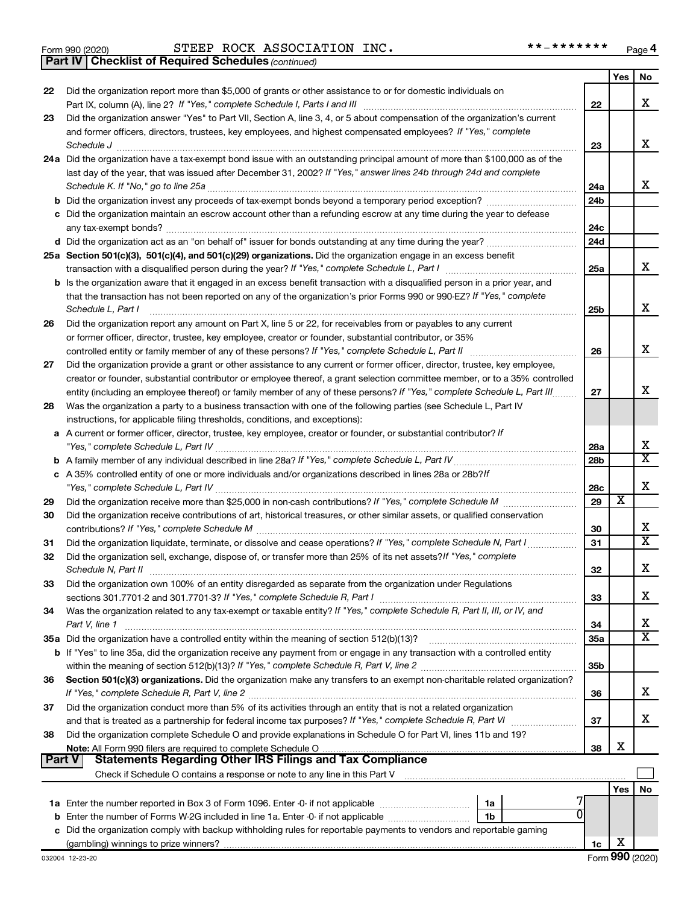Form 990 (2020) STEEP ROCK ASSOCIATION INC . \*\*\_\*\*\*\*\*\*\*\* Page

*(continued)* **Part IV Checklist of Required Schedules**

|               |                                                                                                                                                                    |                 | Yes | No                         |
|---------------|--------------------------------------------------------------------------------------------------------------------------------------------------------------------|-----------------|-----|----------------------------|
| 22            | Did the organization report more than \$5,000 of grants or other assistance to or for domestic individuals on                                                      |                 |     |                            |
|               |                                                                                                                                                                    | 22              |     | x                          |
| 23            | Did the organization answer "Yes" to Part VII, Section A, line 3, 4, or 5 about compensation of the organization's current                                         |                 |     |                            |
|               | and former officers, directors, trustees, key employees, and highest compensated employees? If "Yes," complete                                                     |                 |     |                            |
|               | Schedule J                                                                                                                                                         | 23              |     | х                          |
|               | 24a Did the organization have a tax-exempt bond issue with an outstanding principal amount of more than \$100,000 as of the                                        |                 |     |                            |
|               | last day of the year, that was issued after December 31, 2002? If "Yes," answer lines 24b through 24d and complete                                                 |                 |     |                            |
|               | Schedule K. If "No," go to line 25a                                                                                                                                | 24a             |     | х                          |
|               |                                                                                                                                                                    | 24 <sub>b</sub> |     |                            |
|               | c Did the organization maintain an escrow account other than a refunding escrow at any time during the year to defease                                             |                 |     |                            |
|               |                                                                                                                                                                    | 24c             |     |                            |
|               |                                                                                                                                                                    | 24d             |     |                            |
|               | 25a Section 501(c)(3), 501(c)(4), and 501(c)(29) organizations. Did the organization engage in an excess benefit                                                   |                 |     |                            |
|               |                                                                                                                                                                    | 25a             |     | x                          |
|               | b Is the organization aware that it engaged in an excess benefit transaction with a disqualified person in a prior year, and                                       |                 |     |                            |
|               | that the transaction has not been reported on any of the organization's prior Forms 990 or 990-EZ? If "Yes," complete                                              |                 |     |                            |
|               | Schedule L, Part I                                                                                                                                                 | 25 <sub>b</sub> |     | х                          |
| 26            | Did the organization report any amount on Part X, line 5 or 22, for receivables from or payables to any current                                                    |                 |     |                            |
|               | or former officer, director, trustee, key employee, creator or founder, substantial contributor, or 35%                                                            |                 |     |                            |
|               | controlled entity or family member of any of these persons? If "Yes," complete Schedule L, Part II                                                                 | 26              |     | X                          |
| 27            | Did the organization provide a grant or other assistance to any current or former officer, director, trustee, key employee,                                        |                 |     |                            |
|               | creator or founder, substantial contributor or employee thereof, a grant selection committee member, or to a 35% controlled                                        |                 |     |                            |
|               | entity (including an employee thereof) or family member of any of these persons? If "Yes," complete Schedule L, Part III                                           | 27              |     | х                          |
| 28            | Was the organization a party to a business transaction with one of the following parties (see Schedule L, Part IV                                                  |                 |     |                            |
|               | instructions, for applicable filing thresholds, conditions, and exceptions):                                                                                       |                 |     |                            |
| а             | A current or former officer, director, trustee, key employee, creator or founder, or substantial contributor? If                                                   |                 |     |                            |
|               |                                                                                                                                                                    | 28a             |     | х                          |
|               |                                                                                                                                                                    | 28 <sub>b</sub> |     | $\overline{\textbf{X}}$    |
|               | c A 35% controlled entity of one or more individuals and/or organizations described in lines 28a or 28b?If                                                         |                 |     |                            |
|               |                                                                                                                                                                    | 28c             |     | х                          |
| 29            |                                                                                                                                                                    | 29              | X   |                            |
| 30            | Did the organization receive contributions of art, historical treasures, or other similar assets, or qualified conservation                                        |                 |     |                            |
|               |                                                                                                                                                                    | 30              |     | х<br>$\overline{\text{x}}$ |
| 31            | Did the organization liquidate, terminate, or dissolve and cease operations? If "Yes," complete Schedule N, Part I                                                 | 31              |     |                            |
| 32            | Did the organization sell, exchange, dispose of, or transfer more than 25% of its net assets? If "Yes," complete                                                   |                 |     | х                          |
|               |                                                                                                                                                                    | 32              |     |                            |
| 33            | Did the organization own 100% of an entity disregarded as separate from the organization under Regulations                                                         |                 |     | х                          |
|               |                                                                                                                                                                    | 33              |     |                            |
| 34            | Was the organization related to any tax-exempt or taxable entity? If "Yes," complete Schedule R, Part II, III, or IV, and<br>Part V, line 1                        | 34              |     | х                          |
|               |                                                                                                                                                                    | 35a             |     | $\overline{\textbf{X}}$    |
|               |                                                                                                                                                                    |                 |     |                            |
|               | <b>b</b> If "Yes" to line 35a, did the organization receive any payment from or engage in any transaction with a controlled entity                                 | 35b             |     |                            |
| 36            | Section 501(c)(3) organizations. Did the organization make any transfers to an exempt non-charitable related organization?                                         |                 |     |                            |
|               |                                                                                                                                                                    | 36              |     | х                          |
| 37            | Did the organization conduct more than 5% of its activities through an entity that is not a related organization                                                   |                 |     |                            |
|               |                                                                                                                                                                    | 37              |     | х                          |
| 38            | Did the organization complete Schedule O and provide explanations in Schedule O for Part VI, lines 11b and 19?                                                     |                 |     |                            |
|               | Note: All Form 990 filers are required to complete Schedule O                                                                                                      | 38              | х   |                            |
| <b>Part V</b> | <b>Statements Regarding Other IRS Filings and Tax Compliance</b>                                                                                                   |                 |     |                            |
|               | Check if Schedule O contains a response or note to any line in this Part V [111] [12] contains according to contains a response or note to any line in this Part V |                 |     |                            |
|               |                                                                                                                                                                    |                 | Yes | No                         |
|               | 1a                                                                                                                                                                 |                 |     |                            |
| b             | Enter the number of Forms W-2G included in line 1a. Enter -0- if not applicable<br>1b                                                                              |                 |     |                            |
| с             | Did the organization comply with backup withholding rules for reportable payments to vendors and reportable gaming                                                 |                 |     |                            |
|               |                                                                                                                                                                    | 1c              | х   |                            |
|               |                                                                                                                                                                    |                 |     |                            |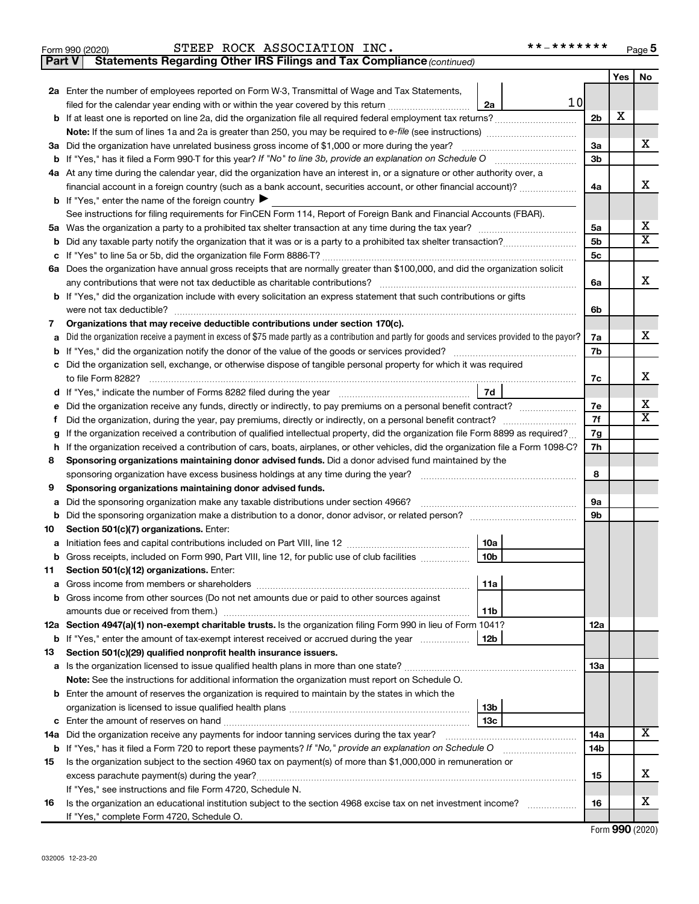|  | Form 990 (2020) |
|--|-----------------|

## Form 990 (2020) STEEP ROCK ASSOCIATION INC . \*\*\_\*\*\*\*\*\*\*\* Page

**Part V** Statements Regarding Other IRS Filings and Tax Compliance (continued)

|     |                                                                                                                                                 |     | Yes | No                      |  |
|-----|-------------------------------------------------------------------------------------------------------------------------------------------------|-----|-----|-------------------------|--|
|     | 2a Enter the number of employees reported on Form W-3, Transmittal of Wage and Tax Statements,                                                  |     |     |                         |  |
|     | 10<br>filed for the calendar year ending with or within the year covered by this return<br>2a                                                   |     |     |                         |  |
|     |                                                                                                                                                 | 2b  | х   |                         |  |
|     |                                                                                                                                                 |     |     |                         |  |
|     | 3a Did the organization have unrelated business gross income of \$1,000 or more during the year?                                                |     |     |                         |  |
|     |                                                                                                                                                 | 3b  |     |                         |  |
|     | 4a At any time during the calendar year, did the organization have an interest in, or a signature or other authority over, a                    |     |     |                         |  |
|     | financial account in a foreign country (such as a bank account, securities account, or other financial account)?                                | 4a  |     | x                       |  |
|     | <b>b</b> If "Yes," enter the name of the foreign country $\blacktriangleright$                                                                  |     |     |                         |  |
|     | See instructions for filing requirements for FinCEN Form 114, Report of Foreign Bank and Financial Accounts (FBAR).                             |     |     |                         |  |
|     |                                                                                                                                                 | 5a  |     | x                       |  |
|     |                                                                                                                                                 | 5b  |     | $\overline{\mathbf{X}}$ |  |
|     |                                                                                                                                                 | 5c  |     |                         |  |
|     | 6a Does the organization have annual gross receipts that are normally greater than \$100,000, and did the organization solicit                  |     |     |                         |  |
|     |                                                                                                                                                 | 6a  |     | x                       |  |
|     | <b>b</b> If "Yes," did the organization include with every solicitation an express statement that such contributions or gifts                   |     |     |                         |  |
|     |                                                                                                                                                 | 6b  |     |                         |  |
| 7   | Organizations that may receive deductible contributions under section 170(c).                                                                   |     |     |                         |  |
| a   | Did the organization receive a payment in excess of \$75 made partly as a contribution and partly for goods and services provided to the payor? | 7a  |     | x                       |  |
|     |                                                                                                                                                 | 7b  |     |                         |  |
|     | c Did the organization sell, exchange, or otherwise dispose of tangible personal property for which it was required                             |     |     |                         |  |
|     |                                                                                                                                                 | 7c  |     | x                       |  |
|     | 7d<br>d If "Yes," indicate the number of Forms 8282 filed during the year <i>manumeranomanomanomanomanomanomanoman</i> omano                    |     |     |                         |  |
| е   | Did the organization receive any funds, directly or indirectly, to pay premiums on a personal benefit contract?                                 | 7е  |     | x                       |  |
| Ť.  |                                                                                                                                                 | 7f  |     | $\overline{\mathtt{x}}$ |  |
| g   | If the organization received a contribution of qualified intellectual property, did the organization file Form 8899 as required?                | 7g  |     |                         |  |
|     | h If the organization received a contribution of cars, boats, airplanes, or other vehicles, did the organization file a Form 1098-C?            | 7h  |     |                         |  |
| 8   | Sponsoring organizations maintaining donor advised funds. Did a donor advised fund maintained by the                                            |     |     |                         |  |
|     |                                                                                                                                                 | 8   |     |                         |  |
| 9   | Sponsoring organizations maintaining donor advised funds.                                                                                       |     |     |                         |  |
| а   | Did the sponsoring organization make any taxable distributions under section 4966?                                                              | 9а  |     |                         |  |
| b   | Did the sponsoring organization make a distribution to a donor, donor advisor, or related person?                                               | 9b  |     |                         |  |
| 10  | Section 501(c)(7) organizations. Enter:                                                                                                         |     |     |                         |  |
|     | 10a                                                                                                                                             |     |     |                         |  |
|     | b Gross receipts, included on Form 990, Part VIII, line 12, for public use of club facilities<br>10 <sub>b</sub>                                |     |     |                         |  |
| 11. | Section 501(c)(12) organizations. Enter:<br>11a                                                                                                 |     |     |                         |  |
|     | b Gross income from other sources (Do not net amounts due or paid to other sources against                                                      |     |     |                         |  |
|     |                                                                                                                                                 |     |     |                         |  |
|     | 11b<br>12a Section 4947(a)(1) non-exempt charitable trusts. Is the organization filing Form 990 in lieu of Form 1041?                           | 12a |     |                         |  |
|     | 12b<br><b>b</b> If "Yes," enter the amount of tax-exempt interest received or accrued during the year                                           |     |     |                         |  |
| 13  | Section 501(c)(29) qualified nonprofit health insurance issuers.                                                                                |     |     |                         |  |
|     | a Is the organization licensed to issue qualified health plans in more than one state?                                                          | 1За |     |                         |  |
|     | Note: See the instructions for additional information the organization must report on Schedule O.                                               |     |     |                         |  |
|     | <b>b</b> Enter the amount of reserves the organization is required to maintain by the states in which the                                       |     |     |                         |  |
|     | 13 <sub>b</sub>                                                                                                                                 |     |     |                         |  |
|     | 13c                                                                                                                                             |     |     |                         |  |
|     | 14a Did the organization receive any payments for indoor tanning services during the tax year?                                                  | 14a |     | $\overline{\text{X}}$   |  |
|     | <b>b</b> If "Yes," has it filed a Form 720 to report these payments? If "No," provide an explanation on Schedule O                              | 14b |     |                         |  |
| 15  | Is the organization subject to the section 4960 tax on payment(s) of more than \$1,000,000 in remuneration or                                   |     |     |                         |  |
|     |                                                                                                                                                 | 15  |     | x                       |  |
|     | If "Yes," see instructions and file Form 4720, Schedule N.                                                                                      |     |     |                         |  |
| 16  | Is the organization an educational institution subject to the section 4968 excise tax on net investment income?                                 | 16  |     | x                       |  |
|     | If "Yes," complete Form 4720, Schedule O.                                                                                                       |     |     |                         |  |
|     |                                                                                                                                                 |     |     |                         |  |

Form (2020) **990**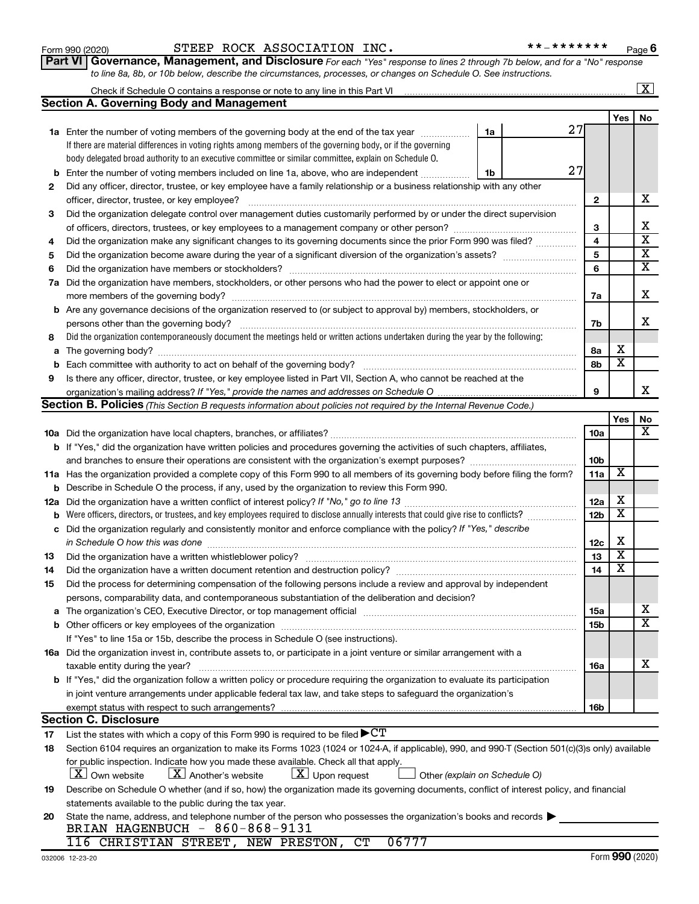|    |                                                                                     |                                   | <b>10</b> OCCUOLI OTOH TCQUIICS ALLOI QUIILLAUOLI IOTHANG ILS TOLITIS TOLO (TOLH OF TOLH AT ADDIICADIC), 330, AHU 330°T (OCCUOLI JO |
|----|-------------------------------------------------------------------------------------|-----------------------------------|-------------------------------------------------------------------------------------------------------------------------------------|
|    | for public inspection. Indicate how you made these available. Check all that apply. |                                   |                                                                                                                                     |
|    | $\boxed{\textbf{X}}$ Own website $\boxed{\textbf{X}}$ Another's website             | $\boxed{\textbf{X}}$ Upon request | Other (explain on Schedule O)                                                                                                       |
| 19 |                                                                                     |                                   | Describe on Schedule O whether (and if so, how) the organization made its governing documents, conflict of interest polic           |
|    | statements available to the public during the tax year.                             |                                   |                                                                                                                                     |

| <u>a san sa sa sa san any sanatana ny kaodim-paositra 2008–2014. Ilay kaominina dia kaominina mpikambana amin'ny fivondronan-</u> |  |                                                                                                                   |
|-----------------------------------------------------------------------------------------------------------------------------------|--|-------------------------------------------------------------------------------------------------------------------|
|                                                                                                                                   |  | 20 State the name, address, and telephone number of the person who possesses the organization's books and records |
| BRIAN HAGENBUCH - 860-868-9131                                                                                                    |  |                                                                                                                   |
| 116 CHRISTIAN STREET, NEW PRESTON, CT 06777                                                                                       |  |                                                                                                                   |

| Form 990 (2020) |  |
|-----------------|--|
|-----------------|--|

|     | <b>Section A. Governing Body and Management</b>                                                                                                                                                                                       |    |    |                 |     |                         |
|-----|---------------------------------------------------------------------------------------------------------------------------------------------------------------------------------------------------------------------------------------|----|----|-----------------|-----|-------------------------|
|     |                                                                                                                                                                                                                                       |    |    |                 | Yes | No                      |
|     | 1a Enter the number of voting members of the governing body at the end of the tax year                                                                                                                                                | 1a | 27 |                 |     |                         |
|     | If there are material differences in voting rights among members of the governing body, or if the governing                                                                                                                           |    |    |                 |     |                         |
|     | body delegated broad authority to an executive committee or similar committee, explain on Schedule O.                                                                                                                                 |    |    |                 |     |                         |
|     | Enter the number of voting members included on line 1a, above, who are independent                                                                                                                                                    | 1b | 27 |                 |     |                         |
| 2   | Did any officer, director, trustee, or key employee have a family relationship or a business relationship with any other                                                                                                              |    |    |                 |     |                         |
|     | officer, director, trustee, or key employee?                                                                                                                                                                                          |    |    | $\mathbf{2}$    |     | x                       |
| 3   | Did the organization delegate control over management duties customarily performed by or under the direct supervision                                                                                                                 |    |    |                 |     |                         |
|     |                                                                                                                                                                                                                                       |    |    | 3               |     | х                       |
| 4   | Did the organization make any significant changes to its governing documents since the prior Form 990 was filed?                                                                                                                      |    |    | 4               |     | $\overline{\mathtt{x}}$ |
| 5   |                                                                                                                                                                                                                                       |    |    | 5               |     | $\overline{\textbf{x}}$ |
| 6   |                                                                                                                                                                                                                                       |    |    | 6               |     | $\overline{\mathbf{x}}$ |
| 7a  | Did the organization have members, stockholders, or other persons who had the power to elect or appoint one or                                                                                                                        |    |    |                 |     |                         |
|     |                                                                                                                                                                                                                                       |    |    | 7a              |     | х                       |
|     | <b>b</b> Are any governance decisions of the organization reserved to (or subject to approval by) members, stockholders, or                                                                                                           |    |    |                 |     |                         |
|     | persons other than the governing body?                                                                                                                                                                                                |    |    | 7b              |     | х                       |
| 8   | Did the organization contemporaneously document the meetings held or written actions undertaken during the year by the following:                                                                                                     |    |    |                 |     |                         |
| a   |                                                                                                                                                                                                                                       |    |    | 8а              | х   |                         |
| b   |                                                                                                                                                                                                                                       |    |    | 8b              | х   |                         |
| 9   | Is there any officer, director, trustee, or key employee listed in Part VII, Section A, who cannot be reached at the                                                                                                                  |    |    |                 |     |                         |
|     |                                                                                                                                                                                                                                       |    |    | 9               |     | x                       |
|     | <b>Section B. Policies</b> (This Section B requests information about policies not required by the Internal Revenue Code.)                                                                                                            |    |    |                 |     |                         |
|     |                                                                                                                                                                                                                                       |    |    |                 | Yes | No                      |
|     |                                                                                                                                                                                                                                       |    |    | 10a             |     | $\overline{\mathbf{X}}$ |
|     | <b>b</b> If "Yes," did the organization have written policies and procedures governing the activities of such chapters, affiliates,                                                                                                   |    |    |                 |     |                         |
|     |                                                                                                                                                                                                                                       |    |    | 10 <sub>b</sub> |     |                         |
|     | 11a Has the organization provided a complete copy of this Form 990 to all members of its governing body before filing the form?                                                                                                       |    |    | 11a             | х   |                         |
|     | <b>b</b> Describe in Schedule O the process, if any, used by the organization to review this Form 990.                                                                                                                                |    |    |                 |     |                         |
| 12a |                                                                                                                                                                                                                                       |    |    | 12a             | х   |                         |
| b   |                                                                                                                                                                                                                                       |    |    | 12 <sub>b</sub> | х   |                         |
| c   | Did the organization regularly and consistently monitor and enforce compliance with the policy? If "Yes," describe                                                                                                                    |    |    |                 |     |                         |
|     | in Schedule O how this was done                                                                                                                                                                                                       |    |    | 12c             | х   |                         |
| 13  |                                                                                                                                                                                                                                       |    |    | 13              | х   |                         |
| 14  |                                                                                                                                                                                                                                       |    |    | 14              | х   |                         |
| 15  | Did the process for determining compensation of the following persons include a review and approval by independent                                                                                                                    |    |    |                 |     |                         |
|     | persons, comparability data, and contemporaneous substantiation of the deliberation and decision?                                                                                                                                     |    |    |                 |     |                         |
|     | The organization's CEO, Executive Director, or top management official manufactured contains and contained and the organization's CEO, and the Director, or top management official manufactured and the organization's CEO, a        |    |    | 15a             |     | Χ                       |
|     | <b>b</b> Other officers or key employees of the organization                                                                                                                                                                          |    |    | 15b             |     | $\overline{\text{x}}$   |
|     | If "Yes" to line 15a or 15b, describe the process in Schedule O (see instructions).                                                                                                                                                   |    |    |                 |     |                         |
|     | 16a Did the organization invest in, contribute assets to, or participate in a joint venture or similar arrangement with a                                                                                                             |    |    |                 |     |                         |
|     | taxable entity during the year?                                                                                                                                                                                                       |    |    | 16a             |     | х                       |
|     | b If "Yes," did the organization follow a written policy or procedure requiring the organization to evaluate its participation                                                                                                        |    |    |                 |     |                         |
|     | in joint venture arrangements under applicable federal tax law, and take steps to safequard the organization's                                                                                                                        |    |    |                 |     |                         |
|     | exempt status with respect to such arrangements?                                                                                                                                                                                      |    |    | 16b             |     |                         |
|     | <b>Section C. Disclosure</b>                                                                                                                                                                                                          |    |    |                 |     |                         |
| 17  | List the states with which a copy of this Form 990 is required to be filed $\blacktriangleright$ CT                                                                                                                                   |    |    |                 |     |                         |
| 18  | Section 6104 requires an organization to make its Forms 1023 (1024 or 1024-A, if applicable), 990, and 990-T (Section 501(c)(3)s only) available                                                                                      |    |    |                 |     |                         |
|     |                                                                                                                                                                                                                                       |    |    |                 |     |                         |
|     | for public inspection. Indicate how you made these available. Check all that apply.<br>$\lfloor x \rfloor$ Another's website<br><b>X</b> Own website<br>$\lfloor \underline{X} \rfloor$ Upon request<br>Other (explain on Schedule O) |    |    |                 |     |                         |
|     |                                                                                                                                                                                                                                       |    |    |                 |     |                         |
| 19  | Describe on Schedule O whether (and if so, how) the organization made its governing documents, conflict of interest policy, and financial                                                                                             |    |    |                 |     |                         |
|     | statements available to the public during the tax year.                                                                                                                                                                               |    |    |                 |     |                         |
| 20  | State the name, address, and telephone number of the person who possesses the organization's books and records                                                                                                                        |    |    |                 |     |                         |

 $\boxed{\text{X}}$ 

|  | Part VI   Governance, Management, and Disclosure For each "Yes" response to lines 2 through 7b below, and for a "No" response |
|--|-------------------------------------------------------------------------------------------------------------------------------|
|  | to line 8a, 8b, or 10b below, describe the circumstances, processes, or changes on Schedule O. See instructions.              |

Check if Schedule O contains a response or note to any line in this Part VI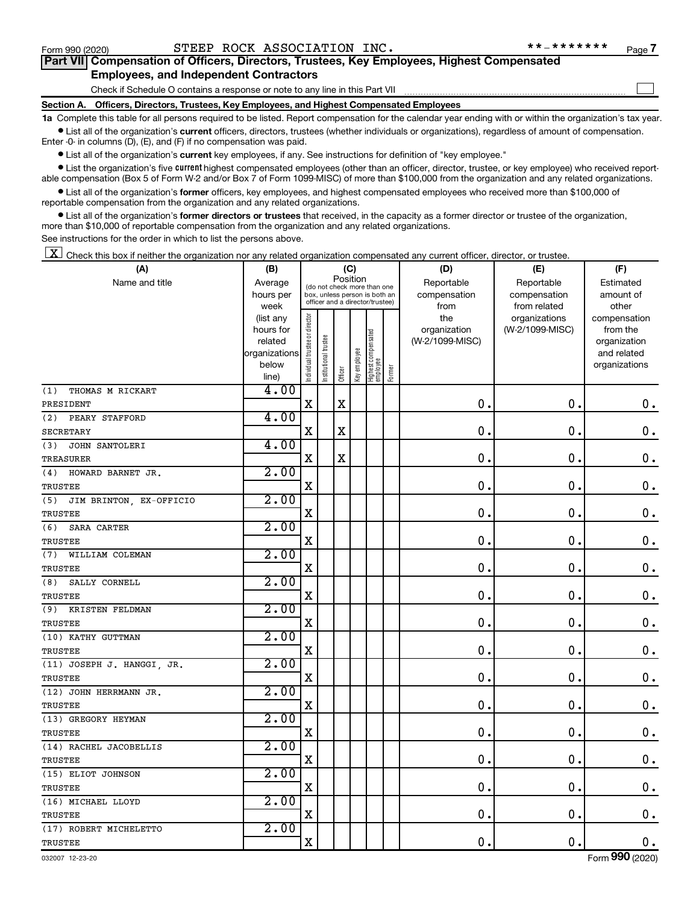$\Box$ 

## **Part VII Compensation of Officers, Directors, Trustees, Key Employees, Highest Compensated Employees, and Independent Contractors**

Check if Schedule O contains a response or note to any line in this Part VII

**Section A. Officers, Directors, Trustees, Key Employees, and Highest Compensated Employees**

**1a**  Complete this table for all persons required to be listed. Report compensation for the calendar year ending with or within the organization's tax year.  $\bullet$  List all of the organization's current officers, directors, trustees (whether individuals or organizations), regardless of amount of compensation.

Enter -0- in columns (D), (E), and (F) if no compensation was paid.

**•** List all of the organization's current key employees, if any. See instructions for definition of "key employee."

• List the organization's five *current* highest compensated employees (other than an officer, director, trustee, or key employee) who received reportable compensation (Box 5 of Form W-2 and/or Box 7 of Form 1099-MISC) of more than \$100,000 from the organization and any related organizations.

 $\bullet$  List all of the organization's former officers, key employees, and highest compensated employees who received more than \$100,000 of reportable compensation from the organization and any related organizations.

**•** List all of the organization's former directors or trustees that received, in the capacity as a former director or trustee of the organization, more than \$10,000 of reportable compensation from the organization and any related organizations.

See instructions for the order in which to list the persons above.

 $\boxed{\textbf{X}}$  Check this box if neither the organization nor any related organization compensated any current officer, director, or trustee.

| (A)                            | (B)                    | (C)                                     |                                                                  |             |              |                                   |        | (D)             | (E)                              | (F)                      |  |  |
|--------------------------------|------------------------|-----------------------------------------|------------------------------------------------------------------|-------------|--------------|-----------------------------------|--------|-----------------|----------------------------------|--------------------------|--|--|
| Name and title                 | Average                | Position<br>(do not check more than one |                                                                  |             |              |                                   |        | Reportable      | Reportable                       | Estimated                |  |  |
|                                | hours per              |                                         | box, unless person is both an<br>officer and a director/trustee) |             |              |                                   |        | compensation    | compensation                     | amount of                |  |  |
|                                | week                   |                                         |                                                                  |             |              |                                   |        | from<br>the     | from related                     | other                    |  |  |
|                                | (list any<br>hours for |                                         |                                                                  |             |              |                                   |        | organization    | organizations<br>(W-2/1099-MISC) | compensation<br>from the |  |  |
|                                | related                |                                         | trustee                                                          |             |              |                                   |        | (W-2/1099-MISC) |                                  | organization             |  |  |
|                                | organizations          |                                         |                                                                  |             |              |                                   |        |                 |                                  | and related              |  |  |
|                                | below                  | Individual trustee or director          | Institutional t                                                  |             | Key employee |                                   |        |                 |                                  | organizations            |  |  |
|                                | line)                  |                                         |                                                                  | Officer     |              | Highest compensated<br>  employee | Former |                 |                                  |                          |  |  |
| (1)<br>THOMAS M RICKART        | 4.00                   |                                         |                                                                  |             |              |                                   |        |                 |                                  |                          |  |  |
| PRESIDENT                      |                        | $\mathbf x$                             |                                                                  | $\mathbf X$ |              |                                   |        | 0.              | $\mathbf 0$ .                    | $\mathbf 0$ .            |  |  |
| (2)<br>PEARY STAFFORD          | 4.00                   |                                         |                                                                  |             |              |                                   |        |                 |                                  |                          |  |  |
| <b>SECRETARY</b>               |                        | $\mathbf x$                             |                                                                  | X           |              |                                   |        | $\mathbf 0$ .   | $\mathbf 0$ .                    | $\mathbf 0$ .            |  |  |
| JOHN SANTOLERI<br>(3)          | 4.00                   |                                         |                                                                  |             |              |                                   |        |                 |                                  |                          |  |  |
| <b>TREASURER</b>               |                        | $\mathbf X$                             |                                                                  | $\mathbf X$ |              |                                   |        | $\mathbf 0$ .   | $\mathbf 0$ .                    | $\mathbf 0$ .            |  |  |
| HOWARD BARNET JR.<br>(4)       | 2.00                   |                                         |                                                                  |             |              |                                   |        |                 |                                  |                          |  |  |
| <b>TRUSTEE</b>                 |                        | $\mathbf x$                             |                                                                  |             |              |                                   |        | $\mathbf 0$ .   | $\mathbf 0$ .                    | $\mathbf 0$ .            |  |  |
| JIM BRINTON, EX-OFFICIO<br>(5) | 2.00                   |                                         |                                                                  |             |              |                                   |        |                 |                                  |                          |  |  |
| <b>TRUSTEE</b>                 |                        | $\mathbf X$                             |                                                                  |             |              |                                   |        | $\mathbf 0$ .   | $\mathbf 0$ .                    | $\mathbf 0$ .            |  |  |
| (6)<br>SARA CARTER             | 2.00                   |                                         |                                                                  |             |              |                                   |        |                 |                                  |                          |  |  |
| TRUSTEE                        |                        | $\mathbf X$                             |                                                                  |             |              |                                   |        | $\mathbf 0$ .   | $\mathbf 0$ .                    | $\mathbf 0$ .            |  |  |
| (7)<br>WILLIAM COLEMAN         | 2.00                   |                                         |                                                                  |             |              |                                   |        |                 |                                  |                          |  |  |
| <b>TRUSTEE</b>                 |                        | $\mathbf X$                             |                                                                  |             |              |                                   |        | $\mathbf 0$ .   | $\mathbf 0$ .                    | $0$ .                    |  |  |
| (8)<br>SALLY CORNELL           | 2.00                   |                                         |                                                                  |             |              |                                   |        |                 |                                  |                          |  |  |
| TRUSTEE                        |                        | $\overline{\mathbf{X}}$                 |                                                                  |             |              |                                   |        | $\mathbf 0$ .   | $\mathbf 0$ .                    | $\mathbf 0$ .            |  |  |
| (9) KRISTEN FELDMAN            | 2.00                   |                                         |                                                                  |             |              |                                   |        |                 |                                  |                          |  |  |
| TRUSTEE                        |                        | $\mathbf X$                             |                                                                  |             |              |                                   |        | $\mathbf 0$ .   | $\mathbf 0$ .                    | 0.                       |  |  |
| (10) KATHY GUTTMAN             | 2.00                   |                                         |                                                                  |             |              |                                   |        |                 |                                  |                          |  |  |
| TRUSTEE                        |                        | X                                       |                                                                  |             |              |                                   |        | 0               | $\mathbf 0$                      | 0.                       |  |  |
| (11) JOSEPH J. HANGGI, JR.     | 2.00                   |                                         |                                                                  |             |              |                                   |        |                 |                                  |                          |  |  |
| <b>TRUSTEE</b>                 |                        | $\mathbf X$                             |                                                                  |             |              |                                   |        | $\mathbf 0$ .   | 0.                               | $\mathbf 0$ .            |  |  |
| (12) JOHN HERRMANN JR.         | 2.00                   |                                         |                                                                  |             |              |                                   |        |                 |                                  |                          |  |  |
| <b>TRUSTEE</b>                 |                        | $\mathbf X$                             |                                                                  |             |              |                                   |        | $\mathbf 0$ .   | $\mathbf 0$ .                    | $0$ .                    |  |  |
| (13) GREGORY HEYMAN            | 2.00                   |                                         |                                                                  |             |              |                                   |        |                 |                                  |                          |  |  |
| TRUSTEE                        |                        | $\mathbf X$                             |                                                                  |             |              |                                   |        | 0.              | $\mathbf 0$ .                    | $\boldsymbol{0}$ .       |  |  |
| (14) RACHEL JACOBELLIS         | 2.00                   |                                         |                                                                  |             |              |                                   |        |                 |                                  |                          |  |  |
| TRUSTEE                        |                        | $\mathbf X$                             |                                                                  |             |              |                                   |        | $\mathbf 0$ .   | $\mathbf 0$ .                    | 0.                       |  |  |
| (15) ELIOT JOHNSON             | 2.00                   |                                         |                                                                  |             |              |                                   |        |                 |                                  |                          |  |  |
| <b>TRUSTEE</b>                 |                        | $\mathbf X$                             |                                                                  |             |              |                                   |        | 0.              | $\mathbf 0$ .                    | $\mathbf 0$ .            |  |  |
| (16) MICHAEL LLOYD             | 2.00                   |                                         |                                                                  |             |              |                                   |        |                 |                                  |                          |  |  |
| TRUSTEE                        |                        | $\mathbf x$                             |                                                                  |             |              |                                   |        | 0.              | $\mathbf 0$ .                    | 0.                       |  |  |
| (17) ROBERT MICHELETTO         | 2.00                   |                                         |                                                                  |             |              |                                   |        |                 |                                  |                          |  |  |
| TRUSTEE                        |                        | $\mathbf X$                             |                                                                  |             |              |                                   |        | $\mathbf 0$ .   | $\mathbf 0$ .                    | $\mathbf 0$ .            |  |  |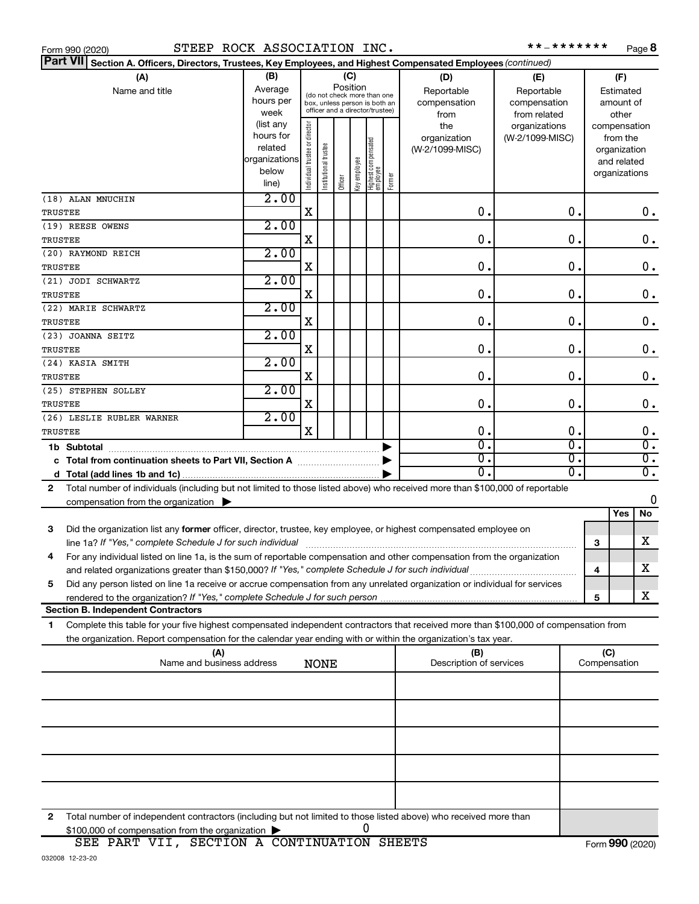| STEEP ROCK ASSOCIATION INC.<br>Form 990 (2020)                                                                                                                                                                                  |                                                                      |                                |                       |                                                                                                                    |              |                                   |        |                                           | **_*******                                        |     | Page 8                                                                   |
|---------------------------------------------------------------------------------------------------------------------------------------------------------------------------------------------------------------------------------|----------------------------------------------------------------------|--------------------------------|-----------------------|--------------------------------------------------------------------------------------------------------------------|--------------|-----------------------------------|--------|-------------------------------------------|---------------------------------------------------|-----|--------------------------------------------------------------------------|
| Part VII Section A. Officers, Directors, Trustees, Key Employees, and Highest Compensated Employees (continued)                                                                                                                 |                                                                      |                                |                       |                                                                                                                    |              |                                   |        |                                           |                                                   |     |                                                                          |
| (A)<br>Name and title                                                                                                                                                                                                           | (B)<br>Average<br>hours per<br>week                                  |                                |                       | (C)<br>Position<br>(do not check more than one<br>box, unless person is both an<br>officer and a director/trustee) |              |                                   |        | (D)<br>Reportable<br>compensation<br>from | (E)<br>Reportable<br>compensation<br>from related |     | (F)<br>Estimated<br>amount of<br>other                                   |
|                                                                                                                                                                                                                                 | (list any<br>hours for<br>related<br>organizations<br>below<br>line) | Individual trustee or director | Institutional trustee | Officer                                                                                                            | Key employee | Highest compensated<br>  employee | Former | the<br>organization<br>(W-2/1099-MISC)    | organizations<br>(W-2/1099-MISC)                  |     | compensation<br>from the<br>organization<br>and related<br>organizations |
| (18) ALAN MNUCHIN<br>TRUSTEE                                                                                                                                                                                                    | 2.00                                                                 | X                              |                       |                                                                                                                    |              |                                   |        | 0.                                        | 0.                                                |     | $0$ .                                                                    |
| (19) REESE OWENS                                                                                                                                                                                                                | 2.00                                                                 |                                |                       |                                                                                                                    |              |                                   |        |                                           |                                                   |     |                                                                          |
| TRUSTEE                                                                                                                                                                                                                         | 2.00                                                                 | х                              |                       |                                                                                                                    |              |                                   |        | $\mathbf 0$ .                             | 0.                                                |     | 0.                                                                       |
| (20) RAYMOND REICH<br>TRUSTEE                                                                                                                                                                                                   |                                                                      | х                              |                       |                                                                                                                    |              |                                   |        | $\mathbf 0$ .                             | 0.                                                |     | 0.                                                                       |
| (21) JODI SCHWARTZ<br><b>TRUSTEE</b>                                                                                                                                                                                            | 2.00                                                                 | х                              |                       |                                                                                                                    |              |                                   |        | $\mathbf 0$ .                             | 0.                                                |     | 0.                                                                       |
| (22) MARIE SCHWARTZ                                                                                                                                                                                                             | 2.00                                                                 |                                |                       |                                                                                                                    |              |                                   |        |                                           |                                                   |     |                                                                          |
| TRUSTEE<br>(23) JOANNA SEITZ                                                                                                                                                                                                    | 2.00                                                                 | х                              |                       |                                                                                                                    |              |                                   |        | $\mathbf 0$ .                             | 0.                                                |     | 0.                                                                       |
| TRUSTEE                                                                                                                                                                                                                         |                                                                      | х                              |                       |                                                                                                                    |              |                                   |        | $\mathbf 0$ .                             | 0.                                                |     | 0.                                                                       |
| (24) KASIA SMITH<br>TRUSTEE                                                                                                                                                                                                     | 2.00                                                                 | х                              |                       |                                                                                                                    |              |                                   |        | 0.                                        | 0.                                                |     | 0.                                                                       |
| (25) STEPHEN SOLLEY                                                                                                                                                                                                             | 2.00                                                                 |                                |                       |                                                                                                                    |              |                                   |        | 0.                                        |                                                   |     |                                                                          |
| TRUSTEE<br>(26) LESLIE RUBLER WARNER                                                                                                                                                                                            | 2.00                                                                 | х                              |                       |                                                                                                                    |              |                                   |        |                                           | 0.                                                |     | 0.                                                                       |
| TRUSTEE                                                                                                                                                                                                                         |                                                                      | X                              |                       |                                                                                                                    |              |                                   |        | 0.                                        | 0.                                                |     | 0.                                                                       |
|                                                                                                                                                                                                                                 |                                                                      |                                |                       |                                                                                                                    |              |                                   |        | σ.<br>σ.                                  | σ.<br>σ.                                          |     | $\overline{0}$ .<br>$\overline{0}$ .                                     |
|                                                                                                                                                                                                                                 |                                                                      |                                |                       |                                                                                                                    |              |                                   |        | О.                                        | σ.                                                |     | $\overline{0}$ .                                                         |
| Total number of individuals (including but not limited to those listed above) who received more than \$100,000 of reportable<br>2                                                                                               |                                                                      |                                |                       |                                                                                                                    |              |                                   |        |                                           |                                                   |     |                                                                          |
| compensation from the organization $\blacktriangleright$                                                                                                                                                                        |                                                                      |                                |                       |                                                                                                                    |              |                                   |        |                                           |                                                   |     | 0                                                                        |
| 3<br>Did the organization list any former officer, director, trustee, key employee, or highest compensated employee on                                                                                                          |                                                                      |                                |                       |                                                                                                                    |              |                                   |        |                                           |                                                   |     | Yes<br>No                                                                |
| line 1a? If "Yes," complete Schedule J for such individual manufacture content to the set of the set of the schedule J for such individual                                                                                      |                                                                      |                                |                       |                                                                                                                    |              |                                   |        |                                           |                                                   | 3   | х                                                                        |
| For any individual listed on line 1a, is the sum of reportable compensation and other compensation from the organization<br>and related organizations greater than \$150,000? If "Yes," complete Schedule J for such individual |                                                                      |                                |                       |                                                                                                                    |              |                                   |        |                                           |                                                   | 4   | х                                                                        |
| Did any person listed on line 1a receive or accrue compensation from any unrelated organization or individual for services<br>5                                                                                                 |                                                                      |                                |                       |                                                                                                                    |              |                                   |        |                                           |                                                   |     | х                                                                        |
| <b>Section B. Independent Contractors</b>                                                                                                                                                                                       |                                                                      |                                |                       |                                                                                                                    |              |                                   |        |                                           |                                                   | 5   |                                                                          |
| Complete this table for your five highest compensated independent contractors that received more than \$100,000 of compensation from<br>1                                                                                       |                                                                      |                                |                       |                                                                                                                    |              |                                   |        |                                           |                                                   |     |                                                                          |
| the organization. Report compensation for the calendar year ending with or within the organization's tax year.<br>(A)                                                                                                           |                                                                      |                                |                       |                                                                                                                    |              |                                   |        | (B)                                       |                                                   | (C) |                                                                          |
| Name and business address                                                                                                                                                                                                       |                                                                      |                                | <b>NONE</b>           |                                                                                                                    |              |                                   |        | Description of services                   |                                                   |     | Compensation                                                             |
|                                                                                                                                                                                                                                 |                                                                      |                                |                       |                                                                                                                    |              |                                   |        |                                           |                                                   |     |                                                                          |
|                                                                                                                                                                                                                                 |                                                                      |                                |                       |                                                                                                                    |              |                                   |        |                                           |                                                   |     |                                                                          |
|                                                                                                                                                                                                                                 |                                                                      |                                |                       |                                                                                                                    |              |                                   |        |                                           |                                                   |     |                                                                          |
|                                                                                                                                                                                                                                 |                                                                      |                                |                       |                                                                                                                    |              |                                   |        |                                           |                                                   |     |                                                                          |
|                                                                                                                                                                                                                                 |                                                                      |                                |                       |                                                                                                                    |              |                                   |        |                                           |                                                   |     |                                                                          |
|                                                                                                                                                                                                                                 |                                                                      |                                |                       |                                                                                                                    |              |                                   |        |                                           |                                                   |     |                                                                          |
| Total number of independent contractors (including but not limited to those listed above) who received more than<br>2<br>\$100,000 of compensation from the organization                                                        |                                                                      |                                |                       |                                                                                                                    |              | 0                                 |        |                                           |                                                   |     |                                                                          |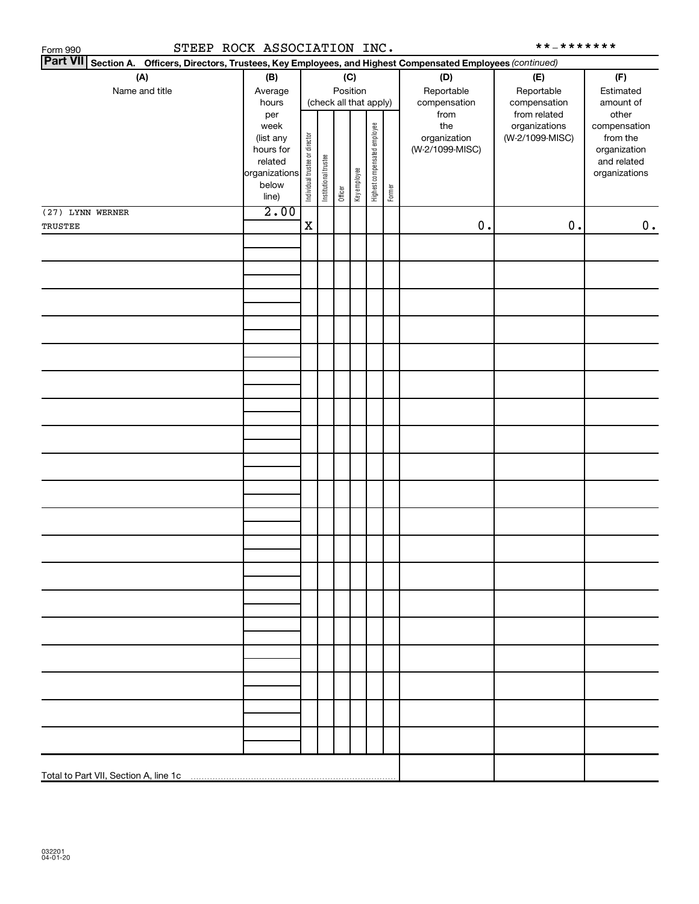| STEEP ROCK ASSOCIATION INC.<br>Form 990                                                                         |                                                                                     |                                |                                           |         |              |                              |        |                                                | **_*******                                       |                                                                                   |
|-----------------------------------------------------------------------------------------------------------------|-------------------------------------------------------------------------------------|--------------------------------|-------------------------------------------|---------|--------------|------------------------------|--------|------------------------------------------------|--------------------------------------------------|-----------------------------------------------------------------------------------|
| Part VII Section A. Officers, Directors, Trustees, Key Employees, and Highest Compensated Employees (continued) |                                                                                     |                                |                                           |         |              |                              |        |                                                |                                                  |                                                                                   |
| (A)<br>Name and title                                                                                           | (B)<br>Average<br>hours                                                             |                                | (C)<br>Position<br>(check all that apply) |         |              |                              |        | (D)<br>Reportable<br>compensation              | (E)<br>Reportable<br>compensation                | (F)<br>Estimated<br>amount of                                                     |
|                                                                                                                 | per<br>week<br>(list any<br>hours for<br>related<br>organizations<br>below<br>line) | Individual trustee or director | Institutional trustee                     | Officer | Key employee | Highest compensated employee | Former | from<br>the<br>organization<br>(W-2/1099-MISC) | from related<br>organizations<br>(W-2/1099-MISC) | other<br>compensation<br>from the<br>organization<br>and related<br>organizations |
| (27) LYNN WERNER                                                                                                | 2.00                                                                                |                                |                                           |         |              |                              |        |                                                |                                                  |                                                                                   |
| TRUSTEE                                                                                                         |                                                                                     | $\mathbf X$                    |                                           |         |              |                              |        | $0$ .                                          | $0$ .                                            | 0.                                                                                |
|                                                                                                                 |                                                                                     |                                |                                           |         |              |                              |        |                                                |                                                  |                                                                                   |
|                                                                                                                 |                                                                                     |                                |                                           |         |              |                              |        |                                                |                                                  |                                                                                   |
|                                                                                                                 |                                                                                     |                                |                                           |         |              |                              |        |                                                |                                                  |                                                                                   |
|                                                                                                                 |                                                                                     |                                |                                           |         |              |                              |        |                                                |                                                  |                                                                                   |
|                                                                                                                 |                                                                                     |                                |                                           |         |              |                              |        |                                                |                                                  |                                                                                   |
|                                                                                                                 |                                                                                     |                                |                                           |         |              |                              |        |                                                |                                                  |                                                                                   |
|                                                                                                                 |                                                                                     |                                |                                           |         |              |                              |        |                                                |                                                  |                                                                                   |
|                                                                                                                 |                                                                                     |                                |                                           |         |              |                              |        |                                                |                                                  |                                                                                   |
|                                                                                                                 |                                                                                     |                                |                                           |         |              |                              |        |                                                |                                                  |                                                                                   |
|                                                                                                                 |                                                                                     |                                |                                           |         |              |                              |        |                                                |                                                  |                                                                                   |
|                                                                                                                 |                                                                                     |                                |                                           |         |              |                              |        |                                                |                                                  |                                                                                   |
|                                                                                                                 |                                                                                     |                                |                                           |         |              |                              |        |                                                |                                                  |                                                                                   |
|                                                                                                                 |                                                                                     |                                |                                           |         |              |                              |        |                                                |                                                  |                                                                                   |
|                                                                                                                 |                                                                                     |                                |                                           |         |              |                              |        |                                                |                                                  |                                                                                   |
|                                                                                                                 |                                                                                     |                                |                                           |         |              |                              |        |                                                |                                                  |                                                                                   |
|                                                                                                                 |                                                                                     |                                |                                           |         |              |                              |        |                                                |                                                  |                                                                                   |
|                                                                                                                 |                                                                                     |                                |                                           |         |              |                              |        |                                                |                                                  |                                                                                   |
|                                                                                                                 |                                                                                     |                                |                                           |         |              |                              |        |                                                |                                                  |                                                                                   |
|                                                                                                                 |                                                                                     |                                |                                           |         |              |                              |        |                                                |                                                  |                                                                                   |
|                                                                                                                 |                                                                                     |                                |                                           |         |              |                              |        |                                                |                                                  |                                                                                   |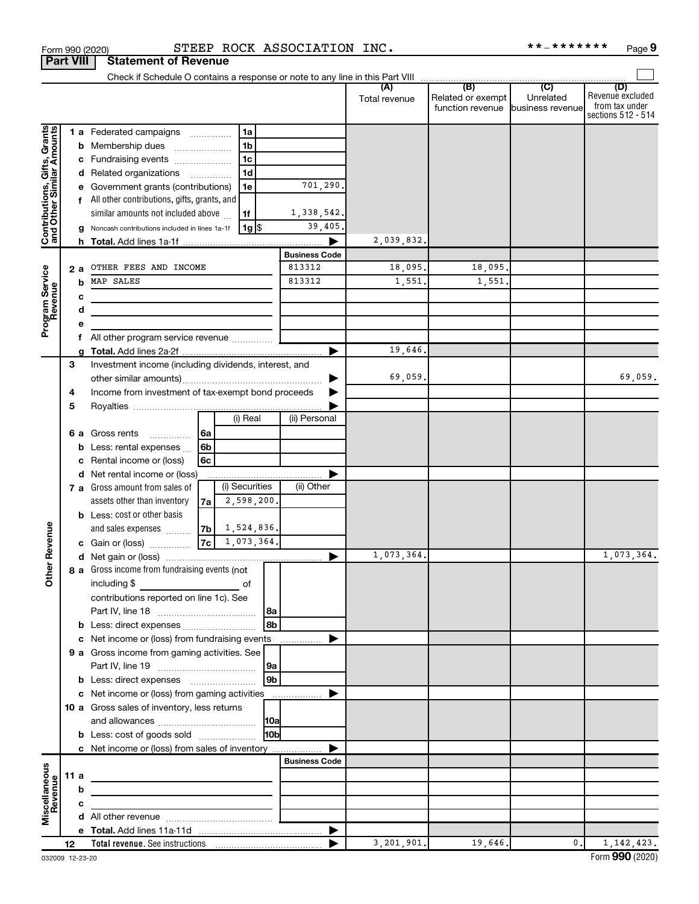|                                                           | <b>Part VIII</b> |                                                    | <b>Statement of Revenue</b>                                                                                    |    |                      |          |                      |                      |                                                        |                |                                                                 |
|-----------------------------------------------------------|------------------|----------------------------------------------------|----------------------------------------------------------------------------------------------------------------|----|----------------------|----------|----------------------|----------------------|--------------------------------------------------------|----------------|-----------------------------------------------------------------|
|                                                           |                  |                                                    |                                                                                                                |    |                      |          |                      |                      | (B)                                                    | $\overline{C}$ |                                                                 |
|                                                           |                  |                                                    |                                                                                                                |    |                      |          |                      | (A)<br>Total revenue | Related or exempt<br>function revenue business revenue | Unrelated      | (D)<br>Revenue excluded<br>from tax under<br>sections 512 - 514 |
| Contributions, Gifts, Grants<br>and Other Similar Amounts |                  |                                                    | 1 a Federated campaigns                                                                                        |    | 1a                   |          |                      |                      |                                                        |                |                                                                 |
|                                                           |                  |                                                    | <b>b</b> Membership dues                                                                                       |    | 1 <sub>b</sub>       |          |                      |                      |                                                        |                |                                                                 |
|                                                           |                  |                                                    | c Fundraising events                                                                                           |    | 1 <sub>c</sub>       |          |                      |                      |                                                        |                |                                                                 |
|                                                           |                  |                                                    | d Related organizations                                                                                        |    | 1 <sub>d</sub><br>1e |          | 701,290.             |                      |                                                        |                |                                                                 |
|                                                           |                  |                                                    | e Government grants (contributions)<br>f All other contributions, gifts, grants, and                           |    |                      |          |                      |                      |                                                        |                |                                                                 |
|                                                           |                  |                                                    | similar amounts not included above                                                                             |    | 1f                   |          | 1,338,542.           |                      |                                                        |                |                                                                 |
|                                                           |                  |                                                    | Noncash contributions included in lines 1a-1f                                                                  |    | $1g$ \$              |          | 39,405.              |                      |                                                        |                |                                                                 |
|                                                           |                  |                                                    |                                                                                                                |    |                      |          |                      | 2,039,832.           |                                                        |                |                                                                 |
|                                                           |                  |                                                    |                                                                                                                |    |                      |          | <b>Business Code</b> |                      |                                                        |                |                                                                 |
|                                                           | 2a               |                                                    | OTHER FEES AND INCOME                                                                                          |    |                      |          | 813312               | 18,095.              | 18,095.                                                |                |                                                                 |
|                                                           |                  | b                                                  | MAP SALES                                                                                                      |    |                      |          | 813312               | 1,551,               | 1,551.                                                 |                |                                                                 |
|                                                           |                  | с                                                  | the control of the control of the control of the control of                                                    |    |                      |          |                      |                      |                                                        |                |                                                                 |
|                                                           |                  | d                                                  | the control of the control of the control of the control of                                                    |    |                      |          |                      |                      |                                                        |                |                                                                 |
| Program Service<br>Revenue                                |                  | е                                                  |                                                                                                                |    |                      |          |                      |                      |                                                        |                |                                                                 |
|                                                           |                  |                                                    | f All other program service revenue                                                                            |    |                      |          |                      |                      |                                                        |                |                                                                 |
|                                                           |                  |                                                    |                                                                                                                |    |                      |          | ►                    | 19,646.              |                                                        |                |                                                                 |
|                                                           | 3                |                                                    | Investment income (including dividends, interest, and                                                          |    |                      |          |                      |                      |                                                        |                |                                                                 |
|                                                           |                  |                                                    |                                                                                                                |    |                      |          |                      | 69,059.              |                                                        |                | 69,059.                                                         |
|                                                           | 4                | Income from investment of tax-exempt bond proceeds |                                                                                                                |    |                      |          |                      |                      |                                                        |                |                                                                 |
|                                                           | 5                |                                                    |                                                                                                                |    |                      |          |                      |                      |                                                        |                |                                                                 |
|                                                           |                  |                                                    |                                                                                                                |    | (i) Real             |          | (ii) Personal        |                      |                                                        |                |                                                                 |
|                                                           |                  |                                                    | 6 a Gross rents<br>$\overline{\phantom{a}}$                                                                    | 6a |                      |          |                      |                      |                                                        |                |                                                                 |
|                                                           |                  |                                                    | <b>b</b> Less: rental expenses $\ldots$                                                                        | 6b |                      |          |                      |                      |                                                        |                |                                                                 |
|                                                           |                  |                                                    | c Rental income or (loss)                                                                                      | 6с |                      |          |                      |                      |                                                        |                |                                                                 |
|                                                           |                  |                                                    | d Net rental income or (loss)<br>7 a Gross amount from sales of                                                |    | (i) Securities       |          | (ii) Other           |                      |                                                        |                |                                                                 |
|                                                           |                  |                                                    | assets other than inventory                                                                                    | 7a | 2,598,200.           |          |                      |                      |                                                        |                |                                                                 |
|                                                           |                  |                                                    | <b>b</b> Less: cost or other basis                                                                             |    |                      |          |                      |                      |                                                        |                |                                                                 |
|                                                           |                  |                                                    | and sales expenses                                                                                             |    | $ 7b $ 1, 524, 836.  |          |                      |                      |                                                        |                |                                                                 |
| Revenue                                                   |                  |                                                    | c Gain or (loss)                                                                                               |    | $ 7c $ 1, 073, 364.  |          |                      |                      |                                                        |                |                                                                 |
|                                                           |                  |                                                    |                                                                                                                |    |                      |          | ▶                    | 1,073,364.           |                                                        |                | 1,073,364.                                                      |
|                                                           |                  |                                                    | 8 a Gross income from fundraising events (not                                                                  |    |                      |          |                      |                      |                                                        |                |                                                                 |
| š                                                         |                  |                                                    | including \$<br><u> 1990 - Johann Barbara, martin a</u>                                                        |    | of                   |          |                      |                      |                                                        |                |                                                                 |
|                                                           |                  |                                                    | contributions reported on line 1c). See                                                                        |    |                      |          |                      |                      |                                                        |                |                                                                 |
|                                                           |                  |                                                    |                                                                                                                |    |                      | l 8a     |                      |                      |                                                        |                |                                                                 |
|                                                           |                  |                                                    | <b>b</b> Less: direct expenses                                                                                 |    |                      | 8b       |                      |                      |                                                        |                |                                                                 |
|                                                           |                  |                                                    | c Net income or (loss) from fundraising events                                                                 |    |                      |          |                      |                      |                                                        |                |                                                                 |
|                                                           |                  |                                                    | 9 a Gross income from gaming activities. See                                                                   |    |                      |          |                      |                      |                                                        |                |                                                                 |
|                                                           |                  |                                                    |                                                                                                                |    |                      | 9a<br>9b |                      |                      |                                                        |                |                                                                 |
|                                                           |                  |                                                    | c Net income or (loss) from gaming activities                                                                  |    |                      |          |                      |                      |                                                        |                |                                                                 |
|                                                           |                  |                                                    | 10 a Gross sales of inventory, less returns                                                                    |    |                      |          |                      |                      |                                                        |                |                                                                 |
|                                                           |                  |                                                    |                                                                                                                |    |                      |          |                      |                      |                                                        |                |                                                                 |
|                                                           |                  |                                                    | <b>b</b> Less: cost of goods sold                                                                              |    |                      | l10bl    |                      |                      |                                                        |                |                                                                 |
|                                                           |                  |                                                    | c Net income or (loss) from sales of inventory                                                                 |    |                      |          |                      |                      |                                                        |                |                                                                 |
|                                                           |                  |                                                    |                                                                                                                |    |                      |          | <b>Business Code</b> |                      |                                                        |                |                                                                 |
|                                                           | 11 a             |                                                    | the contract of the contract of the contract of the contract of the                                            |    |                      |          |                      |                      |                                                        |                |                                                                 |
| Revenue                                                   |                  | b                                                  | the control of the control of the control of the control of the control of                                     |    |                      |          |                      |                      |                                                        |                |                                                                 |
|                                                           |                  | с                                                  | <u> 1989 - Johann Barbara, martin a</u>                                                                        |    |                      |          |                      |                      |                                                        |                |                                                                 |
| Miscellaneous                                             |                  |                                                    |                                                                                                                |    |                      |          |                      |                      |                                                        |                |                                                                 |
|                                                           |                  |                                                    |                                                                                                                |    |                      |          |                      |                      |                                                        |                |                                                                 |
|                                                           | 12               |                                                    | Total revenue. See instructions [1001] [1001] [1001] [1001] [1001] [1001] [1001] [1001] [1001] [1001] [1001] [ |    |                      |          | ▶                    | 3,201,901.           | 19,646.                                                | 0.1            | 1, 142, 423.                                                    |

Form 990 (2020) Page

STEEP ROCK ASSOCIATION INC. \*\*-\*\*\*\*\*\*\*

**9**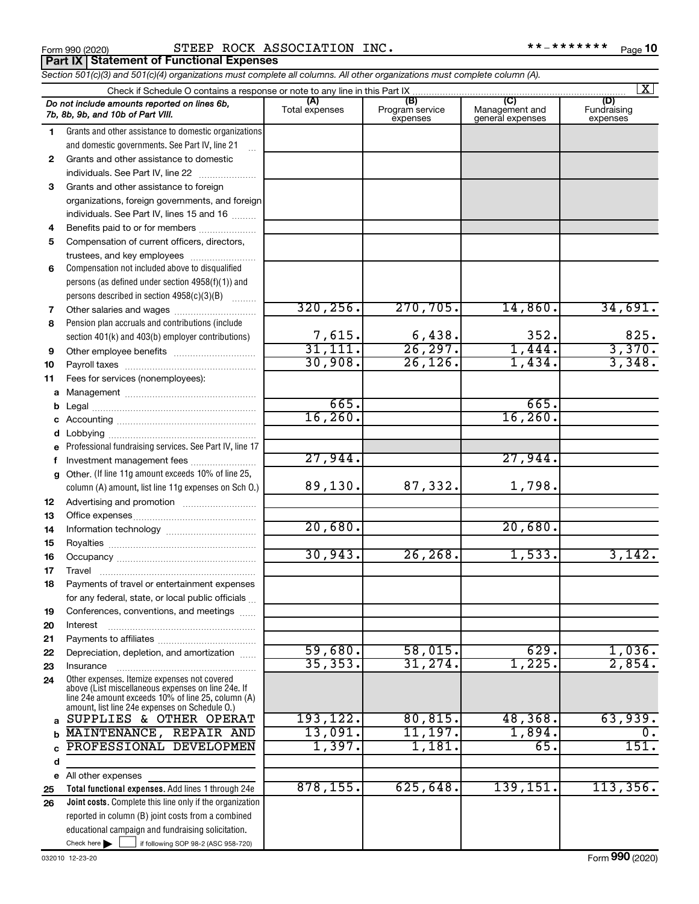Form 990 (2020) Page STEEP ROCK ASSOCIATION INC. \*\*-\*\*\*\*\*\*\* **Part IX Statement of Functional Expenses**

|              | Section 501(c)(3) and 501(c)(4) organizations must complete all columns. All other organizations must complete column (A).                                                                                 |                        |                                    |                                           |                                |
|--------------|------------------------------------------------------------------------------------------------------------------------------------------------------------------------------------------------------------|------------------------|------------------------------------|-------------------------------------------|--------------------------------|
|              | Check if Schedule O contains a response or note to any line in this Part IX                                                                                                                                |                        |                                    |                                           | X                              |
|              | Do not include amounts reported on lines 6b,<br>7b, 8b, 9b, and 10b of Part VIII.                                                                                                                          | (A)<br>Total expenses  | (B)<br>Program service<br>expenses | (C)<br>Management and<br>general expenses | (D)<br>Fundraising<br>expenses |
| 1            | Grants and other assistance to domestic organizations                                                                                                                                                      |                        |                                    |                                           |                                |
|              | and domestic governments. See Part IV, line 21                                                                                                                                                             |                        |                                    |                                           |                                |
| $\mathbf{2}$ | Grants and other assistance to domestic                                                                                                                                                                    |                        |                                    |                                           |                                |
|              | individuals. See Part IV, line 22                                                                                                                                                                          |                        |                                    |                                           |                                |
| 3            | Grants and other assistance to foreign                                                                                                                                                                     |                        |                                    |                                           |                                |
|              | organizations, foreign governments, and foreign                                                                                                                                                            |                        |                                    |                                           |                                |
|              | individuals. See Part IV, lines 15 and 16                                                                                                                                                                  |                        |                                    |                                           |                                |
| 4            | Benefits paid to or for members                                                                                                                                                                            |                        |                                    |                                           |                                |
| 5            | Compensation of current officers, directors,                                                                                                                                                               |                        |                                    |                                           |                                |
|              | trustees, and key employees                                                                                                                                                                                |                        |                                    |                                           |                                |
| 6            | Compensation not included above to disqualified                                                                                                                                                            |                        |                                    |                                           |                                |
|              | persons (as defined under section 4958(f)(1)) and                                                                                                                                                          |                        |                                    |                                           |                                |
|              | persons described in section 4958(c)(3)(B)                                                                                                                                                                 |                        |                                    |                                           |                                |
| 7            | Other salaries and wages                                                                                                                                                                                   | 320, 256.              | 270, 705.                          | 14,860.                                   | 34,691.                        |
| 8            | Pension plan accruals and contributions (include                                                                                                                                                           |                        |                                    |                                           |                                |
|              | section 401(k) and 403(b) employer contributions)                                                                                                                                                          | $\frac{7,615}{31,111}$ | $\frac{6,438}{26,297}$             | 352.                                      | $\frac{825}{3,370}$ .          |
| 9            |                                                                                                                                                                                                            |                        |                                    | 1,444.                                    |                                |
| 10           |                                                                                                                                                                                                            | 30,908.                | 26, 126.                           | 1,434.                                    | 3,348.                         |
| 11           | Fees for services (nonemployees):                                                                                                                                                                          |                        |                                    |                                           |                                |
|              |                                                                                                                                                                                                            |                        |                                    |                                           |                                |
|              |                                                                                                                                                                                                            | 665.                   |                                    | 665.                                      |                                |
|              |                                                                                                                                                                                                            | 16, 260.               |                                    | 16, 260.                                  |                                |
|              |                                                                                                                                                                                                            |                        |                                    |                                           |                                |
|              | Professional fundraising services. See Part IV, line 17                                                                                                                                                    |                        |                                    |                                           |                                |
|              | Investment management fees                                                                                                                                                                                 | 27,944.                |                                    | 27,944.                                   |                                |
|              | g Other. (If line 11g amount exceeds 10% of line 25,                                                                                                                                                       |                        |                                    |                                           |                                |
|              | column (A) amount, list line 11g expenses on Sch O.)                                                                                                                                                       | 89,130.                | 87,332.                            | 1,798.                                    |                                |
| 12           |                                                                                                                                                                                                            |                        |                                    |                                           |                                |
| 13           |                                                                                                                                                                                                            |                        |                                    |                                           |                                |
| 14           |                                                                                                                                                                                                            | 20,680.                |                                    | 20,680.                                   |                                |
| 15           |                                                                                                                                                                                                            |                        |                                    |                                           |                                |
| 16           |                                                                                                                                                                                                            | 30,943.                | 26, 268.                           | 1,533.                                    | 3,142.                         |
| 17           |                                                                                                                                                                                                            |                        |                                    |                                           |                                |
| 18           | Payments of travel or entertainment expenses                                                                                                                                                               |                        |                                    |                                           |                                |
|              | for any federal, state, or local public officials                                                                                                                                                          |                        |                                    |                                           |                                |
| 19           | Conferences, conventions, and meetings                                                                                                                                                                     |                        |                                    |                                           |                                |
| 20           | Interest                                                                                                                                                                                                   |                        |                                    |                                           |                                |
| 21           |                                                                                                                                                                                                            |                        |                                    |                                           |                                |
| 22           | Depreciation, depletion, and amortization                                                                                                                                                                  | 59,680.                | 58,015.                            | 629.                                      | 1,036.                         |
| 23           | Insurance                                                                                                                                                                                                  | 35, 353.               | 31,274.                            | 1,225.                                    | 2,854.                         |
| 24           | Other expenses. Itemize expenses not covered<br>above (List miscellaneous expenses on line 24e. If<br>line 24e amount exceeds 10% of line 25, column (A)<br>amount, list line 24e expenses on Schedule O.) |                        |                                    |                                           |                                |
| a            | SUPPLIES & OTHER OPERAT                                                                                                                                                                                    | 193,122.               | 80, 815.                           | 48,368.                                   | 63,939.                        |
|              | MAINTENANCE, REPAIR AND                                                                                                                                                                                    | 13,091.                | 11,197.                            | 1,894.                                    | 0.                             |
|              | PROFESSIONAL DEVELOPMEN                                                                                                                                                                                    | 1,397.                 | 1,181.                             | 65.                                       | 151.                           |
| d            |                                                                                                                                                                                                            |                        |                                    |                                           |                                |
|              | e All other expenses                                                                                                                                                                                       |                        |                                    |                                           |                                |
| 25           | Total functional expenses. Add lines 1 through 24e                                                                                                                                                         | 878, 155.              | 625, 648.                          | 139, 151.                                 | 113,356.                       |
| 26           | Joint costs. Complete this line only if the organization                                                                                                                                                   |                        |                                    |                                           |                                |
|              | reported in column (B) joint costs from a combined                                                                                                                                                         |                        |                                    |                                           |                                |
|              | educational campaign and fundraising solicitation.                                                                                                                                                         |                        |                                    |                                           |                                |

Check here

Check here  $\begin{array}{c} \begin{array}{|c} \hline \end{array} \end{array}$  if following SOP 98-2 (ASC 958-720)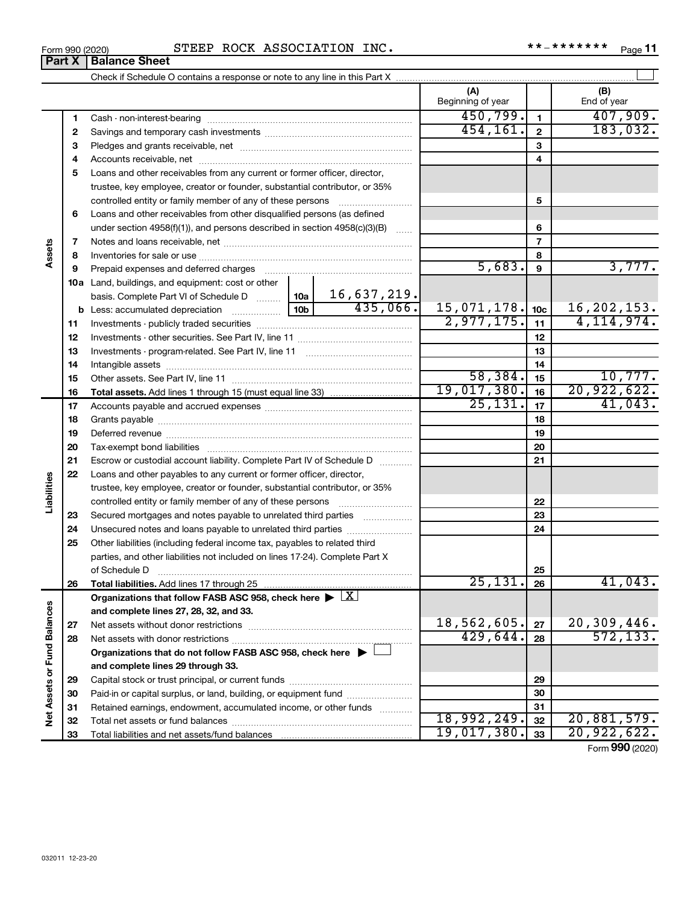| STEEP ROCK ASSOCIATION INC.<br>**_*******<br>Form 990 (2020) | Page |  |
|--------------------------------------------------------------|------|--|
|--------------------------------------------------------------|------|--|

**5** Loans and other receivables from any current or former officer, director,

trustee, key employee, creator or founder, substantial contributor, or 35% controlled entity or family member of any of these persons ~~~~~~~~~ Loans and other receivables from other disqualified persons (as defined

Cash - non-interest-bearing ~~~~~~~~~~~~~~~~~~~~~~~~~ Savings and temporary cash investments ~~~~~~~~~~~~~~~~~~ Pledges and grants receivable, net ~~~~~~~~~~~~~~~~~~~~~ Accounts receivable, net ~~~~~~~~~~~~~~~~~~~~~~~~~~

450,799. 407,909. 454,161. 183,032.

**5**

**(A) (B)**

 $\perp$ 

| Balance Sheet                                                              |                   |             |
|----------------------------------------------------------------------------|-------------------|-------------|
| Check if Schedule O contains a response or note to any line in this Part X |                   |             |
|                                                                            |                   |             |
|                                                                            | Beginning of year | End of year |

|                             |    | under section 4958(f)(1)), and persons described in section 4958(c)(3)(B)                                                                                                                                                     |  |             |             | 6               |                 |
|-----------------------------|----|-------------------------------------------------------------------------------------------------------------------------------------------------------------------------------------------------------------------------------|--|-------------|-------------|-----------------|-----------------|
|                             | 7  |                                                                                                                                                                                                                               |  |             |             | $\overline{7}$  |                 |
| Assets                      | 8  |                                                                                                                                                                                                                               |  |             |             | 8               |                 |
|                             | 9  | Prepaid expenses and deferred charges [11] [11] Prepaid expenses and deferred charges [11] [11] Martin Marian Marian Marian Marian Marian Marian Marian Marian Marian Marian Marian Marian Marian Marian Marian Marian Marian |  |             | 5,683.      | 9               | 3,777.          |
|                             |    | 10a Land, buildings, and equipment: cost or other                                                                                                                                                                             |  |             |             |                 |                 |
|                             |    | basis. Complete Part VI of Schedule D  10a                                                                                                                                                                                    |  | 16,637,219. |             |                 |                 |
|                             |    |                                                                                                                                                                                                                               |  | 435,066.    | 15,071,178. | 10 <sub>c</sub> | 16, 202, 153.   |
|                             | 11 |                                                                                                                                                                                                                               |  |             | 2,977,175.  | 11              | 4, 114, 974.    |
|                             | 12 |                                                                                                                                                                                                                               |  |             |             | 12              |                 |
|                             | 13 |                                                                                                                                                                                                                               |  |             | 13          |                 |                 |
|                             | 14 |                                                                                                                                                                                                                               |  |             |             | 14              |                 |
|                             | 15 |                                                                                                                                                                                                                               |  |             | 58,384.     | 15              | 10,777.         |
|                             | 16 |                                                                                                                                                                                                                               |  |             | 19,017,380. | 16              | 20,922,622.     |
|                             | 17 |                                                                                                                                                                                                                               |  | 25, 131.    | 17          | 41,043.         |                 |
|                             | 18 |                                                                                                                                                                                                                               |  |             |             | 18              |                 |
|                             | 19 |                                                                                                                                                                                                                               |  |             |             | 19              |                 |
|                             | 20 |                                                                                                                                                                                                                               |  |             | 20          |                 |                 |
|                             | 21 | Escrow or custodial account liability. Complete Part IV of Schedule D                                                                                                                                                         |  |             |             | 21              |                 |
|                             | 22 | Loans and other payables to any current or former officer, director,                                                                                                                                                          |  |             |             |                 |                 |
|                             |    | trustee, key employee, creator or founder, substantial contributor, or 35%                                                                                                                                                    |  |             |             |                 |                 |
| Liabilities                 |    |                                                                                                                                                                                                                               |  |             | 22          |                 |                 |
|                             | 23 | Secured mortgages and notes payable to unrelated third parties                                                                                                                                                                |  |             |             | 23              |                 |
|                             | 24 | Unsecured notes and loans payable to unrelated third parties                                                                                                                                                                  |  |             |             | 24              |                 |
|                             | 25 | Other liabilities (including federal income tax, payables to related third                                                                                                                                                    |  |             |             |                 |                 |
|                             |    | parties, and other liabilities not included on lines 17-24). Complete Part X                                                                                                                                                  |  |             |             |                 |                 |
|                             |    | of Schedule D                                                                                                                                                                                                                 |  |             | 25          |                 |                 |
|                             | 26 |                                                                                                                                                                                                                               |  |             | 25,131      | 26              | 41,043.         |
|                             |    | Organizations that follow FASB ASC 958, check here $\blacktriangleright \lfloor X \rfloor$                                                                                                                                    |  |             |             |                 |                 |
|                             |    | and complete lines 27, 28, 32, and 33.                                                                                                                                                                                        |  |             |             |                 |                 |
|                             | 27 |                                                                                                                                                                                                                               |  |             | 18,562,605. | 27              | 20,309,446.     |
|                             | 28 |                                                                                                                                                                                                                               |  |             | 429,644.    | 28              | 572, 133.       |
|                             |    | Organizations that do not follow FASB ASC 958, check here $\blacktriangleright \perp$                                                                                                                                         |  |             |             |                 |                 |
|                             |    | and complete lines 29 through 33.                                                                                                                                                                                             |  |             |             |                 |                 |
|                             | 29 |                                                                                                                                                                                                                               |  |             | 29          |                 |                 |
|                             | 30 | Paid-in or capital surplus, or land, building, or equipment fund                                                                                                                                                              |  |             |             | 30              |                 |
| Net Assets or Fund Balances | 31 | Retained earnings, endowment, accumulated income, or other funds                                                                                                                                                              |  |             |             | 31              |                 |
|                             | 32 |                                                                                                                                                                                                                               |  |             | 18,992,249. | 32              | 20,881,579.     |
|                             | 33 |                                                                                                                                                                                                                               |  |             | 19,017,380. | 33              | 20,922,622.     |
|                             |    |                                                                                                                                                                                                                               |  |             |             |                 | Form 990 (2020) |

## **Part X** | Bal

| Form 990 (2020) |
|-----------------|
|-----------------|

**6**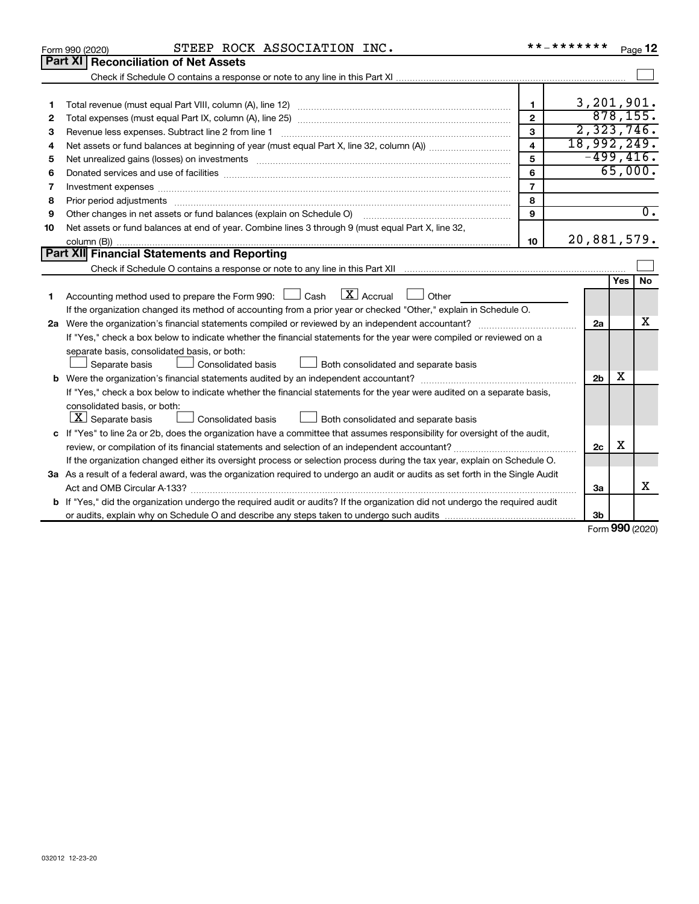|    | STEEP ROCK ASSOCIATION INC.<br>Form 990 (2020)                                                                                                                                                                                 |                         | **_*******  |                |            | Page 12          |
|----|--------------------------------------------------------------------------------------------------------------------------------------------------------------------------------------------------------------------------------|-------------------------|-------------|----------------|------------|------------------|
|    | Part XI   Reconciliation of Net Assets                                                                                                                                                                                         |                         |             |                |            |                  |
|    |                                                                                                                                                                                                                                |                         |             |                |            |                  |
|    |                                                                                                                                                                                                                                |                         |             |                |            |                  |
| 1  |                                                                                                                                                                                                                                | $\mathbf{1}$            |             |                |            | 3,201,901.       |
| 2  |                                                                                                                                                                                                                                | $\overline{2}$          |             |                |            | 878, 155.        |
| 3  |                                                                                                                                                                                                                                | 3                       |             |                |            | 2,323,746.       |
| 4  |                                                                                                                                                                                                                                | $\overline{\mathbf{4}}$ | 18,992,249. |                |            |                  |
| 5  | Net unrealized gains (losses) on investments [11] matter in the contract of the state of the state of the state of the state of the state of the state of the state of the state of the state of the state of the state of the | 5                       |             |                |            | $-499, 416.$     |
| 6  |                                                                                                                                                                                                                                | 6                       |             |                |            | 65,000.          |
| 7  |                                                                                                                                                                                                                                | $\overline{7}$          |             |                |            |                  |
| 8  |                                                                                                                                                                                                                                | 8                       |             |                |            |                  |
| 9  | Other changes in net assets or fund balances (explain on Schedule O)                                                                                                                                                           | $\overline{9}$          |             |                |            | $\overline{0}$ . |
| 10 | Net assets or fund balances at end of year. Combine lines 3 through 9 (must equal Part X, line 32,                                                                                                                             |                         |             |                |            |                  |
|    |                                                                                                                                                                                                                                | 10                      | 20,881,579. |                |            |                  |
|    | Part XII Financial Statements and Reporting                                                                                                                                                                                    |                         |             |                |            |                  |
|    |                                                                                                                                                                                                                                |                         |             |                |            |                  |
|    |                                                                                                                                                                                                                                |                         |             |                | <b>Yes</b> | No               |
| 1  | Accounting method used to prepare the Form 990: $\Box$ Cash $X$ Accrual<br>Other                                                                                                                                               |                         |             |                |            |                  |
|    | If the organization changed its method of accounting from a prior year or checked "Other," explain in Schedule O.                                                                                                              |                         |             |                |            |                  |
|    |                                                                                                                                                                                                                                |                         |             | 2a             |            | X                |
|    | If "Yes," check a box below to indicate whether the financial statements for the year were compiled or reviewed on a                                                                                                           |                         |             |                |            |                  |
|    | separate basis, consolidated basis, or both:                                                                                                                                                                                   |                         |             |                |            |                  |
|    | Consolidated basis<br>Separate basis<br>$\Box$ Both consolidated and separate basis                                                                                                                                            |                         |             |                |            |                  |
|    |                                                                                                                                                                                                                                |                         |             | 2 <sub>b</sub> | х          |                  |
|    | If "Yes," check a box below to indicate whether the financial statements for the year were audited on a separate basis,                                                                                                        |                         |             |                |            |                  |
|    | consolidated basis, or both:                                                                                                                                                                                                   |                         |             |                |            |                  |
|    | $\boxed{\textbf{X}}$ Separate basis<br>Consolidated basis<br>Both consolidated and separate basis                                                                                                                              |                         |             |                |            |                  |
|    | c If "Yes" to line 2a or 2b, does the organization have a committee that assumes responsibility for oversight of the audit,                                                                                                    |                         |             |                |            |                  |
|    |                                                                                                                                                                                                                                |                         |             | 2c             | x          |                  |
|    | If the organization changed either its oversight process or selection process during the tax year, explain on Schedule O.                                                                                                      |                         |             |                |            |                  |
|    | 3a As a result of a federal award, was the organization required to undergo an audit or audits as set forth in the Single Audit                                                                                                |                         |             |                |            |                  |
|    |                                                                                                                                                                                                                                |                         |             | 3a             |            | х                |
|    | <b>b</b> If "Yes," did the organization undergo the required audit or audits? If the organization did not undergo the required audit                                                                                           |                         |             |                |            |                  |
|    |                                                                                                                                                                                                                                |                         |             | 3 <sub>b</sub> |            |                  |
|    |                                                                                                                                                                                                                                |                         |             |                |            | Form 990 (2020)  |
|    |                                                                                                                                                                                                                                |                         |             |                |            |                  |
|    |                                                                                                                                                                                                                                |                         |             |                |            |                  |
|    |                                                                                                                                                                                                                                |                         |             |                |            |                  |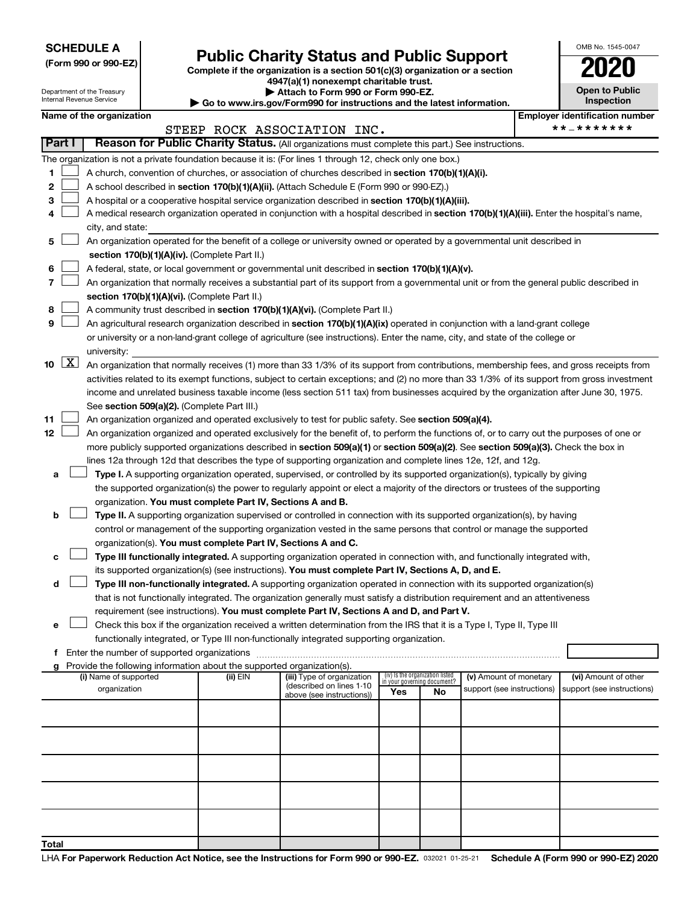**SCHEDULE A**

Department of the Treasury

# Form 990 or 990-EZ) **Public Charity Status and Public Support**<br>
Complete if the organization is a section 501(c)(3) organization or a section<br> **2020**

**4947(a)(1) nonexempt charitable trust. | Attach to Form 990 or Form 990-EZ.** 

| <b>Open to Public</b><br>Inspection |
|-------------------------------------|
|                                     |

OMB No. 1545-0047

| Internal Revenue Service<br>Inspection<br>Go to www.irs.gov/Form990 for instructions and the latest information. |                             |                                               |  |                                                                        |                                                                                                                                              |     |                                                                |                            |  |                                       |
|------------------------------------------------------------------------------------------------------------------|-----------------------------|-----------------------------------------------|--|------------------------------------------------------------------------|----------------------------------------------------------------------------------------------------------------------------------------------|-----|----------------------------------------------------------------|----------------------------|--|---------------------------------------|
|                                                                                                                  |                             | Name of the organization                      |  |                                                                        |                                                                                                                                              |     |                                                                |                            |  | <b>Employer identification number</b> |
|                                                                                                                  | STEEP ROCK ASSOCIATION INC. |                                               |  |                                                                        |                                                                                                                                              |     |                                                                |                            |  | **_*******                            |
| Part I                                                                                                           |                             |                                               |  |                                                                        | Reason for Public Charity Status. (All organizations must complete this part.) See instructions.                                             |     |                                                                |                            |  |                                       |
|                                                                                                                  |                             |                                               |  |                                                                        | The organization is not a private foundation because it is: (For lines 1 through 12, check only one box.)                                    |     |                                                                |                            |  |                                       |
| 1.                                                                                                               |                             |                                               |  |                                                                        | A church, convention of churches, or association of churches described in section 170(b)(1)(A)(i).                                           |     |                                                                |                            |  |                                       |
| 2                                                                                                                |                             |                                               |  |                                                                        | A school described in section 170(b)(1)(A)(ii). (Attach Schedule E (Form 990 or 990-EZ).)                                                    |     |                                                                |                            |  |                                       |
| З                                                                                                                |                             |                                               |  |                                                                        | A hospital or a cooperative hospital service organization described in section 170(b)(1)(A)(iii).                                            |     |                                                                |                            |  |                                       |
| 4                                                                                                                |                             |                                               |  |                                                                        | A medical research organization operated in conjunction with a hospital described in section 170(b)(1)(A)(iii). Enter the hospital's name,   |     |                                                                |                            |  |                                       |
|                                                                                                                  |                             | city, and state:                              |  |                                                                        |                                                                                                                                              |     |                                                                |                            |  |                                       |
| 5                                                                                                                |                             |                                               |  |                                                                        | An organization operated for the benefit of a college or university owned or operated by a governmental unit described in                    |     |                                                                |                            |  |                                       |
|                                                                                                                  |                             |                                               |  | section 170(b)(1)(A)(iv). (Complete Part II.)                          |                                                                                                                                              |     |                                                                |                            |  |                                       |
| 6                                                                                                                |                             |                                               |  |                                                                        | A federal, state, or local government or governmental unit described in section 170(b)(1)(A)(v).                                             |     |                                                                |                            |  |                                       |
| $\overline{7}$                                                                                                   |                             |                                               |  |                                                                        | An organization that normally receives a substantial part of its support from a governmental unit or from the general public described in    |     |                                                                |                            |  |                                       |
|                                                                                                                  |                             |                                               |  | section 170(b)(1)(A)(vi). (Complete Part II.)                          |                                                                                                                                              |     |                                                                |                            |  |                                       |
| 8                                                                                                                |                             |                                               |  |                                                                        | A community trust described in section 170(b)(1)(A)(vi). (Complete Part II.)                                                                 |     |                                                                |                            |  |                                       |
| 9                                                                                                                |                             |                                               |  |                                                                        | An agricultural research organization described in section 170(b)(1)(A)(ix) operated in conjunction with a land-grant college                |     |                                                                |                            |  |                                       |
|                                                                                                                  |                             |                                               |  |                                                                        | or university or a non-land-grant college of agriculture (see instructions). Enter the name, city, and state of the college or               |     |                                                                |                            |  |                                       |
|                                                                                                                  |                             | university:                                   |  |                                                                        |                                                                                                                                              |     |                                                                |                            |  |                                       |
|                                                                                                                  | $10 \mid X$                 |                                               |  |                                                                        | An organization that normally receives (1) more than 33 1/3% of its support from contributions, membership fees, and gross receipts from     |     |                                                                |                            |  |                                       |
|                                                                                                                  |                             |                                               |  |                                                                        | activities related to its exempt functions, subject to certain exceptions; and (2) no more than 33 1/3% of its support from gross investment |     |                                                                |                            |  |                                       |
|                                                                                                                  |                             |                                               |  |                                                                        | income and unrelated business taxable income (less section 511 tax) from businesses acquired by the organization after June 30, 1975.        |     |                                                                |                            |  |                                       |
|                                                                                                                  |                             |                                               |  | See section 509(a)(2). (Complete Part III.)                            |                                                                                                                                              |     |                                                                |                            |  |                                       |
| 11                                                                                                               |                             |                                               |  |                                                                        | An organization organized and operated exclusively to test for public safety. See section 509(a)(4).                                         |     |                                                                |                            |  |                                       |
| 12                                                                                                               |                             |                                               |  |                                                                        | An organization organized and operated exclusively for the benefit of, to perform the functions of, or to carry out the purposes of one or   |     |                                                                |                            |  |                                       |
|                                                                                                                  |                             |                                               |  |                                                                        | more publicly supported organizations described in section 509(a)(1) or section 509(a)(2). See section 509(a)(3). Check the box in           |     |                                                                |                            |  |                                       |
|                                                                                                                  |                             |                                               |  |                                                                        | lines 12a through 12d that describes the type of supporting organization and complete lines 12e, 12f, and 12g.                               |     |                                                                |                            |  |                                       |
| а                                                                                                                |                             |                                               |  |                                                                        | Type I. A supporting organization operated, supervised, or controlled by its supported organization(s), typically by giving                  |     |                                                                |                            |  |                                       |
|                                                                                                                  |                             |                                               |  |                                                                        | the supported organization(s) the power to regularly appoint or elect a majority of the directors or trustees of the supporting              |     |                                                                |                            |  |                                       |
|                                                                                                                  |                             |                                               |  | organization. You must complete Part IV, Sections A and B.             |                                                                                                                                              |     |                                                                |                            |  |                                       |
| b                                                                                                                |                             |                                               |  |                                                                        | Type II. A supporting organization supervised or controlled in connection with its supported organization(s), by having                      |     |                                                                |                            |  |                                       |
|                                                                                                                  |                             |                                               |  |                                                                        | control or management of the supporting organization vested in the same persons that control or manage the supported                         |     |                                                                |                            |  |                                       |
|                                                                                                                  |                             |                                               |  | organization(s). You must complete Part IV, Sections A and C.          | Type III functionally integrated. A supporting organization operated in connection with, and functionally integrated with,                   |     |                                                                |                            |  |                                       |
| с                                                                                                                |                             |                                               |  |                                                                        | its supported organization(s) (see instructions). You must complete Part IV, Sections A, D, and E.                                           |     |                                                                |                            |  |                                       |
| d                                                                                                                |                             |                                               |  |                                                                        | Type III non-functionally integrated. A supporting organization operated in connection with its supported organization(s)                    |     |                                                                |                            |  |                                       |
|                                                                                                                  |                             |                                               |  |                                                                        | that is not functionally integrated. The organization generally must satisfy a distribution requirement and an attentiveness                 |     |                                                                |                            |  |                                       |
|                                                                                                                  |                             |                                               |  |                                                                        | requirement (see instructions). You must complete Part IV, Sections A and D, and Part V.                                                     |     |                                                                |                            |  |                                       |
| е                                                                                                                |                             |                                               |  |                                                                        | Check this box if the organization received a written determination from the IRS that it is a Type I, Type II, Type III                      |     |                                                                |                            |  |                                       |
|                                                                                                                  |                             |                                               |  |                                                                        | functionally integrated, or Type III non-functionally integrated supporting organization.                                                    |     |                                                                |                            |  |                                       |
|                                                                                                                  |                             | f Enter the number of supported organizations |  |                                                                        |                                                                                                                                              |     |                                                                |                            |  |                                       |
|                                                                                                                  |                             |                                               |  | Provide the following information about the supported organization(s). |                                                                                                                                              |     |                                                                |                            |  |                                       |
|                                                                                                                  |                             | (i) Name of supported                         |  | (ii) EIN                                                               | (iii) Type of organization                                                                                                                   |     | (iv) Is the organization listed<br>in your governing document? | (v) Amount of monetary     |  | (vi) Amount of other                  |
|                                                                                                                  |                             | organization                                  |  |                                                                        | (described on lines 1-10<br>above (see instructions))                                                                                        | Yes | No                                                             | support (see instructions) |  | support (see instructions)            |
|                                                                                                                  |                             |                                               |  |                                                                        |                                                                                                                                              |     |                                                                |                            |  |                                       |
|                                                                                                                  |                             |                                               |  |                                                                        |                                                                                                                                              |     |                                                                |                            |  |                                       |
|                                                                                                                  |                             |                                               |  |                                                                        |                                                                                                                                              |     |                                                                |                            |  |                                       |
|                                                                                                                  |                             |                                               |  |                                                                        |                                                                                                                                              |     |                                                                |                            |  |                                       |
|                                                                                                                  |                             |                                               |  |                                                                        |                                                                                                                                              |     |                                                                |                            |  |                                       |
|                                                                                                                  |                             |                                               |  |                                                                        |                                                                                                                                              |     |                                                                |                            |  |                                       |
|                                                                                                                  |                             |                                               |  |                                                                        |                                                                                                                                              |     |                                                                |                            |  |                                       |
|                                                                                                                  |                             |                                               |  |                                                                        |                                                                                                                                              |     |                                                                |                            |  |                                       |
|                                                                                                                  |                             |                                               |  |                                                                        |                                                                                                                                              |     |                                                                |                            |  |                                       |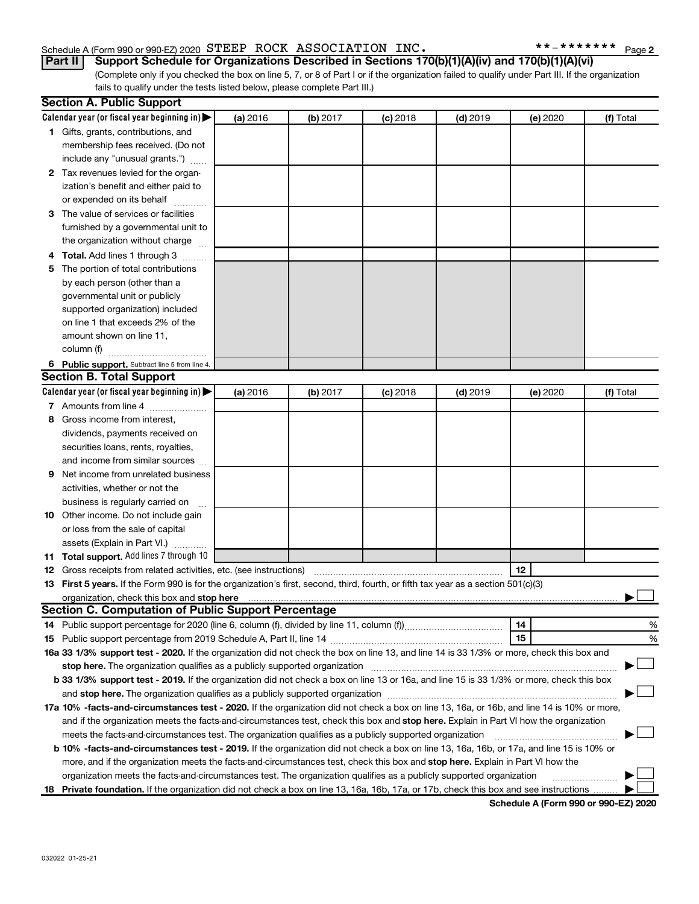## Schedule A (Form 990 or 990-EZ) 2020 STEEP ROCK ASSOCIATION INC.  $********$  Page

(Complete only if you checked the box on line 5, 7, or 8 of Part I or if the organization failed to qualify under Part III. If the organization fails to qualify under the tests listed below, please complete Part III.) **Part II Support Schedule for Organizations Described in Sections 170(b)(1)(A)(iv) and 170(b)(1)(A)(vi)**

|     | <b>Section A. Public Support</b>                                                                                                           |          |            |            |            |          |           |
|-----|--------------------------------------------------------------------------------------------------------------------------------------------|----------|------------|------------|------------|----------|-----------|
|     | Calendar year (or fiscal year beginning in)                                                                                                | (a) 2016 | (b) $2017$ | $(c)$ 2018 | $(d)$ 2019 | (e) 2020 | (f) Total |
|     | 1 Gifts, grants, contributions, and                                                                                                        |          |            |            |            |          |           |
|     | membership fees received. (Do not                                                                                                          |          |            |            |            |          |           |
|     | include any "unusual grants.")                                                                                                             |          |            |            |            |          |           |
|     | 2 Tax revenues levied for the organ-                                                                                                       |          |            |            |            |          |           |
|     | ization's benefit and either paid to                                                                                                       |          |            |            |            |          |           |
|     | or expended on its behalf                                                                                                                  |          |            |            |            |          |           |
| З.  | The value of services or facilities                                                                                                        |          |            |            |            |          |           |
|     | furnished by a governmental unit to                                                                                                        |          |            |            |            |          |           |
|     | the organization without charge                                                                                                            |          |            |            |            |          |           |
|     | Total. Add lines 1 through 3                                                                                                               |          |            |            |            |          |           |
|     | The portion of total contributions                                                                                                         |          |            |            |            |          |           |
|     | by each person (other than a                                                                                                               |          |            |            |            |          |           |
|     | governmental unit or publicly                                                                                                              |          |            |            |            |          |           |
|     | supported organization) included                                                                                                           |          |            |            |            |          |           |
|     | on line 1 that exceeds 2% of the                                                                                                           |          |            |            |            |          |           |
|     | amount shown on line 11,                                                                                                                   |          |            |            |            |          |           |
|     | column (f)                                                                                                                                 |          |            |            |            |          |           |
|     | 6 Public support. Subtract line 5 from line 4.                                                                                             |          |            |            |            |          |           |
|     | <b>Section B. Total Support</b>                                                                                                            |          |            |            |            |          |           |
|     | Calendar year (or fiscal year beginning in)                                                                                                | (a) 2016 | (b) 2017   | $(c)$ 2018 | $(d)$ 2019 | (e) 2020 | (f) Total |
|     | 7 Amounts from line 4                                                                                                                      |          |            |            |            |          |           |
| 8   | Gross income from interest,                                                                                                                |          |            |            |            |          |           |
|     | dividends, payments received on                                                                                                            |          |            |            |            |          |           |
|     | securities loans, rents, royalties,                                                                                                        |          |            |            |            |          |           |
|     | and income from similar sources                                                                                                            |          |            |            |            |          |           |
| 9   | Net income from unrelated business                                                                                                         |          |            |            |            |          |           |
|     | activities, whether or not the                                                                                                             |          |            |            |            |          |           |
|     | business is regularly carried on                                                                                                           |          |            |            |            |          |           |
| 10  | Other income. Do not include gain                                                                                                          |          |            |            |            |          |           |
|     | or loss from the sale of capital                                                                                                           |          |            |            |            |          |           |
|     | assets (Explain in Part VI.)                                                                                                               |          |            |            |            |          |           |
| 11. | <b>Total support.</b> Add lines 7 through 10                                                                                               |          |            |            |            |          |           |
| 12  | Gross receipts from related activities, etc. (see instructions)                                                                            |          |            |            |            | 12       |           |
| 13  | First 5 years. If the Form 990 is for the organization's first, second, third, fourth, or fifth tax year as a section 501(c)(3)            |          |            |            |            |          |           |
|     | organization, check this box and stop here                                                                                                 |          |            |            |            |          |           |
|     | <b>Section C. Computation of Public Support Percentage</b>                                                                                 |          |            |            |            |          |           |
|     |                                                                                                                                            |          |            |            |            | 14       | ℅         |
| 15  |                                                                                                                                            |          |            |            |            | 15       | %         |
|     | 16a 33 1/3% support test - 2020. If the organization did not check the box on line 13, and line 14 is 33 1/3% or more, check this box and  |          |            |            |            |          |           |
|     | stop here. The organization qualifies as a publicly supported organization                                                                 |          |            |            |            |          |           |
|     | b 33 1/3% support test - 2019. If the organization did not check a box on line 13 or 16a, and line 15 is 33 1/3% or more, check this box   |          |            |            |            |          |           |
|     |                                                                                                                                            |          |            |            |            |          |           |
|     | 17a 10% -facts-and-circumstances test - 2020. If the organization did not check a box on line 13, 16a, or 16b, and line 14 is 10% or more, |          |            |            |            |          |           |
|     | and if the organization meets the facts-and-circumstances test, check this box and stop here. Explain in Part VI how the organization      |          |            |            |            |          |           |
|     | meets the facts-and-circumstances test. The organization qualifies as a publicly supported organization                                    |          |            |            |            |          |           |
|     | b 10% -facts-and-circumstances test - 2019. If the organization did not check a box on line 13, 16a, 16b, or 17a, and line 15 is 10% or    |          |            |            |            |          |           |
|     | more, and if the organization meets the facts-and-circumstances test, check this box and stop here. Explain in Part VI how the             |          |            |            |            |          |           |
|     | organization meets the facts-and-circumstances test. The organization qualifies as a publicly supported organization                       |          |            |            |            |          | .         |
| 18  | <b>Private foundation.</b> If the organization did not check a box on line 13, 16a, 16b, 17a, or 17b, check this box and see instructions  |          |            |            |            |          |           |

**Schedule A (Form 990 or 990-EZ) 2020**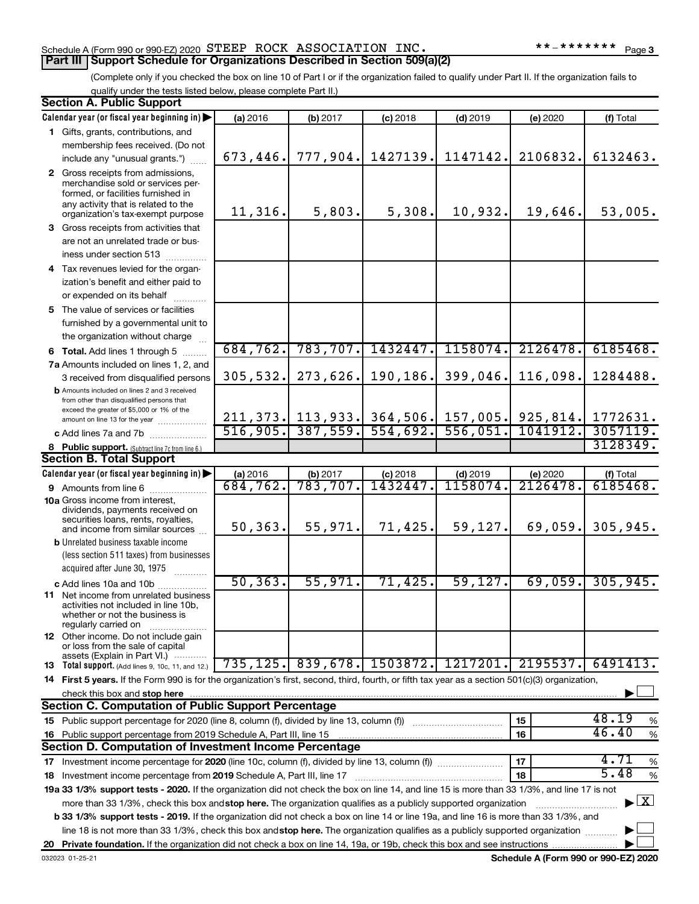## Schedule A (Form 990 or 990-EZ) 2020 STEEP ROCK ASSOCIATION INC.  $********$  Page **Part III Support Schedule for Organizations Described in Section 509(a)(2)**

## (Complete only if you checked the box on line 10 of Part I or if the organization failed to qualify under Part II. If the organization fails to qualify under the tests listed below, please complete Part II.)

| <b>Section A. Public Support</b> |                                                                                                                                                  |                        |                       |                     |                                                   |          |                    |  |  |
|----------------------------------|--------------------------------------------------------------------------------------------------------------------------------------------------|------------------------|-----------------------|---------------------|---------------------------------------------------|----------|--------------------|--|--|
|                                  | Calendar year (or fiscal year beginning in)                                                                                                      | (a) 2016               | (b) 2017              | $(c)$ 2018          | $(d)$ 2019                                        | (e) 2020 | (f) Total          |  |  |
|                                  | 1 Gifts, grants, contributions, and                                                                                                              |                        |                       |                     |                                                   |          |                    |  |  |
|                                  | membership fees received. (Do not                                                                                                                |                        |                       |                     |                                                   |          |                    |  |  |
|                                  | include any "unusual grants.")                                                                                                                   | 673,446.               | 777,904.              | 1427139.            | 1147142.                                          | 2106832. | 6132463.           |  |  |
|                                  | 2 Gross receipts from admissions,                                                                                                                |                        |                       |                     |                                                   |          |                    |  |  |
|                                  | merchandise sold or services per-                                                                                                                |                        |                       |                     |                                                   |          |                    |  |  |
|                                  | formed, or facilities furnished in                                                                                                               |                        |                       |                     |                                                   |          |                    |  |  |
|                                  | any activity that is related to the<br>organization's tax-exempt purpose                                                                         | 11,316.                | 5,803.                | 5,308.              | 10,932.                                           | 19,646.  | 53,005.            |  |  |
|                                  | 3 Gross receipts from activities that                                                                                                            |                        |                       |                     |                                                   |          |                    |  |  |
|                                  | are not an unrelated trade or bus-                                                                                                               |                        |                       |                     |                                                   |          |                    |  |  |
|                                  | iness under section 513                                                                                                                          |                        |                       |                     |                                                   |          |                    |  |  |
|                                  | 4 Tax revenues levied for the organ-                                                                                                             |                        |                       |                     |                                                   |          |                    |  |  |
|                                  | ization's benefit and either paid to                                                                                                             |                        |                       |                     |                                                   |          |                    |  |  |
|                                  | or expended on its behalf                                                                                                                        |                        |                       |                     |                                                   |          |                    |  |  |
|                                  | 5 The value of services or facilities                                                                                                            |                        |                       |                     |                                                   |          |                    |  |  |
|                                  | furnished by a governmental unit to                                                                                                              |                        |                       |                     |                                                   |          |                    |  |  |
|                                  | the organization without charge                                                                                                                  |                        |                       |                     |                                                   |          |                    |  |  |
|                                  | 6 Total. Add lines 1 through 5                                                                                                                   | 684,762.               | 783,707.              | 1432447.            | 1158074.                                          | 2126478. | 6185468.           |  |  |
|                                  | 7a Amounts included on lines 1, 2, and                                                                                                           |                        |                       |                     |                                                   |          |                    |  |  |
|                                  | 3 received from disqualified persons                                                                                                             | 305,532.               | 273,626.              | 190,186.            | 399,046.                                          | 116,098. | 1284488.           |  |  |
|                                  | <b>b</b> Amounts included on lines 2 and 3 received                                                                                              |                        |                       |                     |                                                   |          |                    |  |  |
|                                  | from other than disqualified persons that                                                                                                        |                        |                       |                     |                                                   |          |                    |  |  |
|                                  | exceed the greater of \$5,000 or 1% of the<br>amount on line 13 for the year                                                                     |                        |                       |                     | 211, 373. 113, 933. 364, 506. 157, 005. 925, 814. |          | 1772631.           |  |  |
|                                  | c Add lines 7a and 7b                                                                                                                            | 516,905.               | 387,559.              | 554,692.            | 556,051.                                          | 1041912. | 3057119.           |  |  |
|                                  | 8 Public support. (Subtract line 7c from line 6.)                                                                                                |                        |                       |                     |                                                   |          | 3128349.           |  |  |
|                                  | <b>Section B. Total Support</b>                                                                                                                  |                        |                       |                     |                                                   |          |                    |  |  |
|                                  | Calendar year (or fiscal year beginning in)                                                                                                      | (a) 2016               |                       |                     | $(d)$ 2019                                        | (e) 2020 | (f) Total          |  |  |
|                                  | 9 Amounts from line 6                                                                                                                            | $\overline{684,762}$ . | (b) 2017<br>783, 707. | $\frac{c}{1432447}$ | II58074.                                          | 2126478  | 6185468.           |  |  |
|                                  | <b>10a</b> Gross income from interest,                                                                                                           |                        |                       |                     |                                                   |          |                    |  |  |
|                                  | dividends, payments received on                                                                                                                  |                        |                       |                     |                                                   |          |                    |  |  |
|                                  | securities loans, rents, royalties,<br>and income from similar sources                                                                           | 50, 363.               | 55,971.               | 71,425.             | 59,127.                                           | 69,059.  | 305,945.           |  |  |
|                                  | <b>b</b> Unrelated business taxable income                                                                                                       |                        |                       |                     |                                                   |          |                    |  |  |
|                                  | (less section 511 taxes) from businesses                                                                                                         |                        |                       |                     |                                                   |          |                    |  |  |
|                                  | acquired after June 30, 1975                                                                                                                     |                        |                       |                     |                                                   |          |                    |  |  |
|                                  | c Add lines 10a and 10b                                                                                                                          | 50, 363.               | 55,971.               | 71,425.             | 59,127.                                           | 69,059.  | 305, 945.          |  |  |
|                                  | <b>11</b> Net income from unrelated business                                                                                                     |                        |                       |                     |                                                   |          |                    |  |  |
|                                  | activities not included in line 10b.                                                                                                             |                        |                       |                     |                                                   |          |                    |  |  |
|                                  | whether or not the business is                                                                                                                   |                        |                       |                     |                                                   |          |                    |  |  |
|                                  | regularly carried on<br><b>12</b> Other income. Do not include gain                                                                              |                        |                       |                     |                                                   |          |                    |  |  |
|                                  | or loss from the sale of capital                                                                                                                 |                        |                       |                     |                                                   |          |                    |  |  |
|                                  | assets (Explain in Part VI.)                                                                                                                     | 735, 125.              | 839,678.              | 1503872.            | 1217201.                                          | 2195537. | 6491413.           |  |  |
|                                  | <b>13</b> Total support. (Add lines 9, 10c, 11, and 12.)                                                                                         |                        |                       |                     |                                                   |          |                    |  |  |
|                                  | 14 First 5 years. If the Form 990 is for the organization's first, second, third, fourth, or fifth tax year as a section 501(c)(3) organization, |                        |                       |                     |                                                   |          |                    |  |  |
|                                  | check this box and stop here<br>Section C. Computation of Public Support Percentage                                                              |                        |                       |                     |                                                   |          |                    |  |  |
|                                  |                                                                                                                                                  |                        |                       |                     |                                                   |          | 48.19              |  |  |
|                                  | 15 Public support percentage for 2020 (line 8, column (f), divided by line 13, column (f) <i>manumeronominium</i>                                |                        |                       |                     |                                                   | 15       | %<br>46.40         |  |  |
| 16                               | Public support percentage from 2019 Schedule A, Part III, line 15<br>Section D. Computation of Investment Income Percentage                      |                        |                       |                     |                                                   | 16       | %                  |  |  |
|                                  |                                                                                                                                                  |                        |                       |                     |                                                   |          | 4.71               |  |  |
| 17                               |                                                                                                                                                  |                        |                       |                     |                                                   | 17       | %<br>5.48          |  |  |
|                                  | 18 Investment income percentage from 2019 Schedule A, Part III, line 17                                                                          |                        |                       |                     |                                                   | 18       | %                  |  |  |
|                                  | 19a 33 1/3% support tests - 2020. If the organization did not check the box on line 14, and line 15 is more than 33 1/3%, and line 17 is not     |                        |                       |                     |                                                   |          | $\boxed{\text{X}}$ |  |  |
|                                  | more than 33 1/3%, check this box and stop here. The organization qualifies as a publicly supported organization                                 |                        |                       |                     |                                                   |          |                    |  |  |
|                                  | <b>b 33 1/3% support tests - 2019.</b> If the organization did not check a box on line 14 or line 19a, and line 16 is more than 33 1/3%, and     |                        |                       |                     |                                                   |          |                    |  |  |
|                                  | line 18 is not more than 33 1/3%, check this box and stop here. The organization qualifies as a publicly supported organization                  |                        |                       |                     |                                                   |          |                    |  |  |
| 20                               |                                                                                                                                                  |                        |                       |                     |                                                   |          |                    |  |  |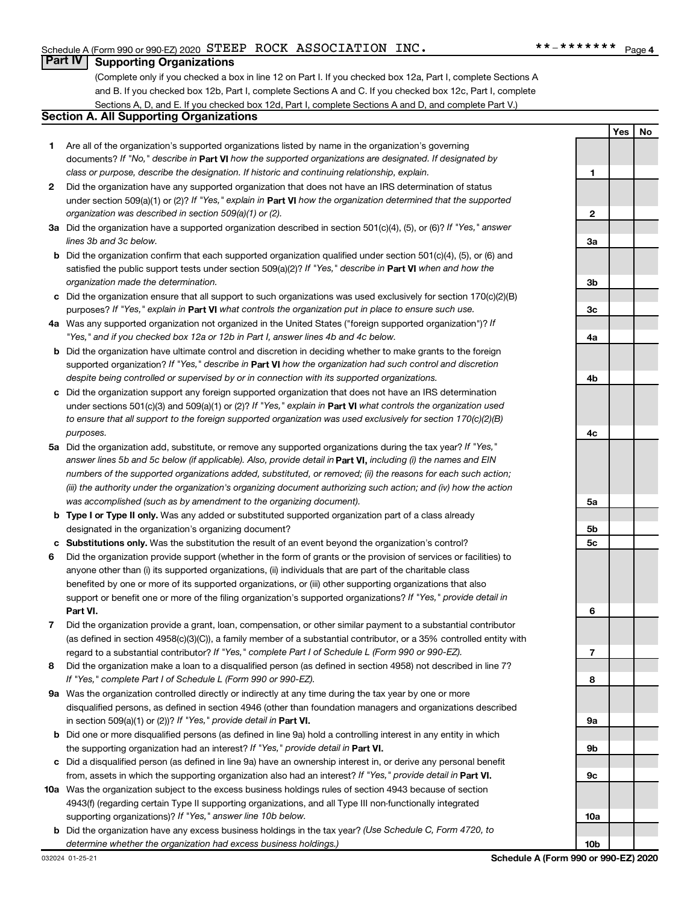**1**

**2**

**3a**

**Yes No**

## **Part IV Supporting Organizations**

(Complete only if you checked a box in line 12 on Part I. If you checked box 12a, Part I, complete Sections A and B. If you checked box 12b, Part I, complete Sections A and C. If you checked box 12c, Part I, complete Sections A, D, and E. If you checked box 12d, Part I, complete Sections A and D, and complete Part V.)

## **Section A. All Supporting Organizations**

- **1** Are all of the organization's supported organizations listed by name in the organization's governing documents? If "No," describe in Part VI how the supported organizations are designated. If designated by *class or purpose, describe the designation. If historic and continuing relationship, explain.*
- **2** Did the organization have any supported organization that does not have an IRS determination of status under section 509(a)(1) or (2)? If "Yes," explain in Part **VI** how the organization determined that the supported *organization was described in section 509(a)(1) or (2).*
- **3a** Did the organization have a supported organization described in section 501(c)(4), (5), or (6)? If "Yes," answer *lines 3b and 3c below.*
- **b** Did the organization confirm that each supported organization qualified under section 501(c)(4), (5), or (6) and satisfied the public support tests under section 509(a)(2)? If "Yes," describe in Part VI when and how the *organization made the determination.*
- **c** Did the organization ensure that all support to such organizations was used exclusively for section 170(c)(2)(B) purposes? If "Yes," explain in Part VI what controls the organization put in place to ensure such use.
- **4 a** *If* Was any supported organization not organized in the United States ("foreign supported organization")? *"Yes," and if you checked box 12a or 12b in Part I, answer lines 4b and 4c below.*
- **b** Did the organization have ultimate control and discretion in deciding whether to make grants to the foreign supported organization? If "Yes," describe in Part VI how the organization had such control and discretion *despite being controlled or supervised by or in connection with its supported organizations.*
- **c** Did the organization support any foreign supported organization that does not have an IRS determination under sections 501(c)(3) and 509(a)(1) or (2)? If "Yes," explain in Part VI what controls the organization used *to ensure that all support to the foreign supported organization was used exclusively for section 170(c)(2)(B) purposes.*
- **5a** Did the organization add, substitute, or remove any supported organizations during the tax year? If "Yes," answer lines 5b and 5c below (if applicable). Also, provide detail in **Part VI,** including (i) the names and EIN *numbers of the supported organizations added, substituted, or removed; (ii) the reasons for each such action; (iii) the authority under the organization's organizing document authorizing such action; and (iv) how the action was accomplished (such as by amendment to the organizing document).*
- **b** Type I or Type II only. Was any added or substituted supported organization part of a class already designated in the organization's organizing document?
- **c Substitutions only.**  Was the substitution the result of an event beyond the organization's control?
- **6** Did the organization provide support (whether in the form of grants or the provision of services or facilities) to **Part VI.** support or benefit one or more of the filing organization's supported organizations? If "Yes," provide detail in anyone other than (i) its supported organizations, (ii) individuals that are part of the charitable class benefited by one or more of its supported organizations, or (iii) other supporting organizations that also
- **7** Did the organization provide a grant, loan, compensation, or other similar payment to a substantial contributor regard to a substantial contributor? If "Yes," complete Part I of Schedule L (Form 990 or 990-EZ). (as defined in section 4958(c)(3)(C)), a family member of a substantial contributor, or a 35% controlled entity with
- **8** Did the organization make a loan to a disqualified person (as defined in section 4958) not described in line 7? *If "Yes," complete Part I of Schedule L (Form 990 or 990-EZ).*
- **9 a** Was the organization controlled directly or indirectly at any time during the tax year by one or more in section 509(a)(1) or (2))? If "Yes," provide detail in **Part VI.** disqualified persons, as defined in section 4946 (other than foundation managers and organizations described
- **b** Did one or more disqualified persons (as defined in line 9a) hold a controlling interest in any entity in which the supporting organization had an interest? If "Yes," provide detail in Part VI.
- **c** Did a disqualified person (as defined in line 9a) have an ownership interest in, or derive any personal benefit from, assets in which the supporting organization also had an interest? If "Yes," provide detail in Part VI.
- **10 a** Was the organization subject to the excess business holdings rules of section 4943 because of section supporting organizations)? If "Yes," answer line 10b below. 4943(f) (regarding certain Type II supporting organizations, and all Type III non-functionally integrated
	- **b** Did the organization have any excess business holdings in the tax year? (Use Schedule C, Form 4720, to *determine whether the organization had excess business holdings.)*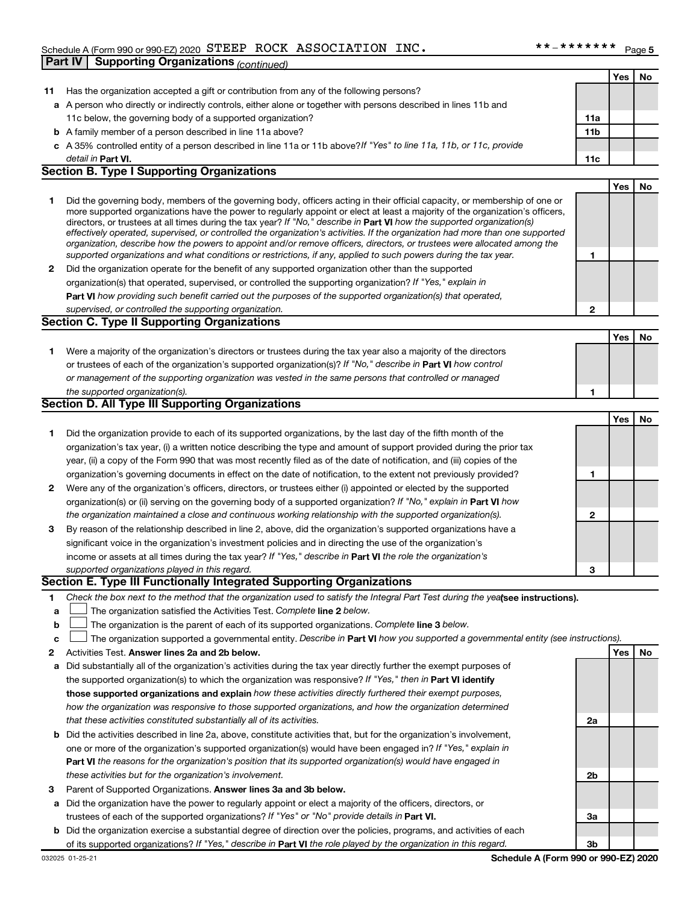### Schedule A (Form 990 or 990-EZ) 2020 STEEP ROCK ASSOCIATION INC .  $\bullet$  .  $\bullet$  .  $\bullet$  .  $\bullet$  .  $\bullet$  .  $\bullet$  .  $\bullet$  . Page STEEP ROCK ASSOCIATION INC. \*\*-\*\*\*\*\*\*\*\*\*

|    | <b>Part IV</b> | <b>Supporting Organizations (continued)</b>                                                                                                                                                                                                                 |                 |     |    |
|----|----------------|-------------------------------------------------------------------------------------------------------------------------------------------------------------------------------------------------------------------------------------------------------------|-----------------|-----|----|
|    |                |                                                                                                                                                                                                                                                             |                 | Yes | No |
| 11 |                | Has the organization accepted a gift or contribution from any of the following persons?                                                                                                                                                                     |                 |     |    |
|    |                | a A person who directly or indirectly controls, either alone or together with persons described in lines 11b and                                                                                                                                            |                 |     |    |
|    |                | 11c below, the governing body of a supported organization?                                                                                                                                                                                                  | 11a             |     |    |
|    |                | <b>b</b> A family member of a person described in line 11a above?                                                                                                                                                                                           | 11 <sub>b</sub> |     |    |
|    |                | c A 35% controlled entity of a person described in line 11a or 11b above?If "Yes" to line 11a, 11b, or 11c, provide                                                                                                                                         |                 |     |    |
|    |                | detail in Part VI.                                                                                                                                                                                                                                          | 11c             |     |    |
|    |                | <b>Section B. Type I Supporting Organizations</b>                                                                                                                                                                                                           |                 |     |    |
|    |                |                                                                                                                                                                                                                                                             |                 | Yes | No |
| 1  |                | Did the governing body, members of the governing body, officers acting in their official capacity, or membership of one or<br>more supported organizations have the power to regularly appoint or elect at least a majority of the organization's officers, |                 |     |    |
|    |                | directors, or trustees at all times during the tax year? If "No," describe in Part VI how the supported organization(s)                                                                                                                                     |                 |     |    |
|    |                | effectively operated, supervised, or controlled the organization's activities. If the organization had more than one supported                                                                                                                              |                 |     |    |
|    |                | organization, describe how the powers to appoint and/or remove officers, directors, or trustees were allocated among the                                                                                                                                    |                 |     |    |
|    |                | supported organizations and what conditions or restrictions, if any, applied to such powers during the tax year.                                                                                                                                            | 1               |     |    |
| 2  |                | Did the organization operate for the benefit of any supported organization other than the supported                                                                                                                                                         |                 |     |    |
|    |                | organization(s) that operated, supervised, or controlled the supporting organization? If "Yes," explain in                                                                                                                                                  |                 |     |    |
|    |                | Part VI how providing such benefit carried out the purposes of the supported organization(s) that operated,                                                                                                                                                 |                 |     |    |
|    |                | supervised, or controlled the supporting organization.                                                                                                                                                                                                      | $\mathbf{2}$    |     |    |
|    |                | <b>Section C. Type II Supporting Organizations</b>                                                                                                                                                                                                          |                 |     |    |
|    |                |                                                                                                                                                                                                                                                             |                 | Yes | No |
| 1. |                | Were a majority of the organization's directors or trustees during the tax year also a majority of the directors                                                                                                                                            |                 |     |    |
|    |                | or trustees of each of the organization's supported organization(s)? If "No," describe in Part VI how control                                                                                                                                               |                 |     |    |
|    |                | or management of the supporting organization was vested in the same persons that controlled or managed<br>the supported organization(s).                                                                                                                    | 1               |     |    |
|    |                | Section D. All Type III Supporting Organizations                                                                                                                                                                                                            |                 |     |    |
|    |                |                                                                                                                                                                                                                                                             |                 | Yes | No |
| 1  |                | Did the organization provide to each of its supported organizations, by the last day of the fifth month of the                                                                                                                                              |                 |     |    |
|    |                | organization's tax year, (i) a written notice describing the type and amount of support provided during the prior tax                                                                                                                                       |                 |     |    |
|    |                | year, (ii) a copy of the Form 990 that was most recently filed as of the date of notification, and (iii) copies of the                                                                                                                                      |                 |     |    |
|    |                | organization's governing documents in effect on the date of notification, to the extent not previously provided?                                                                                                                                            | 1               |     |    |
| 2  |                | Were any of the organization's officers, directors, or trustees either (i) appointed or elected by the supported                                                                                                                                            |                 |     |    |
|    |                | organization(s) or (ii) serving on the governing body of a supported organization? If "No," explain in Part VI how                                                                                                                                          |                 |     |    |
|    |                | the organization maintained a close and continuous working relationship with the supported organization(s).                                                                                                                                                 | $\mathbf{2}$    |     |    |
| 3  |                | By reason of the relationship described in line 2, above, did the organization's supported organizations have a                                                                                                                                             |                 |     |    |
|    |                | significant voice in the organization's investment policies and in directing the use of the organization's                                                                                                                                                  |                 |     |    |
|    |                | income or assets at all times during the tax year? If "Yes," describe in Part VI the role the organization's                                                                                                                                                |                 |     |    |
|    |                | supported organizations played in this regard.                                                                                                                                                                                                              | 3               |     |    |
|    |                | Section E. Type III Functionally Integrated Supporting Organizations                                                                                                                                                                                        |                 |     |    |
| 1. |                | Check the box next to the method that the organization used to satisfy the Integral Part Test during the yealsee instructions).                                                                                                                             |                 |     |    |
| a  |                | The organization satisfied the Activities Test. Complete line 2 below.                                                                                                                                                                                      |                 |     |    |
| b  |                | The organization is the parent of each of its supported organizations. Complete line 3 below.                                                                                                                                                               |                 |     |    |
| c  |                | The organization supported a governmental entity. Describe in Part VI how you supported a governmental entity (see instructions).                                                                                                                           |                 |     |    |
| 2  |                | Activities Test. Answer lines 2a and 2b below.                                                                                                                                                                                                              |                 | Yes | No |
| а  |                | Did substantially all of the organization's activities during the tax year directly further the exempt purposes of                                                                                                                                          |                 |     |    |
|    |                | the supported organization(s) to which the organization was responsive? If "Yes," then in Part VI identify                                                                                                                                                  |                 |     |    |
|    |                | those supported organizations and explain how these activities directly furthered their exempt purposes,                                                                                                                                                    |                 |     |    |
|    |                | how the organization was responsive to those supported organizations, and how the organization determined                                                                                                                                                   |                 |     |    |
|    |                | that these activities constituted substantially all of its activities.                                                                                                                                                                                      | 2a              |     |    |
| b  |                | Did the activities described in line 2a, above, constitute activities that, but for the organization's involvement,                                                                                                                                         |                 |     |    |
|    |                | one or more of the organization's supported organization(s) would have been engaged in? If "Yes," explain in                                                                                                                                                |                 |     |    |
|    |                | Part VI the reasons for the organization's position that its supported organization(s) would have engaged in                                                                                                                                                |                 |     |    |
|    |                | these activities but for the organization's involvement.                                                                                                                                                                                                    | 2b              |     |    |
| з  |                | Parent of Supported Organizations. Answer lines 3a and 3b below.                                                                                                                                                                                            |                 |     |    |

- **a** Did the organization have the power to regularly appoint or elect a majority of the officers, directors, or trustees of each of the supported organizations? If "Yes" or "No" provide details in Part VI.
- **b** Did the organization exercise a substantial degree of direction over the policies, programs, and activities of each of its supported organizations? If "Yes," describe in Part VI the role played by the organization in this regard.

**3a**

**3b**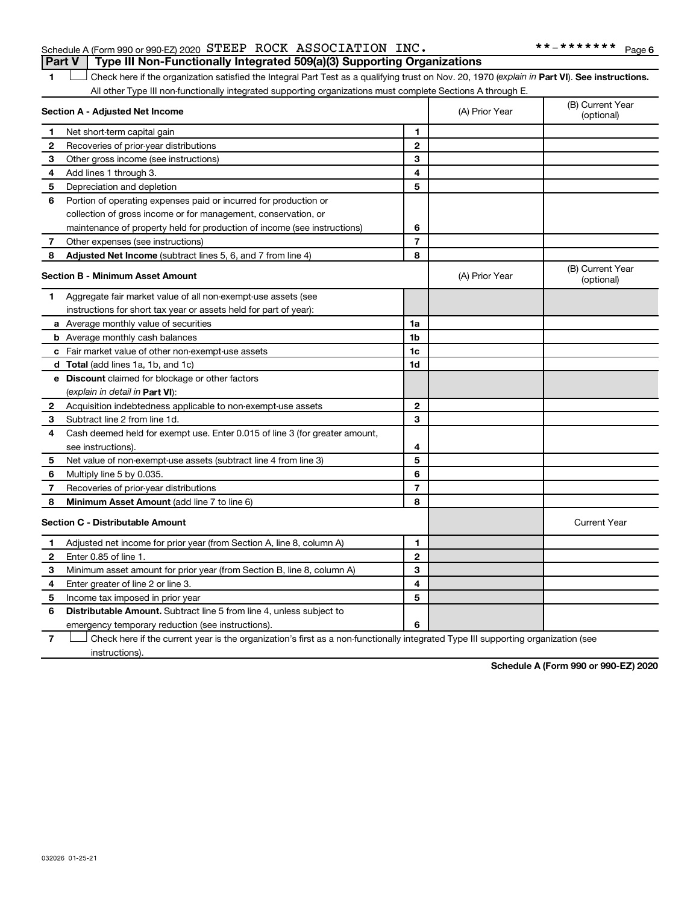## Schedule A (Form 990 or 990-EZ) 2020 STEEP ROCK ASSOCIATION INC.  $********$  Page **Part V Type III Non-Functionally Integrated 509(a)(3) Supporting Organizations**

1 **Letter See instructions.** Check here if the organization satisfied the Integral Part Test as a qualifying trust on Nov. 20, 1970 (*explain in* Part **VI**). See instructions. All other Type III non-functionally integrated supporting organizations must complete Sections A through E.

|              | Section A - Adjusted Net Income                                             | (A) Prior Year | (B) Current Year<br>(optional) |                                |
|--------------|-----------------------------------------------------------------------------|----------------|--------------------------------|--------------------------------|
| 1            | Net short-term capital gain                                                 | 1              |                                |                                |
| $\mathbf{2}$ | Recoveries of prior-year distributions                                      | $\overline{2}$ |                                |                                |
| З            | Other gross income (see instructions)                                       | 3              |                                |                                |
| 4            | Add lines 1 through 3.                                                      | 4              |                                |                                |
| 5            | Depreciation and depletion                                                  | 5              |                                |                                |
| 6            | Portion of operating expenses paid or incurred for production or            |                |                                |                                |
|              | collection of gross income or for management, conservation, or              |                |                                |                                |
|              | maintenance of property held for production of income (see instructions)    | 6              |                                |                                |
| 7            | Other expenses (see instructions)                                           | $\overline{7}$ |                                |                                |
| 8            | Adjusted Net Income (subtract lines 5, 6, and 7 from line 4)                | 8              |                                |                                |
|              | <b>Section B - Minimum Asset Amount</b>                                     |                | (A) Prior Year                 | (B) Current Year<br>(optional) |
| 1            | Aggregate fair market value of all non-exempt-use assets (see               |                |                                |                                |
|              | instructions for short tax year or assets held for part of year):           |                |                                |                                |
|              | <b>a</b> Average monthly value of securities                                | 1a             |                                |                                |
|              | <b>b</b> Average monthly cash balances                                      | 1b             |                                |                                |
|              | <b>c</b> Fair market value of other non-exempt-use assets                   | 1c             |                                |                                |
|              | d Total (add lines 1a, 1b, and 1c)                                          | 1d             |                                |                                |
|              | e Discount claimed for blockage or other factors                            |                |                                |                                |
|              | (explain in detail in <b>Part VI</b> ):                                     |                |                                |                                |
| $\mathbf{2}$ | Acquisition indebtedness applicable to non-exempt-use assets                | $\mathbf{2}$   |                                |                                |
| 3            | Subtract line 2 from line 1d.                                               | 3              |                                |                                |
| 4            | Cash deemed held for exempt use. Enter 0.015 of line 3 (for greater amount, |                |                                |                                |
|              | see instructions).                                                          | 4              |                                |                                |
| 5            | Net value of non-exempt-use assets (subtract line 4 from line 3)            | 5              |                                |                                |
| 6            | Multiply line 5 by 0.035.                                                   | 6              |                                |                                |
| 7            | Recoveries of prior-year distributions                                      | $\overline{7}$ |                                |                                |
| 8            | Minimum Asset Amount (add line 7 to line 6)                                 | 8              |                                |                                |
|              | <b>Section C - Distributable Amount</b>                                     |                |                                | <b>Current Year</b>            |
| 1            | Adjusted net income for prior year (from Section A, line 8, column A)       | 1              |                                |                                |
| $\mathbf{2}$ | Enter 0.85 of line 1.                                                       | $\mathbf{2}$   |                                |                                |
| 3            | Minimum asset amount for prior year (from Section B, line 8, column A)      | 3              |                                |                                |
| 4            | Enter greater of line 2 or line 3.                                          | 4              |                                |                                |
| 5            | Income tax imposed in prior year                                            | 5              |                                |                                |
| 6            | Distributable Amount. Subtract line 5 from line 4, unless subject to        |                |                                |                                |
|              | emergency temporary reduction (see instructions).                           | 6              |                                |                                |
|              |                                                                             |                |                                |                                |

**7** Check here if the current year is the organization's first as a non-functionally integrated Type III supporting organization (see † instructions).

**Schedule A (Form 990 or 990-EZ) 2020**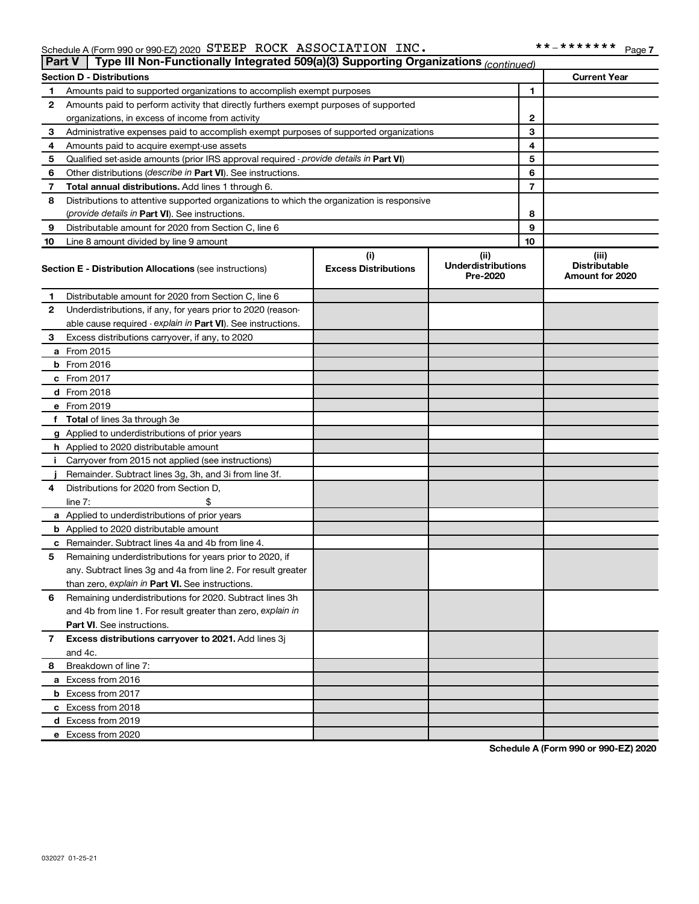### Schedule A (Form 990 or 990-EZ) 2020 STEEP ROCK ASSOCIATION INC .  $\bullet$  .  $\bullet$  .  $\bullet$  .  $\bullet$  .  $\bullet$  .  $\bullet$  .  $\bullet$  . Page STEEP ROCK ASSOCIATION INC. \*\*-\*\*\*\*\*\*\*\*\*

| <b>Part V</b> | Type III Non-Functionally Integrated 509(a)(3) Supporting Organizations (continued)        |                             |                                       |    |                                         |
|---------------|--------------------------------------------------------------------------------------------|-----------------------------|---------------------------------------|----|-----------------------------------------|
|               | <b>Section D - Distributions</b>                                                           |                             |                                       |    | <b>Current Year</b>                     |
| 1             | Amounts paid to supported organizations to accomplish exempt purposes                      |                             | 1                                     |    |                                         |
| 2             | Amounts paid to perform activity that directly furthers exempt purposes of supported       |                             |                                       |    |                                         |
|               | organizations, in excess of income from activity                                           |                             |                                       | 2  |                                         |
| 3             | Administrative expenses paid to accomplish exempt purposes of supported organizations      |                             |                                       | 3  |                                         |
| 4             | Amounts paid to acquire exempt-use assets                                                  |                             |                                       | 4  |                                         |
| 5             | Qualified set-aside amounts (prior IRS approval required - provide details in Part VI)     |                             |                                       | 5  |                                         |
| 6             | Other distributions ( <i>describe in Part VI</i> ). See instructions.                      |                             |                                       | 6  |                                         |
| 7             | Total annual distributions. Add lines 1 through 6.                                         |                             |                                       | 7  |                                         |
| 8             | Distributions to attentive supported organizations to which the organization is responsive |                             |                                       |    |                                         |
|               | (provide details in Part VI). See instructions.                                            |                             |                                       | 8  |                                         |
| 9             | Distributable amount for 2020 from Section C, line 6                                       |                             |                                       | 9  |                                         |
| 10            | Line 8 amount divided by line 9 amount                                                     |                             |                                       | 10 |                                         |
|               |                                                                                            | (i)                         | (ii)                                  |    | (iii)                                   |
|               | <b>Section E - Distribution Allocations (see instructions)</b>                             | <b>Excess Distributions</b> | <b>Underdistributions</b><br>Pre-2020 |    | <b>Distributable</b><br>Amount for 2020 |
| 1             | Distributable amount for 2020 from Section C, line 6                                       |                             |                                       |    |                                         |
| 2             | Underdistributions, if any, for years prior to 2020 (reason-                               |                             |                                       |    |                                         |
|               | able cause required - explain in Part VI). See instructions.                               |                             |                                       |    |                                         |
| 3             | Excess distributions carryover, if any, to 2020                                            |                             |                                       |    |                                         |
|               | a From 2015                                                                                |                             |                                       |    |                                         |
|               | <b>b</b> From 2016                                                                         |                             |                                       |    |                                         |
|               | c From 2017                                                                                |                             |                                       |    |                                         |
|               | d From 2018                                                                                |                             |                                       |    |                                         |
|               | e From 2019                                                                                |                             |                                       |    |                                         |
|               | f Total of lines 3a through 3e                                                             |                             |                                       |    |                                         |
|               | g Applied to underdistributions of prior years                                             |                             |                                       |    |                                         |
|               | <b>h</b> Applied to 2020 distributable amount                                              |                             |                                       |    |                                         |
| Ť.            | Carryover from 2015 not applied (see instructions)                                         |                             |                                       |    |                                         |
|               | Remainder. Subtract lines 3g, 3h, and 3i from line 3f.                                     |                             |                                       |    |                                         |
| 4             | Distributions for 2020 from Section D,                                                     |                             |                                       |    |                                         |
|               | line $7:$                                                                                  |                             |                                       |    |                                         |
|               | a Applied to underdistributions of prior years                                             |                             |                                       |    |                                         |
|               | <b>b</b> Applied to 2020 distributable amount                                              |                             |                                       |    |                                         |
|               | c Remainder. Subtract lines 4a and 4b from line 4.                                         |                             |                                       |    |                                         |
| 5             | Remaining underdistributions for years prior to 2020, if                                   |                             |                                       |    |                                         |
|               | any. Subtract lines 3g and 4a from line 2. For result greater                              |                             |                                       |    |                                         |
|               | than zero, explain in Part VI. See instructions.                                           |                             |                                       |    |                                         |
| 6             | Remaining underdistributions for 2020. Subtract lines 3h                                   |                             |                                       |    |                                         |
|               | and 4b from line 1. For result greater than zero, explain in                               |                             |                                       |    |                                         |
|               | <b>Part VI.</b> See instructions.                                                          |                             |                                       |    |                                         |
| 7             | Excess distributions carryover to 2021. Add lines 3j                                       |                             |                                       |    |                                         |
|               | and 4c.                                                                                    |                             |                                       |    |                                         |
| 8             | Breakdown of line 7:                                                                       |                             |                                       |    |                                         |
|               | a Excess from 2016                                                                         |                             |                                       |    |                                         |
|               | <b>b</b> Excess from 2017                                                                  |                             |                                       |    |                                         |
|               | c Excess from 2018                                                                         |                             |                                       |    |                                         |
|               | d Excess from 2019                                                                         |                             |                                       |    |                                         |
|               | e Excess from 2020                                                                         |                             |                                       |    |                                         |

**Schedule A (Form 990 or 990-EZ) 2020**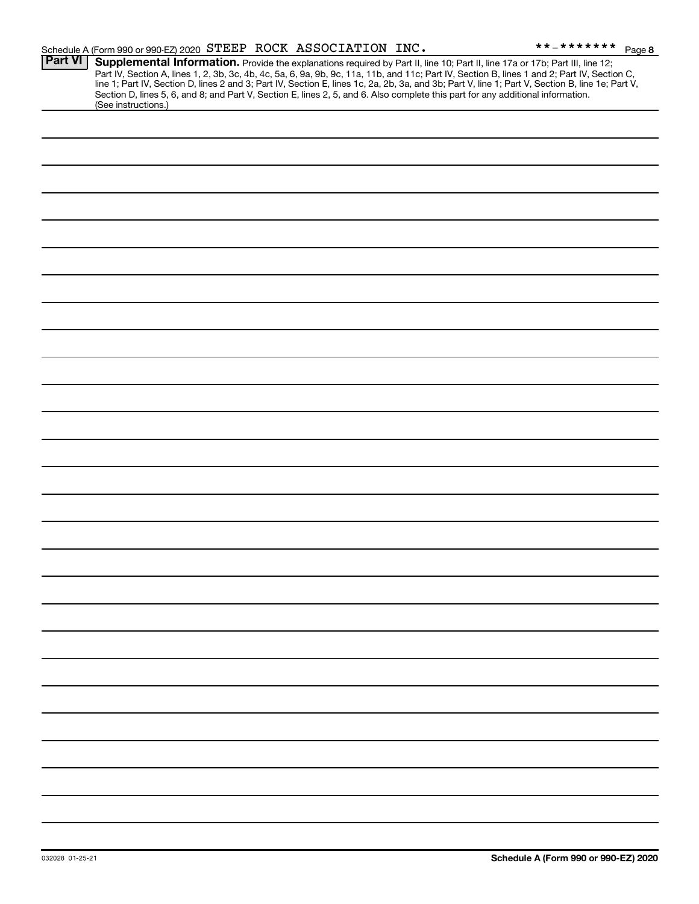|                | Schedule A (Form 990 or 990-EZ) 2020 STEEP ROCK ASSOCIATION INC.                                                                                                                                                                                                                                                                                                                                                                                                                                                                                                                            |  |  | **_******* Page 8 |
|----------------|---------------------------------------------------------------------------------------------------------------------------------------------------------------------------------------------------------------------------------------------------------------------------------------------------------------------------------------------------------------------------------------------------------------------------------------------------------------------------------------------------------------------------------------------------------------------------------------------|--|--|-------------------|
| <b>Part VI</b> | Supplemental Information. Provide the explanations required by Part II, line 10; Part II, line 17a or 17b; Part III, line 12;<br>Part IV, Section A, lines 1, 2, 3b, 3c, 4b, 4c, 5a, 6, 9a, 9b, 9c, 11a, 11b, and 11c; Part IV, Section B, lines 1 and 2; Part IV, Section C,<br>line 1; Part IV, Section D, lines 2 and 3; Part IV, Section E, lines 1c, 2a, 2b, 3a, and 3b; Part V, line 1; Part V, Section B, line 1e; Part V,<br>Section D, lines 5, 6, and 8; and Part V, Section E, lines 2, 5, and 6. Also complete this part for any additional information.<br>(See instructions.) |  |  |                   |
|                |                                                                                                                                                                                                                                                                                                                                                                                                                                                                                                                                                                                             |  |  |                   |
|                |                                                                                                                                                                                                                                                                                                                                                                                                                                                                                                                                                                                             |  |  |                   |
|                |                                                                                                                                                                                                                                                                                                                                                                                                                                                                                                                                                                                             |  |  |                   |
|                |                                                                                                                                                                                                                                                                                                                                                                                                                                                                                                                                                                                             |  |  |                   |
|                |                                                                                                                                                                                                                                                                                                                                                                                                                                                                                                                                                                                             |  |  |                   |
|                |                                                                                                                                                                                                                                                                                                                                                                                                                                                                                                                                                                                             |  |  |                   |
|                |                                                                                                                                                                                                                                                                                                                                                                                                                                                                                                                                                                                             |  |  |                   |
|                |                                                                                                                                                                                                                                                                                                                                                                                                                                                                                                                                                                                             |  |  |                   |
|                |                                                                                                                                                                                                                                                                                                                                                                                                                                                                                                                                                                                             |  |  |                   |
|                |                                                                                                                                                                                                                                                                                                                                                                                                                                                                                                                                                                                             |  |  |                   |
|                |                                                                                                                                                                                                                                                                                                                                                                                                                                                                                                                                                                                             |  |  |                   |
|                |                                                                                                                                                                                                                                                                                                                                                                                                                                                                                                                                                                                             |  |  |                   |
|                |                                                                                                                                                                                                                                                                                                                                                                                                                                                                                                                                                                                             |  |  |                   |
|                |                                                                                                                                                                                                                                                                                                                                                                                                                                                                                                                                                                                             |  |  |                   |
|                |                                                                                                                                                                                                                                                                                                                                                                                                                                                                                                                                                                                             |  |  |                   |
|                |                                                                                                                                                                                                                                                                                                                                                                                                                                                                                                                                                                                             |  |  |                   |
|                |                                                                                                                                                                                                                                                                                                                                                                                                                                                                                                                                                                                             |  |  |                   |
|                |                                                                                                                                                                                                                                                                                                                                                                                                                                                                                                                                                                                             |  |  |                   |
|                |                                                                                                                                                                                                                                                                                                                                                                                                                                                                                                                                                                                             |  |  |                   |
|                |                                                                                                                                                                                                                                                                                                                                                                                                                                                                                                                                                                                             |  |  |                   |
|                |                                                                                                                                                                                                                                                                                                                                                                                                                                                                                                                                                                                             |  |  |                   |
|                |                                                                                                                                                                                                                                                                                                                                                                                                                                                                                                                                                                                             |  |  |                   |
|                |                                                                                                                                                                                                                                                                                                                                                                                                                                                                                                                                                                                             |  |  |                   |
|                |                                                                                                                                                                                                                                                                                                                                                                                                                                                                                                                                                                                             |  |  |                   |
|                |                                                                                                                                                                                                                                                                                                                                                                                                                                                                                                                                                                                             |  |  |                   |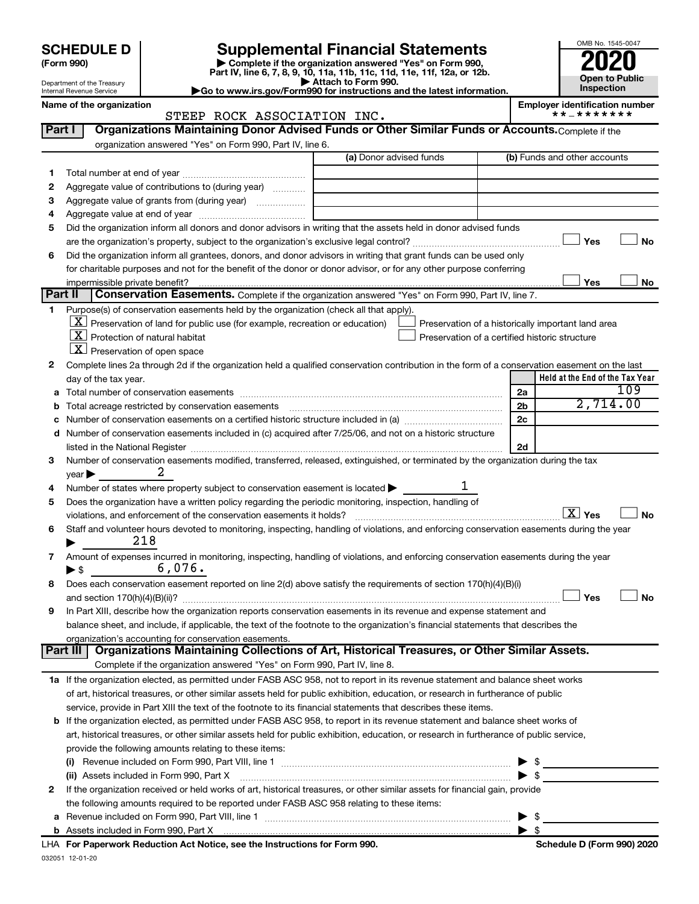Department of the Treasury Internal Revenue Service

| (Form 990) |  |
|------------|--|
|------------|--|

032051 12-01-20

# **SCHEDULE D Supplemental Financial Statements**<br> **Form 990 2020**<br> **Part IV** line 6.7.8.9.10, 11a, 11b, 11d, 11d, 11d, 11d, 11d, 12a, 0r, 12b

**(Form 990) | Complete if the organization answered "Yes" on Form 990, Part IV, line 6, 7, 8, 9, 10, 11a, 11b, 11c, 11d, 11e, 11f, 12a, or 12b.**

**| Attach to Form 990. |Go to www.irs.gov/Form990 for instructions and the latest information.**



## Name of the organization<br>
STEEP ROCK ASSOCTATION TNC. STEEP ROCK ASSOCIATION INC.

| Part I  | Organizations Maintaining Donor Advised Funds or Other Similar Funds or Accounts. Complete if the                                                |                         |   |                                                    |
|---------|--------------------------------------------------------------------------------------------------------------------------------------------------|-------------------------|---|----------------------------------------------------|
|         | organization answered "Yes" on Form 990, Part IV, line 6.                                                                                        | (a) Donor advised funds |   | (b) Funds and other accounts                       |
|         |                                                                                                                                                  |                         |   |                                                    |
| 1.<br>2 | Aggregate value of contributions to (during year)                                                                                                |                         |   |                                                    |
| З       | Aggregate value of grants from (during year)                                                                                                     |                         |   |                                                    |
| 4       |                                                                                                                                                  |                         |   |                                                    |
| 5       | Did the organization inform all donors and donor advisors in writing that the assets held in donor advised funds                                 |                         |   |                                                    |
|         |                                                                                                                                                  |                         |   | Yes<br>No                                          |
| 6       | Did the organization inform all grantees, donors, and donor advisors in writing that grant funds can be used only                                |                         |   |                                                    |
|         | for charitable purposes and not for the benefit of the donor or donor advisor, or for any other purpose conferring                               |                         |   |                                                    |
|         |                                                                                                                                                  |                         |   | Yes<br>No                                          |
| Part II | Conservation Easements. Complete if the organization answered "Yes" on Form 990, Part IV, line 7.                                                |                         |   |                                                    |
| 1       | Purpose(s) of conservation easements held by the organization (check all that apply).                                                            |                         |   |                                                    |
|         | $ \mathbf{X} $ Preservation of land for public use (for example, recreation or education)                                                        |                         |   | Preservation of a historically important land area |
|         | $\boxed{\textbf{X}}$ Protection of natural habitat                                                                                               |                         |   | Preservation of a certified historic structure     |
|         | $\lfloor X \rfloor$ Preservation of open space                                                                                                   |                         |   |                                                    |
| 2       | Complete lines 2a through 2d if the organization held a qualified conservation contribution in the form of a conservation easement on the last   |                         |   |                                                    |
|         | day of the tax year.                                                                                                                             |                         |   | Held at the End of the Tax Year                    |
| а       |                                                                                                                                                  |                         |   | 109<br>2a                                          |
| b       |                                                                                                                                                  |                         |   | 2,714.00<br>2 <sub>b</sub>                         |
| с       |                                                                                                                                                  |                         |   | 2c                                                 |
| d       | Number of conservation easements included in (c) acquired after 7/25/06, and not on a historic structure                                         |                         |   |                                                    |
|         | listed in the National Register [11, 2003] March 2014 The National Register [11, 2014] March 2014 The National                                   |                         |   | 2d                                                 |
| 3       | Number of conservation easements modified, transferred, released, extinguished, or terminated by the organization during the tax                 |                         |   |                                                    |
|         | 2<br>year                                                                                                                                        |                         |   |                                                    |
| 4       | Number of states where property subject to conservation easement is located >                                                                    |                         | ı |                                                    |
| 5       | Does the organization have a written policy regarding the periodic monitoring, inspection, handling of                                           |                         |   |                                                    |
|         | violations, and enforcement of the conservation easements it holds?                                                                              |                         |   | $\boxed{\text{X}}$ Yes<br><b>No</b>                |
| 6       | Staff and volunteer hours devoted to monitoring, inspecting, handling of violations, and enforcing conservation easements during the year<br>218 |                         |   |                                                    |
| 7       | Amount of expenses incurred in monitoring, inspecting, handling of violations, and enforcing conservation easements during the year              |                         |   |                                                    |
|         | 6,076.<br>$\blacktriangleright$ \$                                                                                                               |                         |   |                                                    |
| 8       | Does each conservation easement reported on line 2(d) above satisfy the requirements of section 170(h)(4)(B)(i)                                  |                         |   |                                                    |
|         |                                                                                                                                                  |                         |   | Yes<br>No                                          |
| 9       | In Part XIII, describe how the organization reports conservation easements in its revenue and expense statement and                              |                         |   |                                                    |
|         | balance sheet, and include, if applicable, the text of the footnote to the organization's financial statements that describes the                |                         |   |                                                    |
|         | organization's accounting for conservation easements.                                                                                            |                         |   |                                                    |
|         | Organizations Maintaining Collections of Art, Historical Treasures, or Other Similar Assets.<br>Part III                                         |                         |   |                                                    |
|         | Complete if the organization answered "Yes" on Form 990, Part IV, line 8.                                                                        |                         |   |                                                    |
|         | 1a If the organization elected, as permitted under FASB ASC 958, not to report in its revenue statement and balance sheet works                  |                         |   |                                                    |
|         | of art, historical treasures, or other similar assets held for public exhibition, education, or research in furtherance of public                |                         |   |                                                    |
|         | service, provide in Part XIII the text of the footnote to its financial statements that describes these items.                                   |                         |   |                                                    |
| b       | If the organization elected, as permitted under FASB ASC 958, to report in its revenue statement and balance sheet works of                      |                         |   |                                                    |
|         | art, historical treasures, or other similar assets held for public exhibition, education, or research in furtherance of public service,          |                         |   |                                                    |
|         | provide the following amounts relating to these items:                                                                                           |                         |   |                                                    |
|         |                                                                                                                                                  |                         |   | \$                                                 |
|         | (ii) Assets included in Form 990, Part X                                                                                                         |                         |   | $\blacktriangleright$ \$                           |
| 2       | If the organization received or held works of art, historical treasures, or other similar assets for financial gain, provide                     |                         |   |                                                    |
|         | the following amounts required to be reported under FASB ASC 958 relating to these items:                                                        |                         |   |                                                    |
| а       |                                                                                                                                                  |                         |   | \$                                                 |
|         |                                                                                                                                                  |                         |   | $\blacktriangleright$ s                            |
|         | LHA For Paperwork Reduction Act Notice, see the Instructions for Form 990.                                                                       |                         |   | Schedule D (Form 990) 2020                         |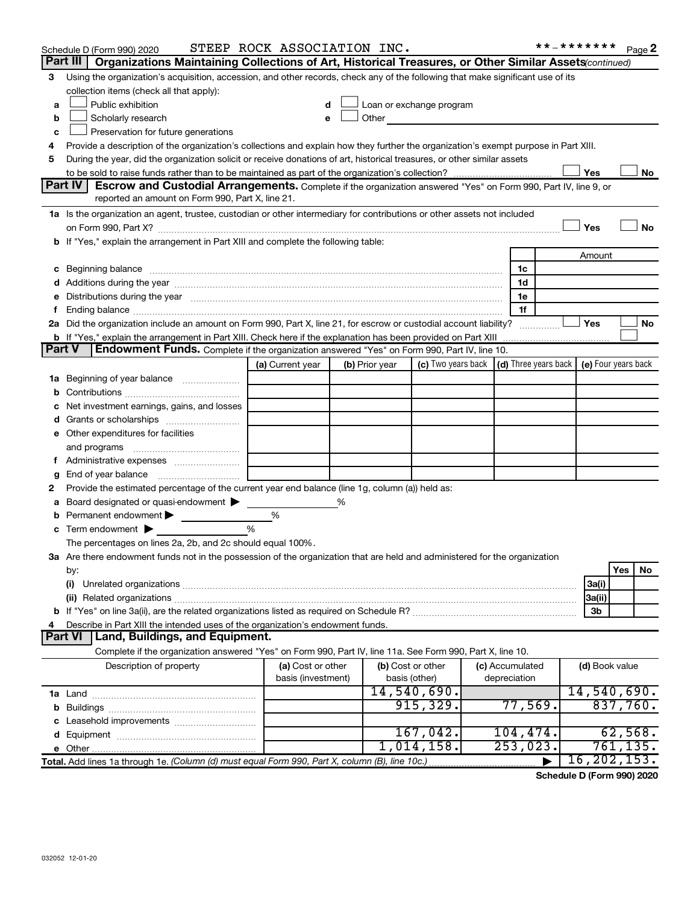|               | Schedule D (Form 990) 2020                                                                                                                                                                                                                                                           | STEEP ROCK ASSOCIATION INC. |   |                |                                                                             |  |                 |  | **_*******     | Page 2    |  |
|---------------|--------------------------------------------------------------------------------------------------------------------------------------------------------------------------------------------------------------------------------------------------------------------------------------|-----------------------------|---|----------------|-----------------------------------------------------------------------------|--|-----------------|--|----------------|-----------|--|
|               | Part III<br>  Organizations Maintaining Collections of Art, Historical Treasures, or Other Similar Assets (continued)                                                                                                                                                                |                             |   |                |                                                                             |  |                 |  |                |           |  |
| 3             | Using the organization's acquisition, accession, and other records, check any of the following that make significant use of its<br>collection items (check all that apply):                                                                                                          |                             |   |                |                                                                             |  |                 |  |                |           |  |
| a             | Public exhibition                                                                                                                                                                                                                                                                    | d                           |   |                |                                                                             |  |                 |  |                |           |  |
| b             | Loan or exchange program<br>Other and the contract of the contract of the contract of the contract of the contract of the contract of the contract of the contract of the contract of the contract of the contract of the contract of the contract of the<br>Scholarly research<br>e |                             |   |                |                                                                             |  |                 |  |                |           |  |
| c             | Preservation for future generations                                                                                                                                                                                                                                                  |                             |   |                |                                                                             |  |                 |  |                |           |  |
| 4             | Provide a description of the organization's collections and explain how they further the organization's exempt purpose in Part XIII.                                                                                                                                                 |                             |   |                |                                                                             |  |                 |  |                |           |  |
| 5             | During the year, did the organization solicit or receive donations of art, historical treasures, or other similar assets                                                                                                                                                             |                             |   |                |                                                                             |  |                 |  |                |           |  |
|               |                                                                                                                                                                                                                                                                                      |                             |   |                |                                                                             |  |                 |  | Yes            | No        |  |
|               | Part IV<br><b>Escrow and Custodial Arrangements.</b> Complete if the organization answered "Yes" on Form 990, Part IV, line 9, or                                                                                                                                                    |                             |   |                |                                                                             |  |                 |  |                |           |  |
|               | reported an amount on Form 990, Part X, line 21.                                                                                                                                                                                                                                     |                             |   |                |                                                                             |  |                 |  |                |           |  |
|               | 1a Is the organization an agent, trustee, custodian or other intermediary for contributions or other assets not included                                                                                                                                                             |                             |   |                |                                                                             |  |                 |  |                |           |  |
|               |                                                                                                                                                                                                                                                                                      |                             |   |                |                                                                             |  |                 |  | Yes            | <b>No</b> |  |
|               | b If "Yes," explain the arrangement in Part XIII and complete the following table:                                                                                                                                                                                                   |                             |   |                |                                                                             |  |                 |  |                |           |  |
|               |                                                                                                                                                                                                                                                                                      |                             |   |                |                                                                             |  |                 |  | Amount         |           |  |
|               |                                                                                                                                                                                                                                                                                      |                             |   |                |                                                                             |  | 1c              |  |                |           |  |
|               |                                                                                                                                                                                                                                                                                      |                             |   |                |                                                                             |  | 1d              |  |                |           |  |
|               | e Distributions during the year manufactured and continuum control of the control of the control of the state of the control of the control of the control of the control of the control of the control of the control of the                                                        |                             |   |                |                                                                             |  | 1e              |  |                |           |  |
|               |                                                                                                                                                                                                                                                                                      |                             |   |                |                                                                             |  | 1f              |  |                |           |  |
|               | 2a Did the organization include an amount on Form 990, Part X, line 21, for escrow or custodial account liability?                                                                                                                                                                   |                             |   |                |                                                                             |  |                 |  | Yes            | No        |  |
|               | <b>b</b> If "Yes," explain the arrangement in Part XIII. Check here if the explanation has been provided on Part XIII                                                                                                                                                                |                             |   |                |                                                                             |  |                 |  |                |           |  |
| <b>Part V</b> | <b>Endowment Funds.</b> Complete if the organization answered "Yes" on Form 990, Part IV, line 10.                                                                                                                                                                                   |                             |   |                |                                                                             |  |                 |  |                |           |  |
|               |                                                                                                                                                                                                                                                                                      | (a) Current year            |   | (b) Prior year | (c) Two years back $\vert$ (d) Three years back $\vert$ (e) Four years back |  |                 |  |                |           |  |
|               | 1a Beginning of year balance                                                                                                                                                                                                                                                         |                             |   |                |                                                                             |  |                 |  |                |           |  |
|               |                                                                                                                                                                                                                                                                                      |                             |   |                |                                                                             |  |                 |  |                |           |  |
|               | c Net investment earnings, gains, and losses                                                                                                                                                                                                                                         |                             |   |                |                                                                             |  |                 |  |                |           |  |
|               |                                                                                                                                                                                                                                                                                      |                             |   |                |                                                                             |  |                 |  |                |           |  |
|               | e Other expenditures for facilities                                                                                                                                                                                                                                                  |                             |   |                |                                                                             |  |                 |  |                |           |  |
|               |                                                                                                                                                                                                                                                                                      |                             |   |                |                                                                             |  |                 |  |                |           |  |
|               |                                                                                                                                                                                                                                                                                      |                             |   |                |                                                                             |  |                 |  |                |           |  |
| g             | End of year balance <i>manually contained</i>                                                                                                                                                                                                                                        |                             |   |                |                                                                             |  |                 |  |                |           |  |
| 2             | Provide the estimated percentage of the current year end balance (line 1g, column (a)) held as:                                                                                                                                                                                      |                             |   |                |                                                                             |  |                 |  |                |           |  |
| а             | Board designated or quasi-endowment >                                                                                                                                                                                                                                                |                             | % |                |                                                                             |  |                 |  |                |           |  |
|               | <b>b</b> Permanent endowment $\blacktriangleright$                                                                                                                                                                                                                                   | $\%$                        |   |                |                                                                             |  |                 |  |                |           |  |
|               | $\mathbf c$ Term endowment $\blacktriangleright$                                                                                                                                                                                                                                     | $\frac{0}{0}$               |   |                |                                                                             |  |                 |  |                |           |  |
|               | The percentages on lines 2a, 2b, and 2c should equal 100%.                                                                                                                                                                                                                           |                             |   |                |                                                                             |  |                 |  |                |           |  |
|               | 3a Are there endowment funds not in the possession of the organization that are held and administered for the organization                                                                                                                                                           |                             |   |                |                                                                             |  |                 |  |                |           |  |
|               | by:                                                                                                                                                                                                                                                                                  |                             |   |                |                                                                             |  |                 |  |                | Yes<br>No |  |
|               | (i)                                                                                                                                                                                                                                                                                  |                             |   |                |                                                                             |  |                 |  | 3a(i)          |           |  |
|               |                                                                                                                                                                                                                                                                                      |                             |   |                |                                                                             |  |                 |  | 3a(ii)         |           |  |
| 4             |                                                                                                                                                                                                                                                                                      |                             |   |                |                                                                             |  |                 |  | 3b             |           |  |
|               | Describe in Part XIII the intended uses of the organization's endowment funds.<br><b>Land, Buildings, and Equipment.</b><br><b>Part VI</b>                                                                                                                                           |                             |   |                |                                                                             |  |                 |  |                |           |  |
|               | Complete if the organization answered "Yes" on Form 990, Part IV, line 11a. See Form 990, Part X, line 10.                                                                                                                                                                           |                             |   |                |                                                                             |  |                 |  |                |           |  |
|               | Description of property                                                                                                                                                                                                                                                              | (a) Cost or other           |   |                | (b) Cost or other                                                           |  | (c) Accumulated |  | (d) Book value |           |  |
|               |                                                                                                                                                                                                                                                                                      | basis (investment)          |   |                | basis (other)                                                               |  | depreciation    |  |                |           |  |
|               |                                                                                                                                                                                                                                                                                      |                             |   |                | 14,540,690.                                                                 |  |                 |  | 14,540,690.    |           |  |
|               |                                                                                                                                                                                                                                                                                      |                             |   |                | 915, 329.                                                                   |  | 77,569.         |  |                | 837,760.  |  |
|               |                                                                                                                                                                                                                                                                                      |                             |   |                |                                                                             |  |                 |  |                |           |  |
|               |                                                                                                                                                                                                                                                                                      |                             |   |                | 167,042.                                                                    |  | 104,474.        |  |                | 62,568.   |  |
|               |                                                                                                                                                                                                                                                                                      |                             |   |                | 1,014,158.                                                                  |  | 253,023.        |  |                | 761, 135. |  |
|               | Total. Add lines 1a through 1e. (Column (d) must equal Form 990, Part X, column (B), line 10c.)                                                                                                                                                                                      |                             |   |                |                                                                             |  |                 |  | 16, 202, 153.  |           |  |
|               |                                                                                                                                                                                                                                                                                      |                             |   |                |                                                                             |  |                 |  |                |           |  |

**Schedule D (Form 990) 2020**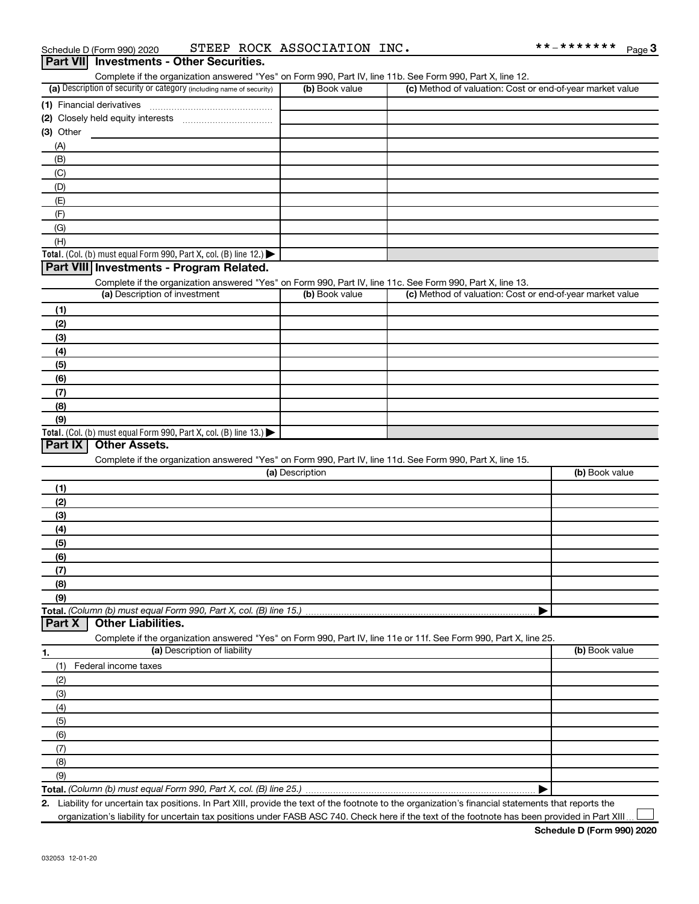| (a) Description of security or category (including name of security)                                              | (b) Book value  | (c) Method of valuation: Cost or end-of-year market value |                |
|-------------------------------------------------------------------------------------------------------------------|-----------------|-----------------------------------------------------------|----------------|
|                                                                                                                   |                 |                                                           |                |
| (2) Closely held equity interests                                                                                 |                 |                                                           |                |
| $(3)$ Other                                                                                                       |                 |                                                           |                |
| (A)                                                                                                               |                 |                                                           |                |
| (B)                                                                                                               |                 |                                                           |                |
| (C)                                                                                                               |                 |                                                           |                |
|                                                                                                                   |                 |                                                           |                |
| (D)                                                                                                               |                 |                                                           |                |
| (E)                                                                                                               |                 |                                                           |                |
| (F)                                                                                                               |                 |                                                           |                |
| (G)                                                                                                               |                 |                                                           |                |
| (H)                                                                                                               |                 |                                                           |                |
| Total. (Col. (b) must equal Form 990, Part X, col. (B) line 12.) $\blacktriangleright$                            |                 |                                                           |                |
| Part VIII Investments - Program Related.                                                                          |                 |                                                           |                |
| Complete if the organization answered "Yes" on Form 990, Part IV, line 11c. See Form 990, Part X, line 13.        |                 |                                                           |                |
| (a) Description of investment                                                                                     | (b) Book value  | (c) Method of valuation: Cost or end-of-year market value |                |
| (1)                                                                                                               |                 |                                                           |                |
| (2)                                                                                                               |                 |                                                           |                |
| (3)                                                                                                               |                 |                                                           |                |
| (4)                                                                                                               |                 |                                                           |                |
| (5)                                                                                                               |                 |                                                           |                |
| (6)                                                                                                               |                 |                                                           |                |
| (7)                                                                                                               |                 |                                                           |                |
|                                                                                                                   |                 |                                                           |                |
| (8)                                                                                                               |                 |                                                           |                |
| (9)                                                                                                               |                 |                                                           |                |
| Total. (Col. (b) must equal Form 990, Part X, col. (B) line $13$ .)                                               |                 |                                                           |                |
| <b>Other Assets.</b><br>Part IX                                                                                   |                 |                                                           |                |
| Complete if the organization answered "Yes" on Form 990, Part IV, line 11d. See Form 990, Part X, line 15.        |                 |                                                           |                |
|                                                                                                                   | (a) Description |                                                           | (b) Book value |
| (1)                                                                                                               |                 |                                                           |                |
| (2)                                                                                                               |                 |                                                           |                |
| (3)                                                                                                               |                 |                                                           |                |
| (4)                                                                                                               |                 |                                                           |                |
|                                                                                                                   |                 |                                                           |                |
|                                                                                                                   |                 |                                                           |                |
| (5)                                                                                                               |                 |                                                           |                |
| (6)                                                                                                               |                 |                                                           |                |
| (7)                                                                                                               |                 |                                                           |                |
| (8)                                                                                                               |                 |                                                           |                |
| (9)                                                                                                               |                 |                                                           |                |
|                                                                                                                   |                 |                                                           |                |
| <b>Other Liabilities.</b>                                                                                         |                 |                                                           |                |
| Complete if the organization answered "Yes" on Form 990, Part IV, line 11e or 11f. See Form 990, Part X, line 25. |                 |                                                           |                |
| (a) Description of liability                                                                                      |                 |                                                           | (b) Book value |
| (1)<br>Federal income taxes                                                                                       |                 |                                                           |                |
| (2)                                                                                                               |                 |                                                           |                |
| (3)                                                                                                               |                 |                                                           |                |
| (4)                                                                                                               |                 |                                                           |                |
|                                                                                                                   |                 |                                                           |                |
| (5)                                                                                                               |                 |                                                           |                |
| (6)                                                                                                               |                 |                                                           |                |
| (7)                                                                                                               |                 |                                                           |                |
| Total. (Column (b) must equal Form 990, Part X, col. (B) line 15.)<br>Part X<br>1.<br>(8)<br>(9)                  |                 |                                                           |                |

**2.** Liability for uncertain tax positions. In Part XIII, provide the text of the footnote to the organization's financial statements that reports the organization's liability for uncertain tax positions under FASB ASC 740. Check here if the text of the footnote has been provided in Part XIII

 $\perp$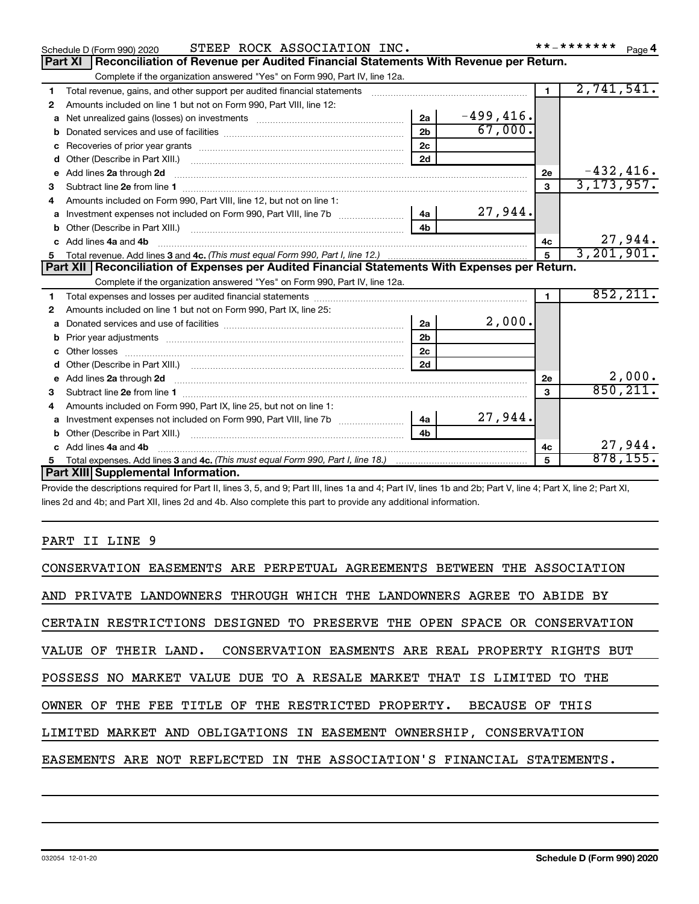|    | STEEP ROCK ASSOCIATION INC.<br>Schedule D (Form 990) 2020                                                                                                                                                                           |                |              |                | **_*******    Page 4       |
|----|-------------------------------------------------------------------------------------------------------------------------------------------------------------------------------------------------------------------------------------|----------------|--------------|----------------|----------------------------|
|    | Reconciliation of Revenue per Audited Financial Statements With Revenue per Return.<br><b>Part XI</b>                                                                                                                               |                |              |                |                            |
|    | Complete if the organization answered "Yes" on Form 990, Part IV, line 12a.                                                                                                                                                         |                |              |                |                            |
| 1  | Total revenue, gains, and other support per audited financial statements [11] [11] Total revenue, gains, and other support per audited financial statements                                                                         |                |              | $\blacksquare$ | 2,741,541.                 |
| 2  | Amounts included on line 1 but not on Form 990, Part VIII, line 12:                                                                                                                                                                 |                |              |                |                            |
| a  |                                                                                                                                                                                                                                     | 2a             | $-499, 416.$ |                |                            |
| b  |                                                                                                                                                                                                                                     | 2 <sub>b</sub> | 67,000.      |                |                            |
| c  |                                                                                                                                                                                                                                     | 2c             |              |                |                            |
| d  |                                                                                                                                                                                                                                     | 2d             |              |                |                            |
| e  | Add lines 2a through 2d <b>continuum continuum contract and continuum contract a</b> through 2d continuum contract and continuum contract a term of the state of the state of the state of the state of the state of the state of t |                |              | 2e             | $-432, 416.$               |
| З  |                                                                                                                                                                                                                                     |                |              | 3              | 3, 173, 957.               |
|    | Amounts included on Form 990, Part VIII, line 12, but not on line 1:                                                                                                                                                                |                |              |                |                            |
| a  | Investment expenses not included on Form 990, Part VIII, line 7b [100] [100] [100] [100] [100] [100] [100] [10                                                                                                                      | 4a             | 27,944.      |                |                            |
| b  |                                                                                                                                                                                                                                     | 4b             |              |                |                            |
| C. | Add lines 4a and 4b                                                                                                                                                                                                                 |                |              | 4c             | $\frac{27,944}{3,201,901}$ |
| 5  |                                                                                                                                                                                                                                     |                |              | 5              |                            |
|    | Part XII   Reconciliation of Expenses per Audited Financial Statements With Expenses per Return.                                                                                                                                    |                |              |                |                            |
|    | Complete if the organization answered "Yes" on Form 990, Part IV, line 12a.                                                                                                                                                         |                |              |                |                            |
| 1  |                                                                                                                                                                                                                                     |                |              |                | 852, 211.                  |
| 2  | Amounts included on line 1 but not on Form 990, Part IX, line 25:                                                                                                                                                                   |                |              |                |                            |
| a  |                                                                                                                                                                                                                                     | 2a             | 2,000.       |                |                            |
| b  |                                                                                                                                                                                                                                     | 2 <sub>b</sub> |              |                |                            |
| c  |                                                                                                                                                                                                                                     | 2c             |              |                |                            |
|    |                                                                                                                                                                                                                                     | 2d             |              |                |                            |
|    | e Add lines 2a through 2d <b>contract and a contract and a contract a</b> contract a contract and a contract a contract a contract a contract a contract a contract a contract a contract a contract a contract a contract a contra |                |              | 2e             | 2,000.                     |
| 3  |                                                                                                                                                                                                                                     |                |              | 3              | 850, 211.                  |
| 4  | Amounts included on Form 990, Part IX, line 25, but not on line 1:                                                                                                                                                                  |                |              |                |                            |
| a  |                                                                                                                                                                                                                                     | 4a             | 27,944.      |                |                            |
| b  |                                                                                                                                                                                                                                     | 4h.            |              |                |                            |
|    | Add lines 4a and 4b                                                                                                                                                                                                                 |                |              | 4c             | 27,944.                    |
|    |                                                                                                                                                                                                                                     |                |              | 5              | 878, 155.                  |
|    | Part XIII Supplemental Information.                                                                                                                                                                                                 |                |              |                |                            |

Provide the descriptions required for Part II, lines 3, 5, and 9; Part III, lines 1a and 4; Part IV, lines 1b and 2b; Part V, line 4; Part X, line 2; Part XI, lines 2d and 4b; and Part XII, lines 2d and 4b. Also complete this part to provide any additional information.

## PART II LINE 9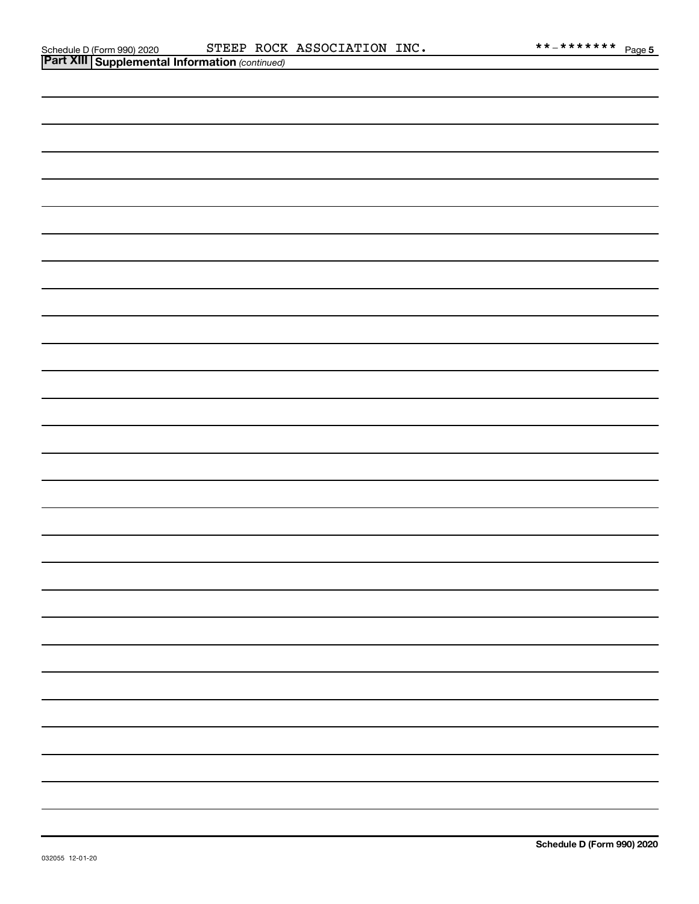$\overline{\phantom{0}}$ 

 $\overline{a}$ 

 $\overline{\phantom{0}}$ 

 $\overline{\phantom{a}}$ 

 $\overline{\phantom{0}}$ 

 $\overline{\phantom{0}}$ 

 $\overline{a}$ 

 $\overline{\phantom{0}}$ 

 $\overline{\phantom{a}}$ 

|                                                                                         |                             | **_******** Page 5 |  |
|-----------------------------------------------------------------------------------------|-----------------------------|--------------------|--|
| Schedule D (Form 990) 2020 STEEP ROCK<br>Part XIII Supplemental Information (continued) | STEEP ROCK ASSOCIATION INC. |                    |  |
|                                                                                         |                             |                    |  |
|                                                                                         |                             |                    |  |
|                                                                                         |                             |                    |  |
|                                                                                         |                             |                    |  |
|                                                                                         |                             |                    |  |
|                                                                                         |                             |                    |  |
|                                                                                         |                             |                    |  |
|                                                                                         |                             |                    |  |
|                                                                                         |                             |                    |  |
|                                                                                         |                             |                    |  |
|                                                                                         |                             |                    |  |
|                                                                                         |                             |                    |  |
|                                                                                         |                             |                    |  |
|                                                                                         |                             |                    |  |
|                                                                                         |                             |                    |  |
|                                                                                         |                             |                    |  |
|                                                                                         |                             |                    |  |
|                                                                                         |                             |                    |  |
|                                                                                         |                             |                    |  |
|                                                                                         |                             |                    |  |
|                                                                                         |                             |                    |  |
|                                                                                         |                             |                    |  |
|                                                                                         |                             |                    |  |
|                                                                                         |                             |                    |  |
|                                                                                         |                             |                    |  |
|                                                                                         |                             |                    |  |
|                                                                                         |                             |                    |  |
|                                                                                         |                             |                    |  |
|                                                                                         |                             |                    |  |
|                                                                                         |                             |                    |  |
|                                                                                         |                             |                    |  |
|                                                                                         |                             |                    |  |
|                                                                                         |                             |                    |  |
|                                                                                         |                             |                    |  |
|                                                                                         |                             |                    |  |
|                                                                                         |                             |                    |  |
|                                                                                         |                             |                    |  |
|                                                                                         |                             |                    |  |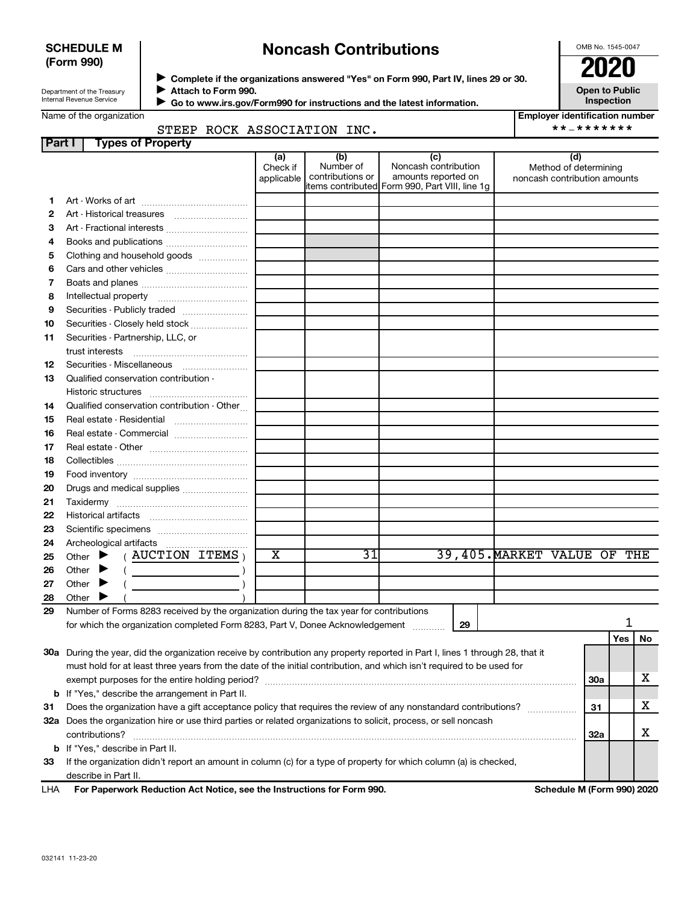## **SCHEDULE M (Form 990)**

## **Noncash Contributions**

OMB No. 1545-0047

**Employer identification number**

Department of the Treasury Internal Revenue Service

◆ Complete if the organizations answered "Yes" on Form 990, Part IV, lines 29 or 30.<br>● Complete if the organizations answered "Yes" on Form 990, Part IV, lines 29 or 30. **Attach to Form 990.**  $\blacktriangleright$ 

**Open to Public Inspection**

|  | Name of the organization |
|--|--------------------------|
|  |                          |
|  |                          |

 **Go to www.irs.gov/Form990 for instructions and the latest information.** J

## STEEP ROCK ASSOCIATION INC. \*\*-\*\*\*\*\*\*\*

| <b>Part I</b> | <b>Types of Property</b>                                                                                                       |                               |                                      |                                                                                                       |                         |                                                              |     |     |
|---------------|--------------------------------------------------------------------------------------------------------------------------------|-------------------------------|--------------------------------------|-------------------------------------------------------------------------------------------------------|-------------------------|--------------------------------------------------------------|-----|-----|
|               |                                                                                                                                | (a)<br>Check if<br>applicable | (b)<br>Number of<br>contributions or | (c)<br>Noncash contribution<br>amounts reported on<br>litems contributed Form 990, Part VIII, line 1g |                         | (d)<br>Method of determining<br>noncash contribution amounts |     |     |
| 1             |                                                                                                                                |                               |                                      |                                                                                                       |                         |                                                              |     |     |
| 2             | Art - Historical treasures                                                                                                     |                               |                                      |                                                                                                       |                         |                                                              |     |     |
| 3             | Art - Fractional interests                                                                                                     |                               |                                      |                                                                                                       |                         |                                                              |     |     |
| 4             | Books and publications                                                                                                         |                               |                                      |                                                                                                       |                         |                                                              |     |     |
| 5             | Clothing and household goods                                                                                                   |                               |                                      |                                                                                                       |                         |                                                              |     |     |
| 6             |                                                                                                                                |                               |                                      |                                                                                                       |                         |                                                              |     |     |
| 7             |                                                                                                                                |                               |                                      |                                                                                                       |                         |                                                              |     |     |
| 8             |                                                                                                                                |                               |                                      |                                                                                                       |                         |                                                              |     |     |
| 9             | Securities - Publicly traded                                                                                                   |                               |                                      |                                                                                                       |                         |                                                              |     |     |
| 10            | Securities - Closely held stock                                                                                                |                               |                                      |                                                                                                       |                         |                                                              |     |     |
| 11            | Securities - Partnership, LLC, or                                                                                              |                               |                                      |                                                                                                       |                         |                                                              |     |     |
|               | trust interests                                                                                                                |                               |                                      |                                                                                                       |                         |                                                              |     |     |
| 12            | Securities - Miscellaneous                                                                                                     |                               |                                      |                                                                                                       |                         |                                                              |     |     |
| 13            | Qualified conservation contribution -                                                                                          |                               |                                      |                                                                                                       |                         |                                                              |     |     |
|               |                                                                                                                                |                               |                                      |                                                                                                       |                         |                                                              |     |     |
| 14            | Qualified conservation contribution - Other                                                                                    |                               |                                      |                                                                                                       |                         |                                                              |     |     |
| 15            |                                                                                                                                |                               |                                      |                                                                                                       |                         |                                                              |     |     |
| 16            | Real estate - Commercial                                                                                                       |                               |                                      |                                                                                                       |                         |                                                              |     |     |
| 17            |                                                                                                                                |                               |                                      |                                                                                                       |                         |                                                              |     |     |
| 18            |                                                                                                                                |                               |                                      |                                                                                                       |                         |                                                              |     |     |
| 19            |                                                                                                                                |                               |                                      |                                                                                                       |                         |                                                              |     |     |
| 20            | Drugs and medical supplies                                                                                                     |                               |                                      |                                                                                                       |                         |                                                              |     |     |
| 21            |                                                                                                                                |                               |                                      |                                                                                                       |                         |                                                              |     |     |
| 22            |                                                                                                                                |                               |                                      |                                                                                                       |                         |                                                              |     |     |
| 23            |                                                                                                                                |                               |                                      |                                                                                                       |                         |                                                              |     |     |
| 24            |                                                                                                                                |                               |                                      |                                                                                                       |                         |                                                              |     |     |
| 25            | $($ AUCTION ITEMS $)$<br>Other<br>▸                                                                                            | х                             | 31                                   |                                                                                                       | 39,405. MARKET VALUE OF |                                                              |     | THE |
| 26            | Other<br>▸<br>$\overline{\phantom{a}}$                                                                                         |                               |                                      |                                                                                                       |                         |                                                              |     |     |
| 27            | Other<br>▸                                                                                                                     |                               |                                      |                                                                                                       |                         |                                                              |     |     |
| 28            | Other                                                                                                                          |                               |                                      |                                                                                                       |                         |                                                              |     |     |
| 29            | Number of Forms 8283 received by the organization during the tax year for contributions                                        |                               |                                      |                                                                                                       |                         |                                                              |     |     |
|               | for which the organization completed Form 8283, Part V, Donee Acknowledgement                                                  |                               |                                      | 29                                                                                                    |                         |                                                              |     |     |
|               |                                                                                                                                |                               |                                      |                                                                                                       |                         |                                                              | Yes | No  |
|               | 30a During the year, did the organization receive by contribution any property reported in Part I, lines 1 through 28, that it |                               |                                      |                                                                                                       |                         |                                                              |     |     |
|               | must hold for at least three years from the date of the initial contribution, and which isn't required to be used for          |                               |                                      |                                                                                                       |                         |                                                              |     |     |
|               |                                                                                                                                |                               |                                      |                                                                                                       |                         | 30a                                                          |     | х   |
|               | <b>b</b> If "Yes," describe the arrangement in Part II.                                                                        |                               |                                      |                                                                                                       |                         |                                                              |     |     |
| 31            | Does the organization have a gift acceptance policy that requires the review of any nonstandard contributions?                 |                               |                                      |                                                                                                       |                         | 31                                                           |     | х   |
|               | 32a Does the organization hire or use third parties or related organizations to solicit, process, or sell noncash              |                               |                                      |                                                                                                       |                         |                                                              |     |     |
|               | contributions?                                                                                                                 |                               |                                      |                                                                                                       |                         | 32a                                                          |     | х   |
|               | <b>b</b> If "Yes," describe in Part II.                                                                                        |                               |                                      |                                                                                                       |                         |                                                              |     |     |
| 33            | If the organization didn't report an amount in column (c) for a type of property for which column (a) is checked,              |                               |                                      |                                                                                                       |                         |                                                              |     |     |
|               | describe in Part II.                                                                                                           |                               |                                      |                                                                                                       |                         |                                                              |     |     |
| LHA           | For Paperwork Reduction Act Notice, see the Instructions for Form 990.                                                         |                               |                                      |                                                                                                       |                         | Schedule M (Form 990) 2020                                   |     |     |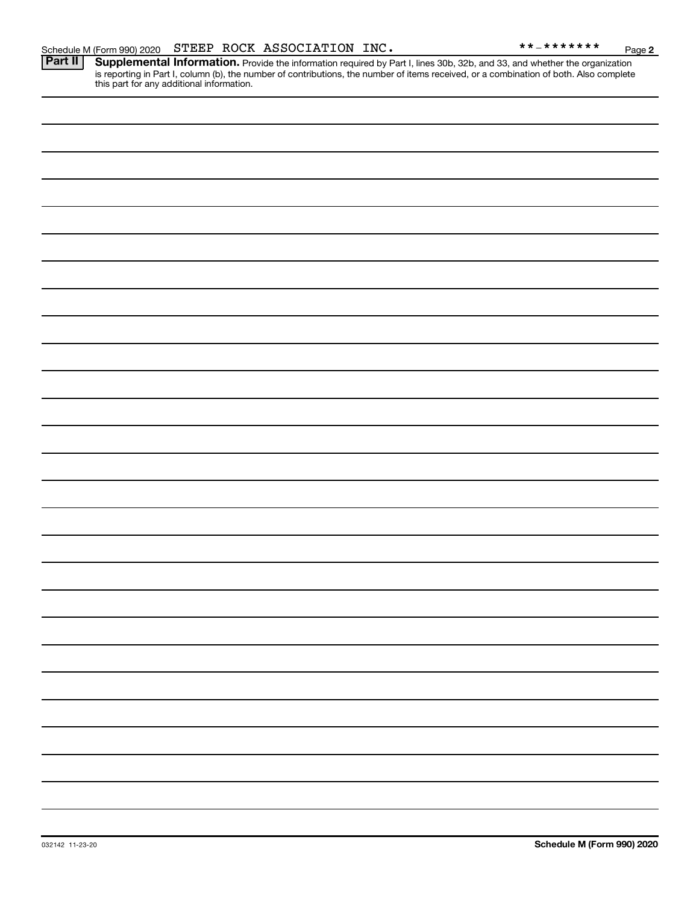Provide the information required by Part I, lines 30b, 32b, and 33, and whether the organization is reporting in Part I, column (b), the number of contributions, the number of items received, or a combination of both. Also complete this part for any additional information. **Part II Supplemental Information.**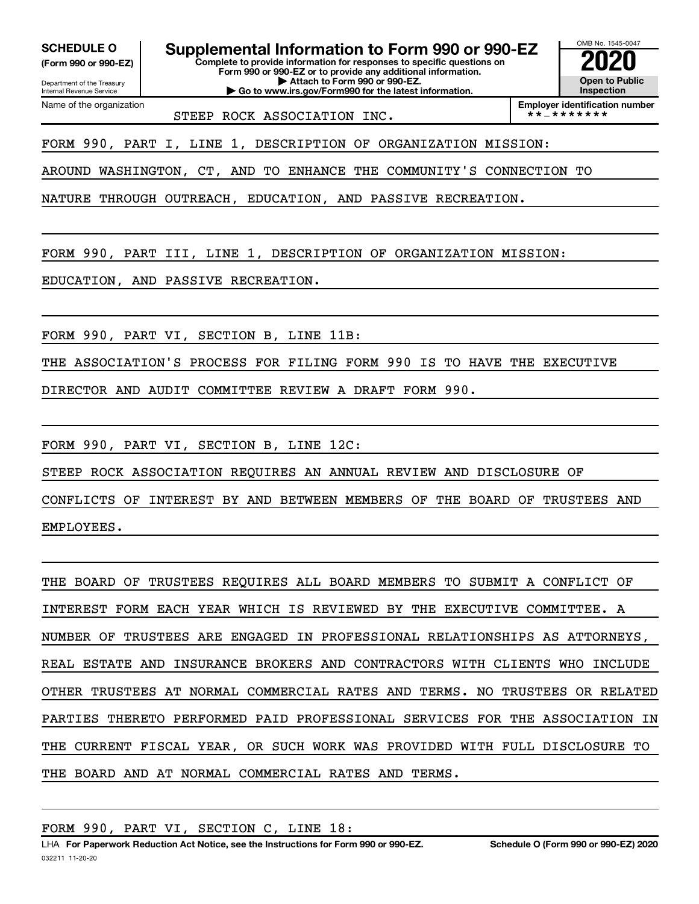Department of the Treasury **(Form 990 or 990-EZ)**

Name of the organization

Internal Revenue Service

**SCHEDULE O Supplemental Information to Form 990 or 990-EZ 2020**<br>(Form 990 or 990-EZ) Complete to provide information for responses to specific questions on

**Complete to provide information for responses to specific questions on Form 990 or 990-EZ or to provide any additional information. | Attach to Form 990 or 990-EZ.**

**| Go to www.irs.gov/Form990 for the latest information.**

OMB No. 1545-0047 **Open to Public Inspection**

STEEP ROCK ASSOCIATION INC.

**Employer identification number**<br> $\star \star = \star \star \star \star \star \star \star$ 

FORM 990, PART I, LINE 1, DESCRIPTION OF ORGANIZATION MISSION:

AROUND WASHINGTON, CT, AND TO ENHANCE THE COMMUNITY'S CONNECTION TO

NATURE THROUGH OUTREACH, EDUCATION, AND PASSIVE RECREATION.

FORM 990, PART III, LINE 1, DESCRIPTION OF ORGANIZATION MISSION:

EDUCATION, AND PASSIVE RECREATION.

FORM 990, PART VI, SECTION B, LINE 11B:

THE ASSOCIATION'S PROCESS FOR FILING FORM 990 IS TO HAVE THE EXECUTIVE

DIRECTOR AND AUDIT COMMITTEE REVIEW A DRAFT FORM 990.

FORM 990, PART VI, SECTION B, LINE 12C:

STEEP ROCK ASSOCIATION REQUIRES AN ANNUAL REVIEW AND DISCLOSURE OF

CONFLICTS OF INTEREST BY AND BETWEEN MEMBERS OF THE BOARD OF TRUSTEES AND EMPLOYEES.

THE BOARD OF TRUSTEES REQUIRES ALL BOARD MEMBERS TO SUBMIT A CONFLICT OF INTEREST FORM EACH YEAR WHICH IS REVIEWED BY THE EXECUTIVE COMMITTEE. A NUMBER OF TRUSTEES ARE ENGAGED IN PROFESSIONAL RELATIONSHIPS AS ATTORNEYS, REAL ESTATE AND INSURANCE BROKERS AND CONTRACTORS WITH CLIENTS WHO INCLUDE OTHER TRUSTEES AT NORMAL COMMERCIAL RATES AND TERMS. NO TRUSTEES OR RELATED PARTIES THERETO PERFORMED PAID PROFESSIONAL SERVICES FOR THE ASSOCIATION IN THE CURRENT FISCAL YEAR, OR SUCH WORK WAS PROVIDED WITH FULL DISCLOSURE TO THE BOARD AND AT NORMAL COMMERCIAL RATES AND TERMS.

FORM 990, PART VI, SECTION C, LINE 18: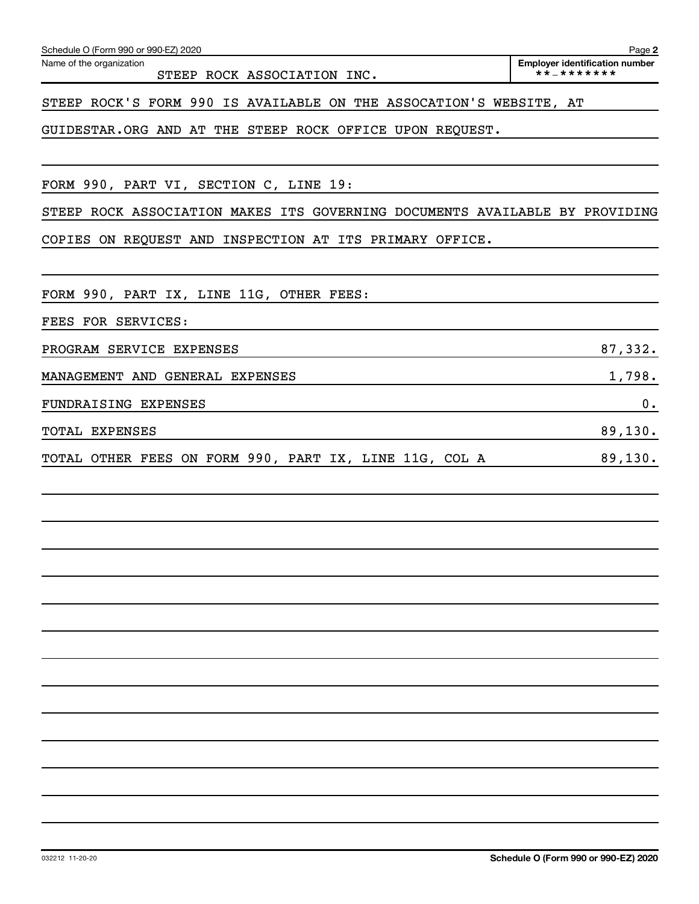Schedule O (Form 990 or 990-EZ) 2020 Name of the organization

STEEP ROCK ASSOCIATION INC.

STEEP ROCK'S FORM 990 IS AVAILABLE ON THE ASSOCATION'S WEBSITE, AT

GUIDESTAR.ORG AND AT THE STEEP ROCK OFFICE UPON REQUEST.

FORM 990, PART VI, SECTION C, LINE 19:

STEEP ROCK ASSOCIATION MAKES ITS GOVERNING DOCUMENTS AVAILABLE BY PROVIDING

COPIES ON REQUEST AND INSPECTION AT ITS PRIMARY OFFICE.

FORM 990, PART IX, LINE 11G, OTHER FEES:

FEES FOR SERVICES:

PROGRAM SERVICE EXPENSES 87,332.

MANAGEMENT AND GENERAL EXPENSES 1,798.

FUNDRAISING EXPENSES  $\qquad \qquad \qquad \qquad 0$ .

TOTAL EXPENSES 89,130.

TOTAL OTHER FEES ON FORM 990, PART IX, LINE 11G, COL A 89,130.

**2**

**Employer identification number**<br> $\begin{array}{l}\n\star \star = \star \star \star \star \star \star \star \star \end{array}$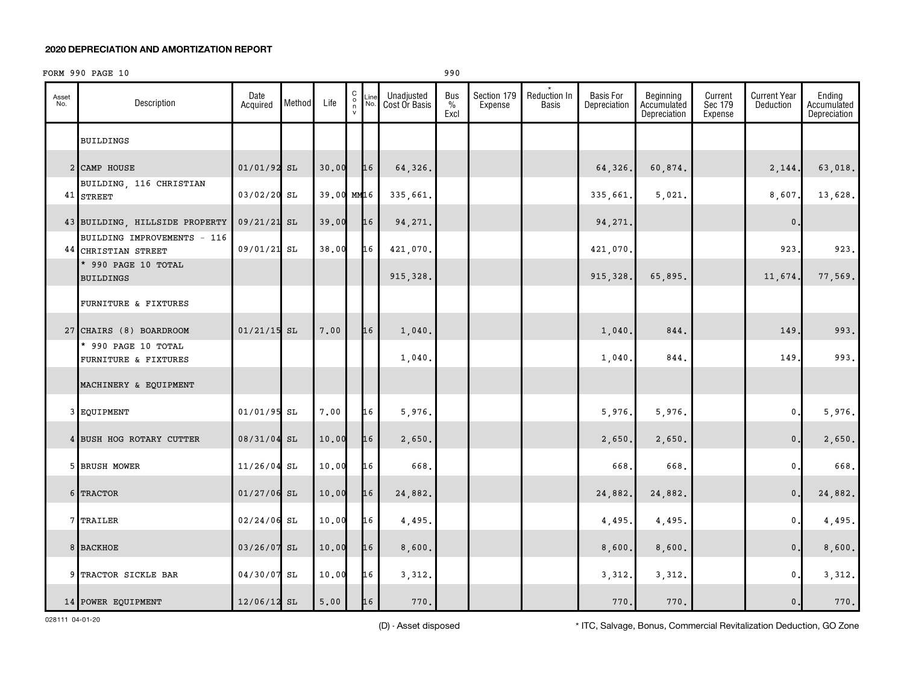FORM 990 PAGE 10 990

| Asset<br>No. | Description                                        | Date<br>Acquired | Method | Life       | $\begin{smallmatrix} 0 \\ 0 \\ 7 \end{smallmatrix}$ | Line<br>No. | Unadjusted<br>Cost Or Basis | Bus<br>$\frac{0}{0}$<br>Excl | Section 179<br>Expense | Reduction In<br><b>Basis</b> | <b>Basis For</b><br>Depreciation | Beginning<br>Accumulated<br>Depreciation | Current<br>Sec 179<br>Expense | <b>Current Year</b><br>Deduction | Ending<br>Accumulated<br>Depreciation |
|--------------|----------------------------------------------------|------------------|--------|------------|-----------------------------------------------------|-------------|-----------------------------|------------------------------|------------------------|------------------------------|----------------------------------|------------------------------------------|-------------------------------|----------------------------------|---------------------------------------|
|              | <b>BUILDINGS</b>                                   |                  |        |            |                                                     |             |                             |                              |                        |                              |                                  |                                          |                               |                                  |                                       |
|              | 2 CAMP HOUSE                                       | 01/01/92 SL      |        | 30.00      |                                                     | 16          | 64,326.                     |                              |                        |                              | 64,326                           | 60,874.                                  |                               | 2,144.                           | 63,018.                               |
|              | BUILDING, 116 CHRISTIAN<br>41 STREET               | 03/02/20 SL      |        | 39.00 MM16 |                                                     |             | 335,661.                    |                              |                        |                              | 335,661                          | 5,021.                                   |                               | 8,607                            | 13,628.                               |
|              | 43 BUILDING, HILLSIDE PROPERTY                     | 09/21/21 SL      |        | 39.00      |                                                     | 16          | 94, 271.                    |                              |                        |                              | 94, 271.                         |                                          |                               | $\mathbf{0}$                     |                                       |
|              | BUILDING IMPROVEMENTS - 116<br>44 CHRISTIAN STREET | 09/01/21 SL      |        | 38.00      |                                                     | 16          | 421,070.                    |                              |                        |                              | 421,070                          |                                          |                               | 923.                             | 923.                                  |
|              | * 990 PAGE 10 TOTAL<br>BUILDINGS                   |                  |        |            |                                                     |             | 915, 328.                   |                              |                        |                              | 915, 328.                        | 65,895.                                  |                               | 11,674.                          | 77,569.                               |
|              | FURNITURE & FIXTURES                               |                  |        |            |                                                     |             |                             |                              |                        |                              |                                  |                                          |                               |                                  |                                       |
|              | 27 CHAIRS (8) BOARDROOM                            | $01/21/15$ SL    |        | 7.00       |                                                     | 16          | 1,040.                      |                              |                        |                              | 1,040                            | 844.                                     |                               | 149.                             | 993.                                  |
|              | * 990 PAGE 10 TOTAL<br>FURNITURE & FIXTURES        |                  |        |            |                                                     |             | 1,040.                      |                              |                        |                              | 1,040                            | 844.                                     |                               | 149                              | 993.                                  |
|              | MACHINERY & EQUIPMENT                              |                  |        |            |                                                     |             |                             |                              |                        |                              |                                  |                                          |                               |                                  |                                       |
|              | 3 EQUIPMENT                                        | 01/01/95 SL      |        | 7.00       |                                                     | 16          | 5,976.                      |                              |                        |                              | 5,976.                           | 5,976.                                   |                               | $\mathsf{0}\,.$                  | 5,976.                                |
|              | 4 BUSH HOG ROTARY CUTTER                           | 08/31/04 SL      |        | 10.00      |                                                     | 16          | 2,650.                      |                              |                        |                              | 2,650                            | 2,650.                                   |                               | $\mathbf 0$ .                    | 2,650.                                |
|              | 5 BRUSH MOWER                                      | 11/26/04 SL      |        | 10.00      |                                                     | 16          | 668.                        |                              |                        |                              | 668                              | 668.                                     |                               | $\mathbf{0}$ .                   | 668.                                  |
|              | 6 TRACTOR                                          | $01/27/06$ SL    |        | 10.00      |                                                     | 16          | 24,882.                     |                              |                        |                              | 24,882.                          | 24,882.                                  |                               | $\mathsf{0}$ .                   | 24,882.                               |
|              | 7 TRAILER                                          | $02/24/06$ SL    |        | 10.00      |                                                     | 16          | 4,495.                      |                              |                        |                              | 4,495                            | 4,495.                                   |                               | $\mathbf{0}$ .                   | 4,495.                                |
|              | 8 BACKHOE                                          | 03/26/07 SL      |        | 10.00      |                                                     | 16          | 8,600.                      |                              |                        |                              | 8,600                            | 8,600.                                   |                               | $\mathsf{0}$ .                   | 8,600.                                |
|              | 9 TRACTOR SICKLE BAR                               | 04/30/07 SL      |        | 10.00      |                                                     | 16          | 3,312.                      |                              |                        |                              | 3,312.                           | 3,312.                                   |                               | $\mathbf{0}$ .                   | 3,312.                                |
|              | 14 POWER EQUIPMENT                                 | 12/06/12 SL      |        | 5.00       |                                                     | 16          | 770.                        |                              |                        |                              | 770.                             | 770.                                     |                               | 0.                               | $770.$                                |

028111 04-01-20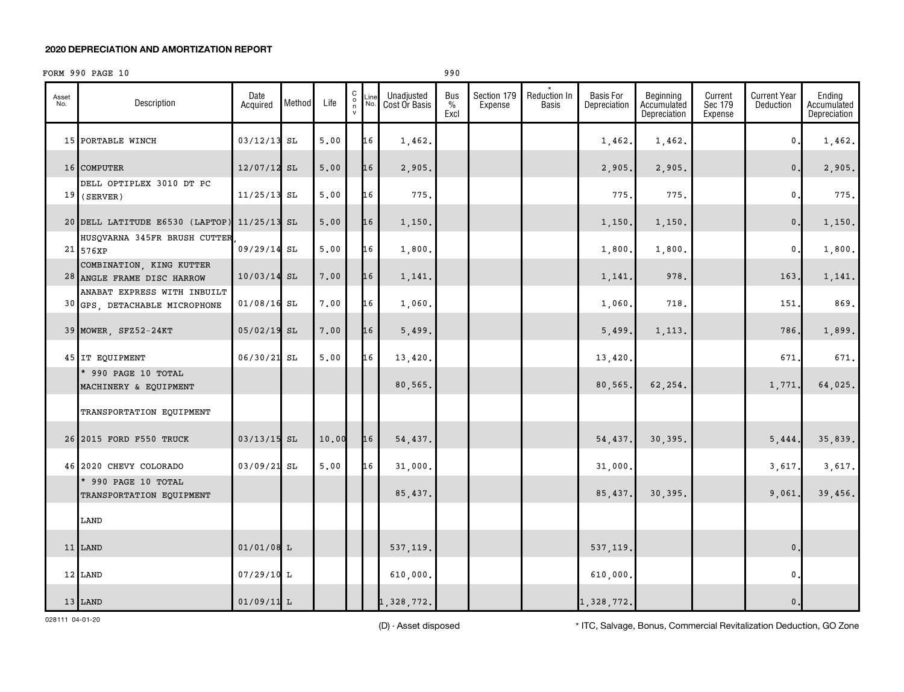## FORM 990 PAGE 10 990

| Asset<br>No. | Description                                                  | Date<br>Acquired | Method | Life                   | 0000 | Line<br>No. | Unadjusted<br>Cost Or Basis | Bus<br>$\%$<br>Excl | Section 179<br>Expense | Reduction In<br><b>Basis</b> | <b>Basis For</b><br>Depreciation | Beginning<br>Accumulated<br>Depreciation | Current<br>Sec 179<br>Expense | <b>Current Year</b><br>Deduction | Ending<br>Accumulated<br>Depreciation |
|--------------|--------------------------------------------------------------|------------------|--------|------------------------|------|-------------|-----------------------------|---------------------|------------------------|------------------------------|----------------------------------|------------------------------------------|-------------------------------|----------------------------------|---------------------------------------|
|              | 15 PORTABLE WINCH                                            | $03/12/13$ SL    |        | 5.00                   |      | 16          | 1,462.                      |                     |                        |                              | 1,462.                           | 1,462.                                   |                               | $\mathbf{0}$ .                   | 1,462.                                |
|              | 16 COMPUTER                                                  | 12/07/12 SL      |        | 5.00                   |      | 16          | 2,905.                      |                     |                        |                              | 2,905.                           | 2,905.                                   |                               | $\mathsf{0}\,.$                  | 2,905.                                |
|              | DELL OPTIPLEX 3010 DT PC<br>$19$ (SERVER)                    | $11/25/13$ SL    |        | ${\bf 5}$ , ${\bf 00}$ |      | 16          | 775.                        |                     |                        |                              | 775                              | 775.                                     |                               | $\mathbf{0}$ .                   | 775.                                  |
|              | 20 DELL LATITUDE E6530 (LAPTOP) 11/25/13 SL                  |                  |        | 5,00                   |      | 16          | 1,150.                      |                     |                        |                              | 1,150                            | 1,150.                                   |                               | $0$ .                            | 1,150.                                |
|              | HUSQVARNA 345FR BRUSH CUTTER<br>21 576XP                     | 09/29/14 SL      |        | 5.00                   |      | 16          | 1,800.                      |                     |                        |                              | 1,800                            | 1,800.                                   |                               | $\mathbf{0}$ .                   | 1,800.                                |
|              | COMBINATION, KING KUTTER<br>28 ANGLE FRAME DISC HARROW       | $10/03/14$ SL    |        | 7.00                   |      | 16          | 1,141.                      |                     |                        |                              | 1,141.                           | 978.                                     |                               | 163.                             | 1,141.                                |
|              | ANABAT EXPRESS WITH INBUILT<br>30 GPS, DETACHABLE MICROPHONE | $01/08/16$ SL    |        | 7.00                   |      | 16          | 1,060.                      |                     |                        |                              | 1,060                            | 718.                                     |                               | 151,                             | 869.                                  |
|              | 39 MOWER, SFZ52-24KT                                         | $05/02/19$ SL    |        | 7.00                   |      | 16          | 5,499.                      |                     |                        |                              | 5,499.                           | 1,113.                                   |                               | 786.                             | 1,899.                                |
|              | 45 IT EQUIPMENT                                              | 06/30/21         | SL     | 5.00                   |      | 16          | 13,420.                     |                     |                        |                              | 13,420                           |                                          |                               | 671                              | 671.                                  |
|              | * 990 PAGE 10 TOTAL<br>MACHINERY & EQUIPMENT                 |                  |        |                        |      |             | 80,565.                     |                     |                        |                              | 80,565                           | 62,254.                                  |                               | 1,771.                           | 64,025.                               |
|              | TRANSPORTATION EQUIPMENT                                     |                  |        |                        |      |             |                             |                     |                        |                              |                                  |                                          |                               |                                  |                                       |
|              | 26 2015 FORD F550 TRUCK                                      | $03/13/15$ SL    |        | 10.00                  |      | 16          | 54,437.                     |                     |                        |                              | 54,437.                          | 30,395.                                  |                               | 5,444.                           | 35,839.                               |
|              | 46 2020 CHEVY COLORADO                                       | 03/09/21 SL      |        | 5.00                   |      | 16          | 31,000.                     |                     |                        |                              | 31,000.                          |                                          |                               | 3,617.                           | 3,617.                                |
|              | * 990 PAGE 10 TOTAL<br>TRANSPORTATION EQUIPMENT              |                  |        |                        |      |             | 85,437.                     |                     |                        |                              | 85,437.                          | 30,395.                                  |                               | 9,061.                           | 39,456.                               |
|              | LAND                                                         |                  |        |                        |      |             |                             |                     |                        |                              |                                  |                                          |                               |                                  |                                       |
|              | $11$ LAND                                                    | $01/01/08$ L     |        |                        |      |             | 537, 119.                   |                     |                        |                              | 537,119.                         |                                          |                               | $\mathbf{0}$ .                   |                                       |
|              | 12 LAND                                                      | $07/29/10$ L     |        |                        |      |             | 610,000.                    |                     |                        |                              | 610,000                          |                                          |                               | $\mathbf{0}$ .                   |                                       |
|              | 13 LAND                                                      | $01/09/11$ L     |        |                        |      |             | 1,328,772.                  |                     |                        |                              | 1,328,772.                       |                                          |                               | 0.                               |                                       |

028111 04-01-20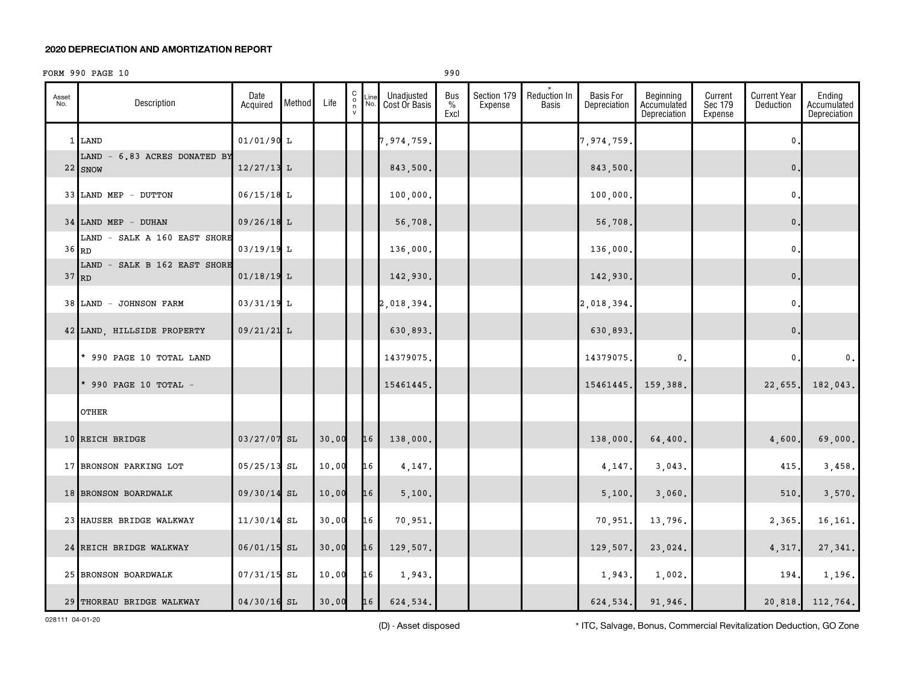## FORM 990 PAGE 10 990

| Asset<br>No. | Description                                  | Date<br>Acquired | Method | Life  | $\begin{smallmatrix} 0 \\ 0 \\ v \end{smallmatrix}$ | Line<br>No. | Unadjusted<br>Cost Or Basis | Bus<br>$\%$<br>Excl | Section 179<br>Expense | Reduction In<br><b>Basis</b> | <b>Basis For</b><br>Depreciation | Beginning<br>Accumulated<br>Depreciation | Current<br>Sec 179<br>Expense | Current Year<br>Deduction | Ending<br>Accumulated<br>Depreciation |
|--------------|----------------------------------------------|------------------|--------|-------|-----------------------------------------------------|-------------|-----------------------------|---------------------|------------------------|------------------------------|----------------------------------|------------------------------------------|-------------------------------|---------------------------|---------------------------------------|
|              | 1 LAND                                       | $01/01/90$ L     |        |       |                                                     |             | 7,974,759.                  |                     |                        |                              | 7,974,759.                       |                                          |                               | 0                         |                                       |
|              | - 6.83 ACRES DONATED BY<br>LAND<br>$22$ SNOW | $12/27/13$ L     |        |       |                                                     |             | 843,500.                    |                     |                        |                              | 843,500.                         |                                          |                               | $\mathfrak o$ .           |                                       |
|              | 33 LAND MEP - DUTTON                         | $06/15/18$ L     |        |       |                                                     |             | 100,000.                    |                     |                        |                              | 100,000                          |                                          |                               | $\mathbf{0}$ .            |                                       |
|              | 34 LAND MEP - DUHAN                          | $09/26/18$ L     |        |       |                                                     |             | 56,708.                     |                     |                        |                              | 56,708                           |                                          |                               | $\mathbf{0}$ .            |                                       |
|              | LAND<br>- SALK A 160 EAST SHORE<br>$36$ RD   | $03/19/19$ L     |        |       |                                                     |             | 136,000.                    |                     |                        |                              | 136,000                          |                                          |                               | $\mathbf{0}$ .            |                                       |
|              | - SALK B 162 EAST SHORE<br>LAND<br>$37$ RD   | $01/18/19$ L     |        |       |                                                     |             | 142,930.                    |                     |                        |                              | 142,930                          |                                          |                               | $\mathbf{0}$ .            |                                       |
|              | 38 LAND<br>- JOHNSON FARM                    | 03/31/19 L       |        |       |                                                     |             | 2,018,394.                  |                     |                        |                              | 2,018,394                        |                                          |                               | $\mathbf{0}$ .            |                                       |
|              | 42 LAND, HILLSIDE PROPERTY                   | $09/21/21$ L     |        |       |                                                     |             | 630,893.                    |                     |                        |                              | 630,893.                         |                                          |                               | $\mathfrak o$ .           |                                       |
|              | * 990 PAGE 10 TOTAL LAND                     |                  |        |       |                                                     |             | 14379075.                   |                     |                        |                              | 14379075                         | $\mathbf 0$ .                            |                               | $\mathfrak o$ .           | $\mathbf 0$ .                         |
|              | * 990 PAGE 10 TOTAL -                        |                  |        |       |                                                     |             | 15461445.                   |                     |                        |                              | 15461445.                        | 159,388.                                 |                               | 22,655.                   | 182,043.                              |
|              | OTHER                                        |                  |        |       |                                                     |             |                             |                     |                        |                              |                                  |                                          |                               |                           |                                       |
|              | 10 REICH BRIDGE                              | 03/27/07 SL      |        | 30.00 |                                                     | 16          | 138,000.                    |                     |                        |                              | 138,000.                         | 64,400.                                  |                               | 4,600.                    | 69,000.                               |
|              | 17 BRONSON PARKING LOT                       | $05/25/13$ SL    |        | 10.00 |                                                     | 16          | 4,147.                      |                     |                        |                              | 4,147.                           | 3,043.                                   |                               | 415.                      | 3,458.                                |
|              | 18 BRONSON BOARDWALK                         | 09/30/14 SL      |        | 10.00 |                                                     | 16          | 5,100.                      |                     |                        |                              | 5,100.                           | 3,060.                                   |                               | 510.                      | 3,570.                                |
|              | 23 HAUSER BRIDGE WALKWAY                     | 11/30/14 SL      |        | 30.00 |                                                     | 16          | 70,951.                     |                     |                        |                              | 70,951                           | 13,796.                                  |                               | 2,365.                    | 16,161.                               |
|              | 24 REICH BRIDGE WALKWAY                      | 06/01/15 SL      |        | 30.00 |                                                     | 16          | 129,507.                    |                     |                        |                              | 129,507.                         | 23,024.                                  |                               | 4,317.                    | 27, 341.                              |
|              | 25 BRONSON BOARDWALK                         | $07/31/15$ SL    |        | 10.00 |                                                     | 16          | 1,943.                      |                     |                        |                              | 1,943.                           | 1,002.                                   |                               | 194.                      | 1,196.                                |
|              | 29 THOREAU BRIDGE WALKWAY                    | 04/30/16 SL      |        | 30.00 |                                                     | 16          | 624,534.                    |                     |                        |                              | 624,534.                         | 91,946.                                  |                               | 20,818.                   | 112,764.                              |

028111 04-01-20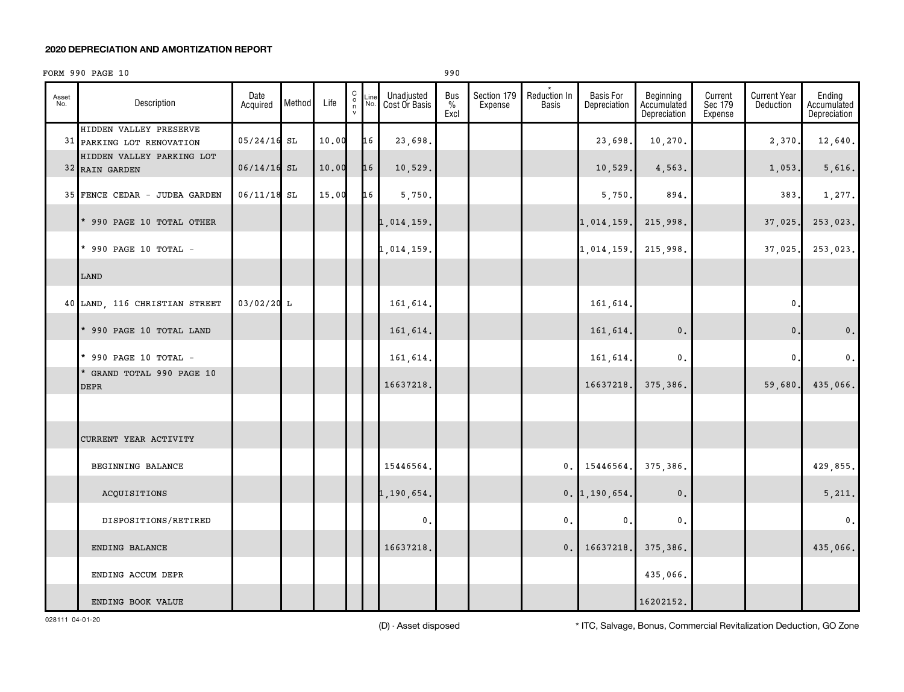## FORM 990 PAGE 10 990

| Asset<br>No. | Description                                         | Date<br>Acquired | Method | Life  | $\begin{smallmatrix} 0 \\ 0 \\ 1 \\ 0 \end{smallmatrix}$ | Line<br>No. | Unadjusted<br>Cost Or Basis | <b>Bus</b><br>$\%$<br>Excl | Section 179<br>Expense | Reduction In<br><b>Basis</b> | <b>Basis For</b><br>Depreciation | Beginning<br>Accumulated<br>Depreciation | Current<br>Sec 179<br>Expense | <b>Current Year</b><br>Deduction | Ending<br>Accumulated<br>Depreciation |
|--------------|-----------------------------------------------------|------------------|--------|-------|----------------------------------------------------------|-------------|-----------------------------|----------------------------|------------------------|------------------------------|----------------------------------|------------------------------------------|-------------------------------|----------------------------------|---------------------------------------|
|              | HIDDEN VALLEY PRESERVE<br>31 PARKING LOT RENOVATION | $05/24/16$ SL    |        | 10.00 |                                                          | 16          | 23,698.                     |                            |                        |                              | 23,698.                          | 10,270.                                  |                               | 2,370.                           | 12,640.                               |
|              | HIDDEN VALLEY PARKING LOT<br>32 RAIN GARDEN         | $06/14/16$ SL    |        | 10.00 |                                                          | 16          | 10,529.                     |                            |                        |                              | 10,529.                          | 4,563.                                   |                               | 1,053.                           | 5,616.                                |
|              | 35 FENCE CEDAR - JUDEA GARDEN                       | $06/11/18$ SL    |        | 15.00 |                                                          | 16          | 5,750.                      |                            |                        |                              | 5,750.                           | 894.                                     |                               | 383.                             | 1,277.                                |
|              | * 990 PAGE 10 TOTAL OTHER                           |                  |        |       |                                                          |             | 1,014,159.                  |                            |                        |                              | 1,014,159.                       | 215,998.                                 |                               | 37,025                           | 253,023.                              |
|              | * 990 PAGE 10 TOTAL -                               |                  |        |       |                                                          |             | 1,014,159.                  |                            |                        |                              | 1,014,159.                       | 215,998.                                 |                               | 37,025.                          | 253,023.                              |
|              | LAND                                                |                  |        |       |                                                          |             |                             |                            |                        |                              |                                  |                                          |                               |                                  |                                       |
|              | 40 LAND, 116 CHRISTIAN STREET                       | $03/02/20$ L     |        |       |                                                          |             | 161,614.                    |                            |                        |                              | 161,614                          |                                          |                               | 0.                               |                                       |
|              | * 990 PAGE 10 TOTAL LAND                            |                  |        |       |                                                          |             | 161,614.                    |                            |                        |                              | 161,614.                         | $\mathbf 0$ .                            |                               | $\mathbf{0}$ .                   | $\mathbf 0$ .                         |
|              | * 990 PAGE 10 TOTAL -                               |                  |        |       |                                                          |             | 161,614.                    |                            |                        |                              | 161,614.                         | $\mathbf 0$ .                            |                               | 0                                | $\mathbf 0$ .                         |
|              | * GRAND TOTAL 990 PAGE 10<br><b>DEPR</b>            |                  |        |       |                                                          |             | 16637218.                   |                            |                        |                              | 16637218.                        | 375,386.                                 |                               | 59,680.                          | 435,066.                              |
|              |                                                     |                  |        |       |                                                          |             |                             |                            |                        |                              |                                  |                                          |                               |                                  |                                       |
|              | CURRENT YEAR ACTIVITY                               |                  |        |       |                                                          |             |                             |                            |                        |                              |                                  |                                          |                               |                                  |                                       |
|              | BEGINNING BALANCE                                   |                  |        |       |                                                          |             | 15446564.                   |                            |                        | 0.1                          | 15446564.                        | 375,386.                                 |                               |                                  | 429,855.                              |
|              | ACQUISITIONS                                        |                  |        |       |                                                          |             | 1,190,654.                  |                            |                        |                              | 0.1, 190, 654.                   | $\mathbf 0$ .                            |                               |                                  | 5,211.                                |
|              | DISPOSITIONS/RETIRED                                |                  |        |       |                                                          |             | 0.                          |                            |                        | 0.                           | 0.                               | $\mathsf{0}$ .                           |                               |                                  | $\mathbf{0}$ .                        |
|              | ENDING BALANCE                                      |                  |        |       |                                                          |             | 16637218.                   |                            |                        | 0.                           | 16637218.                        | 375,386.                                 |                               |                                  | 435,066.                              |
|              | ENDING ACCUM DEPR                                   |                  |        |       |                                                          |             |                             |                            |                        |                              |                                  | 435,066.                                 |                               |                                  |                                       |
|              | ENDING BOOK VALUE                                   |                  |        |       |                                                          |             |                             |                            |                        |                              |                                  | 16202152.                                |                               |                                  |                                       |

028111 04-01-20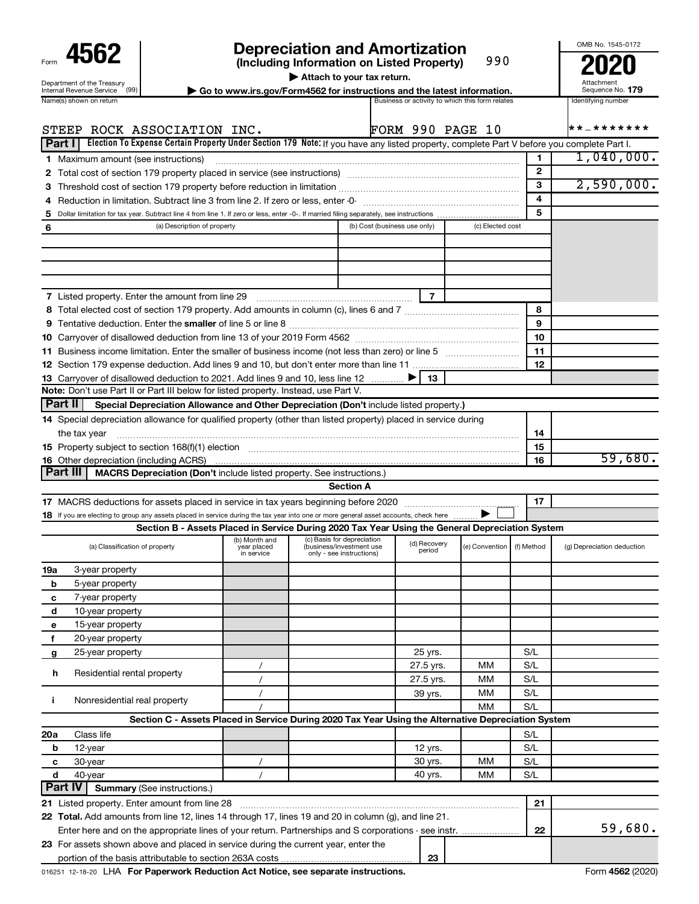| Form                                                          |  |
|---------------------------------------------------------------|--|
| Department of the Treasury<br><b>Internal Revenue Service</b> |  |
| $\cdots$                                                      |  |

# **4562 Depreciation and Amortization**<br>(Including Information on Listed Property) 990 **2020**

**(Including Information on Listed Property)** 990

Attachment Sequence No.

OMB No. 1545-0172

**| Attach to your tax return. | Go to www.irs.gov/Form4562 for instructions and the latest information. 179**

| Name(s) shown on return                                                                                                                                                                                                                          |                           |                     |                                                      | Business or activity to which this form relates |                |            | Identifying number         |  |  |  |  |  |
|--------------------------------------------------------------------------------------------------------------------------------------------------------------------------------------------------------------------------------------------------|---------------------------|---------------------|------------------------------------------------------|-------------------------------------------------|----------------|------------|----------------------------|--|--|--|--|--|
| STEEP ROCK ASSOCIATION INC.                                                                                                                                                                                                                      |                           | * * _ * * * * * * * |                                                      |                                                 |                |            |                            |  |  |  |  |  |
| Election To Expense Certain Property Under Section 179 Note: If you have any listed property, complete Part V before you complete Part I.<br>Part I                                                                                              |                           |                     |                                                      |                                                 |                |            |                            |  |  |  |  |  |
|                                                                                                                                                                                                                                                  |                           |                     |                                                      |                                                 |                | 1          | 1,040,000.                 |  |  |  |  |  |
| 1 Maximum amount (see instructions)                                                                                                                                                                                                              | $\mathbf{2}$              |                     |                                                      |                                                 |                |            |                            |  |  |  |  |  |
| 2 Total cost of section 179 property placed in service (see instructions) manufactured cost of section 179 property placed in service (see instructions)                                                                                         | 3                         | 2,590,000.          |                                                      |                                                 |                |            |                            |  |  |  |  |  |
| Threshold cost of section 179 property before reduction in limitation measurements are all the section in 199                                                                                                                                    | 4                         |                     |                                                      |                                                 |                |            |                            |  |  |  |  |  |
|                                                                                                                                                                                                                                                  | 5                         |                     |                                                      |                                                 |                |            |                            |  |  |  |  |  |
| (a) Description of property                                                                                                                                                                                                                      | (c) Elected cost          |                     |                                                      |                                                 |                |            |                            |  |  |  |  |  |
| 6                                                                                                                                                                                                                                                |                           |                     |                                                      |                                                 |                |            |                            |  |  |  |  |  |
|                                                                                                                                                                                                                                                  |                           |                     |                                                      |                                                 |                |            |                            |  |  |  |  |  |
|                                                                                                                                                                                                                                                  |                           |                     |                                                      |                                                 |                |            |                            |  |  |  |  |  |
|                                                                                                                                                                                                                                                  |                           |                     |                                                      |                                                 |                |            |                            |  |  |  |  |  |
|                                                                                                                                                                                                                                                  |                           |                     |                                                      |                                                 |                |            |                            |  |  |  |  |  |
| 7 Listed property. Enter the amount from line 29 [11] [12] [12] Listed property. Enter the amount from line 29                                                                                                                                   |                           |                     |                                                      | $\overline{7}$                                  |                |            |                            |  |  |  |  |  |
| Total elected cost of section 179 property. Add amounts in column (c), lines 6 and 7 manual content content content                                                                                                                              |                           |                     |                                                      |                                                 |                | 8          |                            |  |  |  |  |  |
|                                                                                                                                                                                                                                                  |                           |                     |                                                      |                                                 |                | 9          |                            |  |  |  |  |  |
| 10                                                                                                                                                                                                                                               |                           |                     |                                                      |                                                 |                | 10         |                            |  |  |  |  |  |
|                                                                                                                                                                                                                                                  |                           |                     |                                                      |                                                 |                | 11         |                            |  |  |  |  |  |
|                                                                                                                                                                                                                                                  |                           |                     |                                                      |                                                 |                | 12         |                            |  |  |  |  |  |
| 13 Carryover of disallowed deduction to 2021. Add lines 9 and 10, less line 12<br>Note: Don't use Part II or Part III below for listed property. Instead, use Part V.                                                                            |                           |                     |                                                      |                                                 |                |            |                            |  |  |  |  |  |
| Part II<br>Special Depreciation Allowance and Other Depreciation (Don't include listed property.)                                                                                                                                                |                           |                     |                                                      |                                                 |                |            |                            |  |  |  |  |  |
|                                                                                                                                                                                                                                                  |                           |                     |                                                      |                                                 |                |            |                            |  |  |  |  |  |
| 14 Special depreciation allowance for qualified property (other than listed property) placed in service during                                                                                                                                   |                           |                     |                                                      |                                                 |                |            |                            |  |  |  |  |  |
| the tax year                                                                                                                                                                                                                                     |                           |                     |                                                      |                                                 |                | 14         |                            |  |  |  |  |  |
|                                                                                                                                                                                                                                                  |                           |                     |                                                      |                                                 |                | 15         | 59,680.                    |  |  |  |  |  |
| 16 Other depreciation (including ACRS)<br>Part III<br>MACRS Depreciation (Don't include listed property. See instructions.)                                                                                                                      |                           |                     |                                                      |                                                 |                | 16         |                            |  |  |  |  |  |
|                                                                                                                                                                                                                                                  |                           |                     | <b>Section A</b>                                     |                                                 |                |            |                            |  |  |  |  |  |
|                                                                                                                                                                                                                                                  |                           |                     |                                                      |                                                 |                | 17         |                            |  |  |  |  |  |
|                                                                                                                                                                                                                                                  |                           |                     |                                                      |                                                 |                |            |                            |  |  |  |  |  |
| 18 If you are electing to group any assets placed in service during the tax year into one or more general asset accounts, check here $\ldots$<br>Section B - Assets Placed in Service During 2020 Tax Year Using the General Depreciation System |                           |                     |                                                      |                                                 |                |            |                            |  |  |  |  |  |
|                                                                                                                                                                                                                                                  | (b) Month and             |                     | (c) Basis for depreciation                           |                                                 |                |            |                            |  |  |  |  |  |
| (a) Classification of property                                                                                                                                                                                                                   | year placed<br>in service |                     | (business/investment use<br>only - see instructions) | (d) Recovery<br>period                          | (e) Convention | (f) Method | (g) Depreciation deduction |  |  |  |  |  |
| 19a<br>3-year property                                                                                                                                                                                                                           |                           |                     |                                                      |                                                 |                |            |                            |  |  |  |  |  |
|                                                                                                                                                                                                                                                  |                           |                     |                                                      |                                                 |                |            |                            |  |  |  |  |  |
| 5-year property<br>b                                                                                                                                                                                                                             |                           |                     |                                                      |                                                 |                |            |                            |  |  |  |  |  |
| 7-year property<br>с                                                                                                                                                                                                                             |                           |                     |                                                      |                                                 |                |            |                            |  |  |  |  |  |
| 10-year property<br>d<br>15-year property                                                                                                                                                                                                        |                           |                     |                                                      |                                                 |                |            |                            |  |  |  |  |  |
| е<br>20-year property<br>f                                                                                                                                                                                                                       |                           |                     |                                                      |                                                 |                |            |                            |  |  |  |  |  |
| 25-year property                                                                                                                                                                                                                                 |                           |                     |                                                      | 25 yrs.                                         |                | S/L        |                            |  |  |  |  |  |
| g                                                                                                                                                                                                                                                |                           |                     |                                                      | 27.5 yrs.                                       | MМ             | S/L        |                            |  |  |  |  |  |
| h<br>Residential rental property                                                                                                                                                                                                                 |                           |                     |                                                      | 27.5 yrs.                                       | MМ             | S/L        |                            |  |  |  |  |  |
|                                                                                                                                                                                                                                                  |                           |                     |                                                      | 39 yrs.                                         | МM             | S/L        |                            |  |  |  |  |  |
| Nonresidential real property<br>j.                                                                                                                                                                                                               |                           |                     |                                                      |                                                 | MМ             | S/L        |                            |  |  |  |  |  |
| Section C - Assets Placed in Service During 2020 Tax Year Using the Alternative Depreciation System                                                                                                                                              |                           |                     |                                                      |                                                 |                |            |                            |  |  |  |  |  |
| Class life<br>20a                                                                                                                                                                                                                                |                           |                     |                                                      |                                                 |                | S/L        |                            |  |  |  |  |  |
|                                                                                                                                                                                                                                                  |                           |                     |                                                      | 12 yrs.                                         |                | S/L        |                            |  |  |  |  |  |
| 12-year<br>b<br>30-year<br>с                                                                                                                                                                                                                     |                           |                     |                                                      | 30 yrs.                                         | MМ             | S/L        |                            |  |  |  |  |  |
| d<br>40-year                                                                                                                                                                                                                                     |                           |                     |                                                      | 40 yrs.                                         | MМ             | S/L        |                            |  |  |  |  |  |
| <b>Part IV</b><br><b>Summary (See instructions.)</b>                                                                                                                                                                                             |                           |                     |                                                      |                                                 |                |            |                            |  |  |  |  |  |
| 21 Listed property. Enter amount from line 28<br>21                                                                                                                                                                                              |                           |                     |                                                      |                                                 |                |            |                            |  |  |  |  |  |
| 22 Total. Add amounts from line 12, lines 14 through 17, lines 19 and 20 in column (g), and line 21.                                                                                                                                             |                           |                     |                                                      |                                                 |                |            |                            |  |  |  |  |  |
| Enter here and on the appropriate lines of your return. Partnerships and S corporations - see instr.                                                                                                                                             |                           |                     |                                                      |                                                 |                | 22         | 59,680.                    |  |  |  |  |  |
| 23 For assets shown above and placed in service during the current year, enter the                                                                                                                                                               |                           |                     |                                                      |                                                 |                |            |                            |  |  |  |  |  |
| portion of the basis attributable to section 263A costs                                                                                                                                                                                          |                           |                     |                                                      | 23                                              |                |            |                            |  |  |  |  |  |